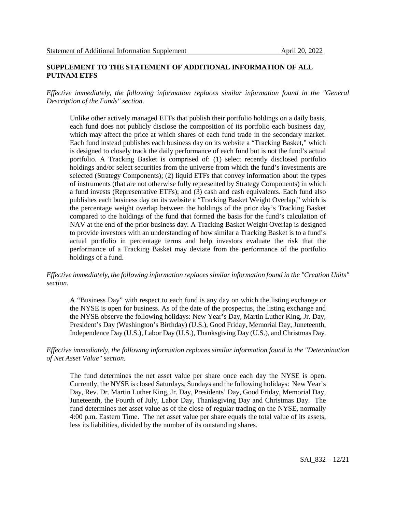#### **SUPPLEMENT TO THE STATEMENT OF ADDITIONAL INFORMATION OF ALL PUTNAM ETFS**

*Effective immediately, the following information replaces similar information found in the "General Description of the Funds" section.*

Unlike other actively managed ETFs that publish their portfolio holdings on a daily basis, each fund does not publicly disclose the composition of its portfolio each business day, which may affect the price at which shares of each fund trade in the secondary market. Each fund instead publishes each business day on its website a "Tracking Basket," which is designed to closely track the daily performance of each fund but is not the fund's actual portfolio. A Tracking Basket is comprised of: (1) select recently disclosed portfolio holdings and/or select securities from the universe from which the fund's investments are selected (Strategy Components); (2) liquid ETFs that convey information about the types of instruments (that are not otherwise fully represented by Strategy Components) in which a fund invests (Representative ETFs); and (3) cash and cash equivalents. Each fund also publishes each business day on its website a "Tracking Basket Weight Overlap," which is the percentage weight overlap between the holdings of the prior day's Tracking Basket compared to the holdings of the fund that formed the basis for the fund's calculation of NAV at the end of the prior business day. A Tracking Basket Weight Overlap is designed to provide investors with an understanding of how similar a Tracking Basket is to a fund's actual portfolio in percentage terms and help investors evaluate the risk that the performance of a Tracking Basket may deviate from the performance of the portfolio holdings of a fund.

## *Effective immediately, the following information replaces similar information found in the "Creation Units" section.*

A "Business Day" with respect to each fund is any day on which the listing exchange or the NYSE is open for business. As of the date of the prospectus, the listing exchange and the NYSE observe the following holidays: New Year's Day, Martin Luther King, Jr. Day, President's Day (Washington's Birthday) (U.S.), Good Friday, Memorial Day, Juneteenth, Independence Day (U.S.), Labor Day (U.S.), Thanksgiving Day (U.S.), and Christmas Day.

### *Effective immediately, the following information replaces similar information found in the "Determination of Net Asset Value" section.*

The fund determines the net asset value per share once each day the NYSE is open. Currently, the NYSE is closed Saturdays, Sundays and the following holidays: New Year's Day, Rev. Dr. Martin Luther King, Jr. Day, Presidents' Day, Good Friday, Memorial Day, Juneteenth, the Fourth of July, Labor Day, Thanksgiving Day and Christmas Day. The fund determines net asset value as of the close of regular trading on the NYSE, normally 4:00 p.m. Eastern Time. The net asset value per share equals the total value of its assets, less its liabilities, divided by the number of its outstanding shares.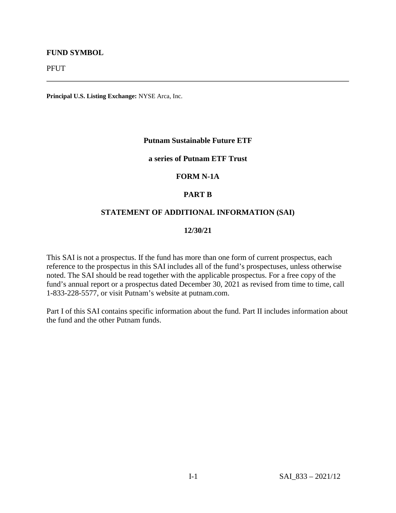# **FUND SYMBOL**

PFUT

**Principal U.S. Listing Exchange:** NYSE Arca, Inc.

## **Putnam Sustainable Future ETF**

# **a series of Putnam ETF Trust**

## **FORM N-1A**

## **PART B**

### **STATEMENT OF ADDITIONAL INFORMATION (SAI)**

#### **12/30/21**

This SAI is not a prospectus. If the fund has more than one form of current prospectus, each reference to the prospectus in this SAI includes all of the fund's prospectuses, unless otherwise noted. The SAI should be read together with the applicable prospectus. For a free copy of the fund's annual report or a prospectus dated December 30, 2021 as revised from time to time, call 1-833-228-5577, or visit Putnam's website at putnam.com.

Part I of this SAI contains specific information about the fund. Part II includes information about the fund and the other Putnam funds.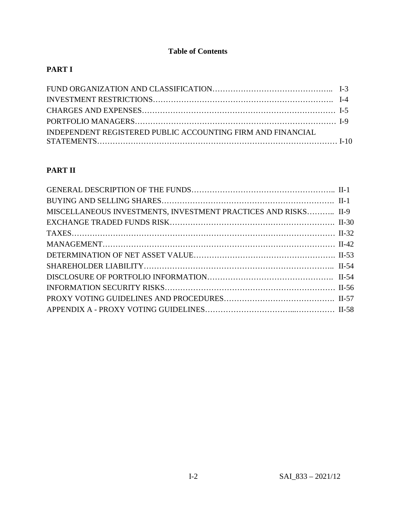# **Table of Contents**

# **PART I**

| INDEPENDENT REGISTERED PUBLIC ACCOUNTING FIRM AND FINANCIAL |  |
|-------------------------------------------------------------|--|
|                                                             |  |

# **PART II**

| MISCELLANEOUS INVESTMENTS, INVESTMENT PRACTICES AND RISKS II-9 |  |
|----------------------------------------------------------------|--|
|                                                                |  |
|                                                                |  |
|                                                                |  |
|                                                                |  |
|                                                                |  |
|                                                                |  |
|                                                                |  |
|                                                                |  |
|                                                                |  |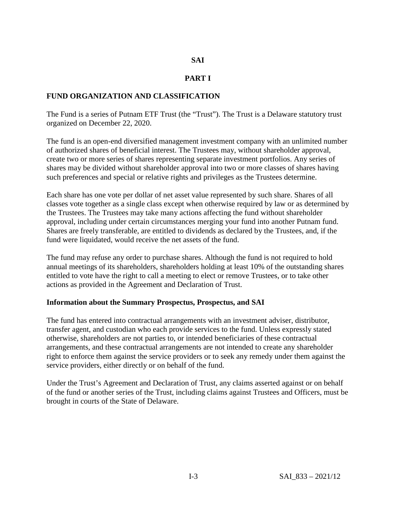# **SAI**

# **PART I**

# **FUND ORGANIZATION AND CLASSIFICATION**

The Fund is a series of Putnam ETF Trust (the "Trust"). The Trust is a Delaware statutory trust organized on December 22, 2020.

The fund is an open-end diversified management investment company with an unlimited number of authorized shares of beneficial interest. The Trustees may, without shareholder approval, create two or more series of shares representing separate investment portfolios. Any series of shares may be divided without shareholder approval into two or more classes of shares having such preferences and special or relative rights and privileges as the Trustees determine.

Each share has one vote per dollar of net asset value represented by such share. Shares of all classes vote together as a single class except when otherwise required by law or as determined by the Trustees. The Trustees may take many actions affecting the fund without shareholder approval, including under certain circumstances merging your fund into another Putnam fund. Shares are freely transferable, are entitled to dividends as declared by the Trustees, and, if the fund were liquidated, would receive the net assets of the fund.

The fund may refuse any order to purchase shares. Although the fund is not required to hold annual meetings of its shareholders, shareholders holding at least 10% of the outstanding shares entitled to vote have the right to call a meeting to elect or remove Trustees, or to take other actions as provided in the Agreement and Declaration of Trust.

# **Information about the Summary Prospectus, Prospectus, and SAI**

The fund has entered into contractual arrangements with an investment adviser, distributor, transfer agent, and custodian who each provide services to the fund. Unless expressly stated otherwise, shareholders are not parties to, or intended beneficiaries of these contractual arrangements, and these contractual arrangements are not intended to create any shareholder right to enforce them against the service providers or to seek any remedy under them against the service providers, either directly or on behalf of the fund.

Under the Trust's Agreement and Declaration of Trust, any claims asserted against or on behalf of the fund or another series of the Trust, including claims against Trustees and Officers, must be brought in courts of the State of Delaware.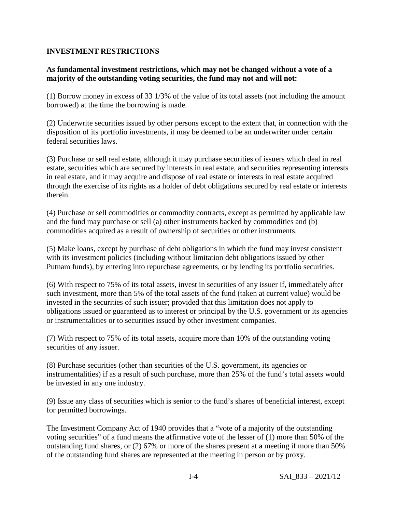# **INVESTMENT RESTRICTIONS**

# **As fundamental investment restrictions, which may not be changed without a vote of a majority of the outstanding voting securities, the fund may not and will not:**

(1) Borrow money in excess of 33 1/3% of the value of its total assets (not including the amount borrowed) at the time the borrowing is made.

(2) Underwrite securities issued by other persons except to the extent that, in connection with the disposition of its portfolio investments, it may be deemed to be an underwriter under certain federal securities laws.

(3) Purchase or sell real estate, although it may purchase securities of issuers which deal in real estate, securities which are secured by interests in real estate, and securities representing interests in real estate, and it may acquire and dispose of real estate or interests in real estate acquired through the exercise of its rights as a holder of debt obligations secured by real estate or interests therein.

(4) Purchase or sell commodities or commodity contracts, except as permitted by applicable law and the fund may purchase or sell (a) other instruments backed by commodities and (b) commodities acquired as a result of ownership of securities or other instruments.

(5) Make loans, except by purchase of debt obligations in which the fund may invest consistent with its investment policies (including without limitation debt obligations issued by other Putnam funds), by entering into repurchase agreements, or by lending its portfolio securities.

(6) With respect to 75% of its total assets, invest in securities of any issuer if, immediately after such investment, more than 5% of the total assets of the fund (taken at current value) would be invested in the securities of such issuer; provided that this limitation does not apply to obligations issued or guaranteed as to interest or principal by the U.S. government or its agencies or instrumentalities or to securities issued by other investment companies.

(7) With respect to 75% of its total assets, acquire more than 10% of the outstanding voting securities of any issuer.

(8) Purchase securities (other than securities of the U.S. government, its agencies or instrumentalities) if as a result of such purchase, more than 25% of the fund's total assets would be invested in any one industry.

(9) Issue any class of securities which is senior to the fund's shares of beneficial interest, except for permitted borrowings.

The Investment Company Act of 1940 provides that a "vote of a majority of the outstanding voting securities" of a fund means the affirmative vote of the lesser of (1) more than 50% of the outstanding fund shares, or (2) 67% or more of the shares present at a meeting if more than 50% of the outstanding fund shares are represented at the meeting in person or by proxy.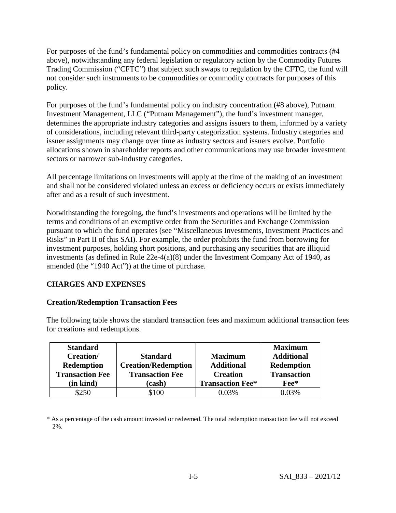For purposes of the fund's fundamental policy on commodities and commodities contracts (#4 above), notwithstanding any federal legislation or regulatory action by the Commodity Futures Trading Commission ("CFTC") that subject such swaps to regulation by the CFTC, the fund will not consider such instruments to be commodities or commodity contracts for purposes of this policy.

For purposes of the fund's fundamental policy on industry concentration (#8 above), Putnam Investment Management, LLC ("Putnam Management"), the fund's investment manager, determines the appropriate industry categories and assigns issuers to them, informed by a variety of considerations, including relevant third-party categorization systems. Industry categories and issuer assignments may change over time as industry sectors and issuers evolve. Portfolio allocations shown in shareholder reports and other communications may use broader investment sectors or narrower sub-industry categories.

All percentage limitations on investments will apply at the time of the making of an investment and shall not be considered violated unless an excess or deficiency occurs or exists immediately after and as a result of such investment.

Notwithstanding the foregoing, the fund's investments and operations will be limited by the terms and conditions of an exemptive order from the Securities and Exchange Commission pursuant to which the fund operates (see "Miscellaneous Investments, Investment Practices and Risks" in Part II of this SAI). For example, the order prohibits the fund from borrowing for investment purposes, holding short positions, and purchasing any securities that are illiquid investments (as defined in Rule 22e-4(a)(8) under the Investment Company Act of 1940, as amended (the "1940 Act")) at the time of purchase.

# **CHARGES AND EXPENSES**

# **Creation/Redemption Transaction Fees**

The following table shows the standard transaction fees and maximum additional transaction fees for creations and redemptions.

| <b>Standard</b>        |                            |                         | <b>Maximum</b>     |
|------------------------|----------------------------|-------------------------|--------------------|
| <b>Creation</b> /      | <b>Standard</b>            | <b>Maximum</b>          | <b>Additional</b>  |
| <b>Redemption</b>      | <b>Creation/Redemption</b> | <b>Additional</b>       | <b>Redemption</b>  |
| <b>Transaction Fee</b> | <b>Transaction Fee</b>     | <b>Creation</b>         | <b>Transaction</b> |
| (in kind)              | (cash)                     | <b>Transaction Fee*</b> | Fee*               |
| \$250                  | \$100                      | 0.03%                   | 0.03%              |

\* As a percentage of the cash amount invested or redeemed. The total redemption transaction fee will not exceed 2%.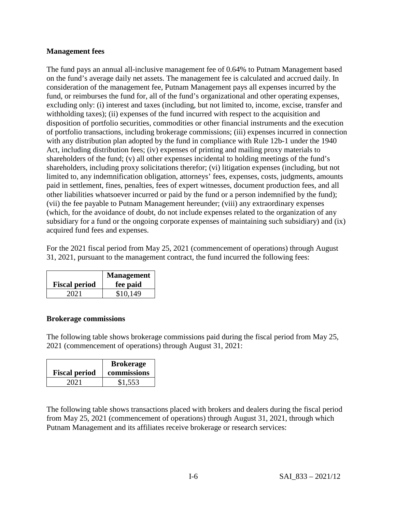# **Management fees**

The fund pays an annual all-inclusive management fee of 0.64% to Putnam Management based on the fund's average daily net assets. The management fee is calculated and accrued daily. In consideration of the management fee, Putnam Management pays all expenses incurred by the fund, or reimburses the fund for, all of the fund's organizational and other operating expenses, excluding only: (i) interest and taxes (including, but not limited to, income, excise, transfer and withholding taxes); (ii) expenses of the fund incurred with respect to the acquisition and disposition of portfolio securities, commodities or other financial instruments and the execution of portfolio transactions, including brokerage commissions; (iii) expenses incurred in connection with any distribution plan adopted by the fund in compliance with Rule 12b-1 under the 1940 Act, including distribution fees; (iv) expenses of printing and mailing proxy materials to shareholders of the fund; (v) all other expenses incidental to holding meetings of the fund's shareholders, including proxy solicitations therefor; (vi) litigation expenses (including, but not limited to, any indemnification obligation, attorneys' fees, expenses, costs, judgments, amounts paid in settlement, fines, penalties, fees of expert witnesses, document production fees, and all other liabilities whatsoever incurred or paid by the fund or a person indemnified by the fund); (vii) the fee payable to Putnam Management hereunder; (viii) any extraordinary expenses (which, for the avoidance of doubt, do not include expenses related to the organization of any subsidiary for a fund or the ongoing corporate expenses of maintaining such subsidiary) and (ix) acquired fund fees and expenses.

For the 2021 fiscal period from May 25, 2021 (commencement of operations) through August 31, 2021, pursuant to the management contract, the fund incurred the following fees:

| <b>Fiscal period</b> | <b>Management</b><br>fee paid |
|----------------------|-------------------------------|
| 2021                 | \$10,149                      |

# **Brokerage commissions**

The following table shows brokerage commissions paid during the fiscal period from May 25, 2021 (commencement of operations) through August 31, 2021:

| <b>Fiscal period</b> | <b>Brokerage</b><br>commissions |
|----------------------|---------------------------------|
| 2021                 | \$1,553                         |

The following table shows transactions placed with brokers and dealers during the fiscal period from May 25, 2021 (commencement of operations) through August 31, 2021, through which Putnam Management and its affiliates receive brokerage or research services: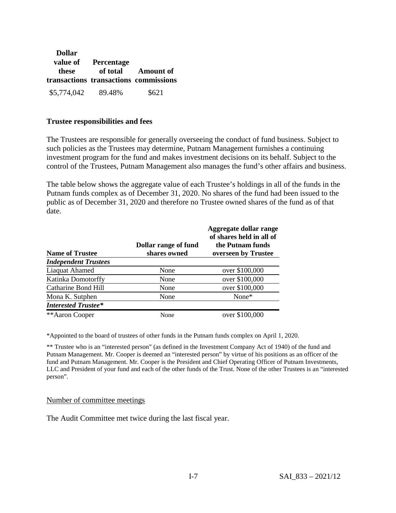| <b>Dollar</b>      |                                       |                    |
|--------------------|---------------------------------------|--------------------|
| value of           | <b>Percentage</b>                     |                    |
| these              | transactions transactions commissions | of total Amount of |
| \$5,774,042 89.48% |                                       | \$621              |

## **Trustee responsibilities and fees**

The Trustees are responsible for generally overseeing the conduct of fund business. Subject to such policies as the Trustees may determine, Putnam Management furnishes a continuing investment program for the fund and makes investment decisions on its behalf. Subject to the control of the Trustees, Putnam Management also manages the fund's other affairs and business.

The table below shows the aggregate value of each Trustee's holdings in all of the funds in the Putnam funds complex as of December 31, 2020. No shares of the fund had been issued to the public as of December 31, 2020 and therefore no Trustee owned shares of the fund as of that date.

| <b>Name of Trustee</b>      | Dollar range of fund<br>shares owned | Aggregate dollar range<br>of shares held in all of<br>the Putnam funds<br>overseen by Trustee |
|-----------------------------|--------------------------------------|-----------------------------------------------------------------------------------------------|
| <b>Independent Trustees</b> |                                      |                                                                                               |
| Liaquat Ahamed              | None                                 | over \$100,000                                                                                |
| <b>Katinka Domotorffy</b>   | None                                 | over \$100,000                                                                                |
| Catharine Bond Hill         | None                                 | over \$100,000                                                                                |
| Mona K. Sutphen             | None                                 | None $*$                                                                                      |
| <b>Interested Trustee*</b>  |                                      |                                                                                               |
| **Aaron Cooper              | None                                 | over \$100,000                                                                                |

\*Appointed to the board of trustees of other funds in the Putnam funds complex on April 1, 2020.

\*\* Trustee who is an "interested person" (as defined in the Investment Company Act of 1940) of the fund and Putnam Management. Mr. Cooper is deemed an "interested person" by virtue of his positions as an officer of the fund and Putnam Management. Mr. Cooper is the President and Chief Operating Officer of Putnam Investments, LLC and President of your fund and each of the other funds of the Trust. None of the other Trustees is an "interested person".

### Number of committee meetings

The Audit Committee met twice during the last fiscal year.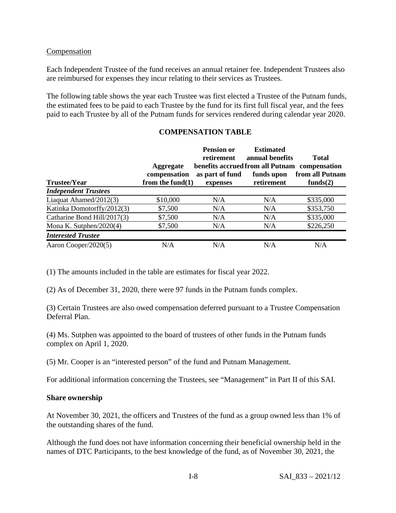# **Compensation**

Each Independent Trustee of the fund receives an annual retainer fee. Independent Trustees also are reimbursed for expenses they incur relating to their services as Trustees.

The following table shows the year each Trustee was first elected a Trustee of the Putnam funds, the estimated fees to be paid to each Trustee by the fund for its first full fiscal year, and the fees paid to each Trustee by all of the Putnam funds for services rendered during calendar year 2020.

# **COMPENSATION TABLE**

|                             |                                  | <b>Pension or</b><br>retirement | <b>Estimated</b><br>annual benefits                         | <b>Total</b>    |
|-----------------------------|----------------------------------|---------------------------------|-------------------------------------------------------------|-----------------|
|                             | <b>Aggregate</b><br>compensation | as part of fund                 | benefits accrued from all Putnam compensation<br>funds upon | from all Putnam |
| <b>Trustee/Year</b>         | from the fund $(1)$              | expenses                        | retirement                                                  | funds $(2)$     |
| <b>Independent Trustees</b> |                                  |                                 |                                                             |                 |
| Liaquat Ahamed/2012(3)      | \$10,000                         | N/A                             | N/A                                                         | \$335,000       |
| Katinka Domotorffy/2012(3)  | \$7,500                          | N/A                             | N/A                                                         | \$353,750       |
| Catharine Bond Hill/2017(3) | \$7,500                          | N/A                             | N/A                                                         | \$335,000       |
| Mona K. Sutphen/2020(4)     | \$7,500                          | N/A                             | N/A                                                         | \$226,250       |
| <b>Interested Trustee</b>   |                                  |                                 |                                                             |                 |
| Aaron Cooper/2020(5)        | N/A                              | N/A                             | N/A                                                         | N/A             |

(1) The amounts included in the table are estimates for fiscal year 2022.

(2) As of December 31, 2020, there were 97 funds in the Putnam funds complex.

(3) Certain Trustees are also owed compensation deferred pursuant to a Trustee Compensation Deferral Plan.

(4) Ms. Sutphen was appointed to the board of trustees of other funds in the Putnam funds complex on April 1, 2020.

(5) Mr. Cooper is an "interested person" of the fund and Putnam Management.

For additional information concerning the Trustees, see "Management" in Part II of this SAI.

# **Share ownership**

At November 30, 2021, the officers and Trustees of the fund as a group owned less than 1% of the outstanding shares of the fund.

Although the fund does not have information concerning their beneficial ownership held in the names of DTC Participants, to the best knowledge of the fund, as of November 30, 2021, the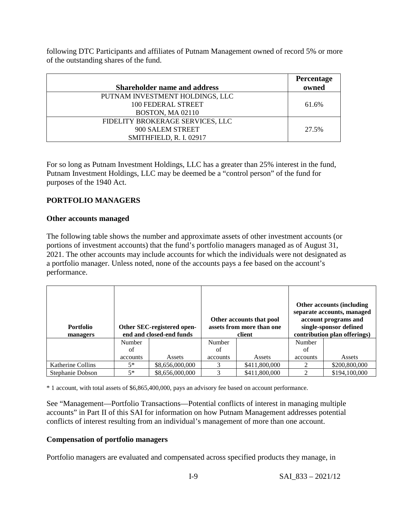following DTC Participants and affiliates of Putnam Management owned of record 5% or more of the outstanding shares of the fund.

|                                     | Percentage |
|-------------------------------------|------------|
| <b>Shareholder name and address</b> | owned      |
| PUTNAM INVESTMENT HOLDINGS, LLC     |            |
| 100 FEDERAL STREET                  | 61.6%      |
| <b>BOSTON, MA 02110</b>             |            |
| FIDELITY BROKERAGE SERVICES, LLC    |            |
| 900 SALEM STREET                    | 27.5%      |
| SMITHFIELD, R. I. 02917             |            |

For so long as Putnam Investment Holdings, LLC has a greater than 25% interest in the fund, Putnam Investment Holdings, LLC may be deemed be a "control person" of the fund for purposes of the 1940 Act.

# **PORTFOLIO MANAGERS**

# **Other accounts managed**

The following table shows the number and approximate assets of other investment accounts (or portions of investment accounts) that the fund's portfolio managers managed as of August 31, 2021. The other accounts may include accounts for which the individuals were not designated as a portfolio manager. Unless noted, none of the accounts pays a fee based on the account's performance.

| <b>Portfolio</b><br>managers |          | Other SEC-registered open-<br>end and closed-end funds |               | Other accounts that pool<br>assets from more than one<br>client |          | Other accounts (including<br>separate accounts, managed<br>account programs and<br>single-sponsor defined<br>contribution plan offerings) |
|------------------------------|----------|--------------------------------------------------------|---------------|-----------------------------------------------------------------|----------|-------------------------------------------------------------------------------------------------------------------------------------------|
|                              | Number   |                                                        | <b>Number</b> |                                                                 | Number   |                                                                                                                                           |
|                              | of       |                                                        | of            |                                                                 | of       |                                                                                                                                           |
|                              | accounts | Assets                                                 | accounts      | Assets                                                          | accounts | Assets                                                                                                                                    |
| Katherine Collins            | $5*$     | \$8,656,000,000                                        |               | \$411,800,000                                                   | ∍        | \$200,800,000                                                                                                                             |
| Stephanie Dobson             | $5*$     | \$8,656,000,000                                        |               | \$411,800,000                                                   | ↑        | \$194,100,000                                                                                                                             |

\* 1 account, with total assets of \$6,865,400,000, pays an advisory fee based on account performance.

See "Management—Portfolio Transactions—Potential conflicts of interest in managing multiple accounts" in Part II of this SAI for information on how Putnam Management addresses potential conflicts of interest resulting from an individual's management of more than one account.

# **Compensation of portfolio managers**

Portfolio managers are evaluated and compensated across specified products they manage, in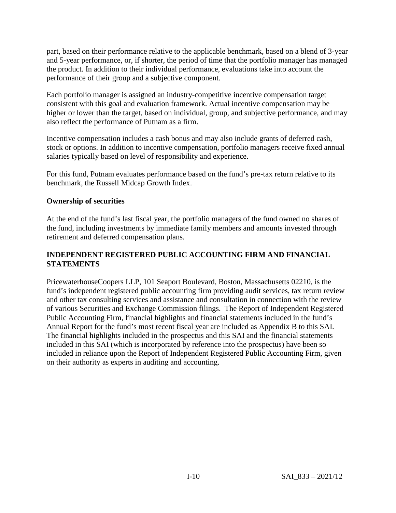part, based on their performance relative to the applicable benchmark, based on a blend of 3-year and 5-year performance, or, if shorter, the period of time that the portfolio manager has managed the product. In addition to their individual performance, evaluations take into account the performance of their group and a subjective component.

Each portfolio manager is assigned an industry-competitive incentive compensation target consistent with this goal and evaluation framework. Actual incentive compensation may be higher or lower than the target, based on individual, group, and subjective performance, and may also reflect the performance of Putnam as a firm.

Incentive compensation includes a cash bonus and may also include grants of deferred cash, stock or options. In addition to incentive compensation, portfolio managers receive fixed annual salaries typically based on level of responsibility and experience.

For this fund, Putnam evaluates performance based on the fund's pre-tax return relative to its benchmark, the Russell Midcap Growth Index.

# **Ownership of securities**

At the end of the fund's last fiscal year, the portfolio managers of the fund owned no shares of the fund, including investments by immediate family members and amounts invested through retirement and deferred compensation plans.

# **INDEPENDENT REGISTERED PUBLIC ACCOUNTING FIRM AND FINANCIAL STATEMENTS**

PricewaterhouseCoopers LLP, 101 Seaport Boulevard, Boston, Massachusetts 02210, is the fund's independent registered public accounting firm providing audit services, tax return review and other tax consulting services and assistance and consultation in connection with the review of various Securities and Exchange Commission filings. The Report of Independent Registered Public Accounting Firm, financial highlights and financial statements included in the fund's Annual Report for the fund's most recent fiscal year are included as Appendix B to this SAI. The financial highlights included in the prospectus and this SAI and the financial statements included in this SAI (which is incorporated by reference into the prospectus) have been so included in reliance upon the Report of Independent Registered Public Accounting Firm, given on their authority as experts in auditing and accounting.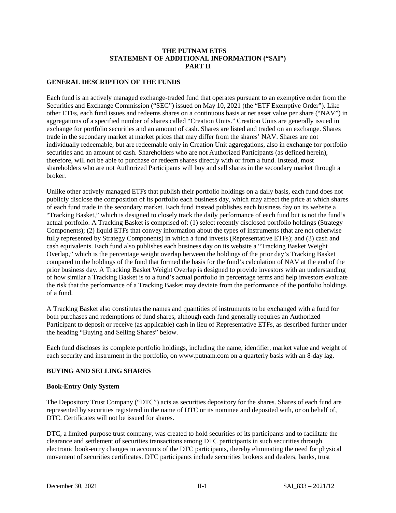### **THE PUTNAM ETFS STATEMENT OF ADDITIONAL INFORMATION ("SAI") PART II**

### **GENERAL DESCRIPTION OF THE FUNDS**

Each fund is an actively managed exchange-traded fund that operates pursuant to an exemptive order from the Securities and Exchange Commission ("SEC") issued on May 10, 2021 (the "ETF Exemptive Order"). Like other ETFs, each fund issues and redeems shares on a continuous basis at net asset value per share ("NAV") in aggregations of a specified number of shares called "Creation Units." Creation Units are generally issued in exchange for portfolio securities and an amount of cash. Shares are listed and traded on an exchange. Shares trade in the secondary market at market prices that may differ from the shares' NAV. Shares are not individually redeemable, but are redeemable only in Creation Unit aggregations, also in exchange for portfolio securities and an amount of cash. Shareholders who are not Authorized Participants (as defined herein), therefore, will not be able to purchase or redeem shares directly with or from a fund. Instead, most shareholders who are not Authorized Participants will buy and sell shares in the secondary market through a broker.

Unlike other actively managed ETFs that publish their portfolio holdings on a daily basis, each fund does not publicly disclose the composition of its portfolio each business day, which may affect the price at which shares of each fund trade in the secondary market. Each fund instead publishes each business day on its website a "Tracking Basket," which is designed to closely track the daily performance of each fund but is not the fund's actual portfolio. A Tracking Basket is comprised of: (1) select recently disclosed portfolio holdings (Strategy Components); (2) liquid ETFs that convey information about the types of instruments (that are not otherwise fully represented by Strategy Components) in which a fund invests (Representative ETFs); and (3) cash and cash equivalents. Each fund also publishes each business day on its website a "Tracking Basket Weight Overlap," which is the percentage weight overlap between the holdings of the prior day's Tracking Basket compared to the holdings of the fund that formed the basis for the fund's calculation of NAV at the end of the prior business day. A Tracking Basket Weight Overlap is designed to provide investors with an understanding of how similar a Tracking Basket is to a fund's actual portfolio in percentage terms and help investors evaluate the risk that the performance of a Tracking Basket may deviate from the performance of the portfolio holdings of a fund.

A Tracking Basket also constitutes the names and quantities of instruments to be exchanged with a fund for both purchases and redemptions of fund shares, although each fund generally requires an Authorized Participant to deposit or receive (as applicable) cash in lieu of Representative ETFs, as described further under the heading "Buying and Selling Shares" below.

Each fund discloses its complete portfolio holdings, including the name, identifier, market value and weight of each security and instrument in the portfolio, on www.putnam.com on a quarterly basis with an 8-day lag.

### **BUYING AND SELLING SHARES**

#### **Book-Entry Only System**

The Depository Trust Company ("DTC") acts as securities depository for the shares. Shares of each fund are represented by securities registered in the name of DTC or its nominee and deposited with, or on behalf of, DTC. Certificates will not be issued for shares.

DTC, a limited-purpose trust company, was created to hold securities of its participants and to facilitate the clearance and settlement of securities transactions among DTC participants in such securities through electronic book-entry changes in accounts of the DTC participants, thereby eliminating the need for physical movement of securities certificates. DTC participants include securities brokers and dealers, banks, trust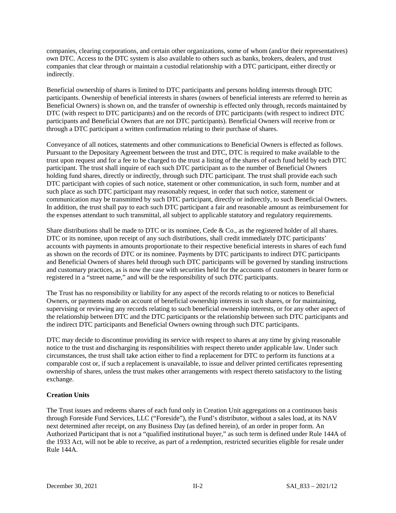companies, clearing corporations, and certain other organizations, some of whom (and/or their representatives) own DTC. Access to the DTC system is also available to others such as banks, brokers, dealers, and trust companies that clear through or maintain a custodial relationship with a DTC participant, either directly or indirectly.

Beneficial ownership of shares is limited to DTC participants and persons holding interests through DTC participants. Ownership of beneficial interests in shares (owners of beneficial interests are referred to herein as Beneficial Owners) is shown on, and the transfer of ownership is effected only through, records maintained by DTC (with respect to DTC participants) and on the records of DTC participants (with respect to indirect DTC participants and Beneficial Owners that are not DTC participants). Beneficial Owners will receive from or through a DTC participant a written confirmation relating to their purchase of shares.

Conveyance of all notices, statements and other communications to Beneficial Owners is effected as follows. Pursuant to the Depositary Agreement between the trust and DTC, DTC is required to make available to the trust upon request and for a fee to be charged to the trust a listing of the shares of each fund held by each DTC participant. The trust shall inquire of each such DTC participant as to the number of Beneficial Owners holding fund shares, directly or indirectly, through such DTC participant. The trust shall provide each such DTC participant with copies of such notice, statement or other communication, in such form, number and at such place as such DTC participant may reasonably request, in order that such notice, statement or communication may be transmitted by such DTC participant, directly or indirectly, to such Beneficial Owners. In addition, the trust shall pay to each such DTC participant a fair and reasonable amount as reimbursement for the expenses attendant to such transmittal, all subject to applicable statutory and regulatory requirements.

Share distributions shall be made to DTC or its nominee, Cede & Co., as the registered holder of all shares. DTC or its nominee, upon receipt of any such distributions, shall credit immediately DTC participants' accounts with payments in amounts proportionate to their respective beneficial interests in shares of each fund as shown on the records of DTC or its nominee. Payments by DTC participants to indirect DTC participants and Beneficial Owners of shares held through such DTC participants will be governed by standing instructions and customary practices, as is now the case with securities held for the accounts of customers in bearer form or registered in a "street name," and will be the responsibility of such DTC participants.

The Trust has no responsibility or liability for any aspect of the records relating to or notices to Beneficial Owners, or payments made on account of beneficial ownership interests in such shares, or for maintaining, supervising or reviewing any records relating to such beneficial ownership interests, or for any other aspect of the relationship between DTC and the DTC participants or the relationship between such DTC participants and the indirect DTC participants and Beneficial Owners owning through such DTC participants.

DTC may decide to discontinue providing its service with respect to shares at any time by giving reasonable notice to the trust and discharging its responsibilities with respect thereto under applicable law. Under such circumstances, the trust shall take action either to find a replacement for DTC to perform its functions at a comparable cost or, if such a replacement is unavailable, to issue and deliver printed certificates representing ownership of shares, unless the trust makes other arrangements with respect thereto satisfactory to the listing exchange.

### **Creation Units**

The Trust issues and redeems shares of each fund only in Creation Unit aggregations on a continuous basis through Foreside Fund Services, LLC ("Foreside"), the Fund's distributor, without a sales load, at its NAV next determined after receipt, on any Business Day (as defined herein), of an order in proper form. An Authorized Participant that is not a "qualified institutional buyer," as such term is defined under Rule 144A of the 1933 Act, will not be able to receive, as part of a redemption, restricted securities eligible for resale under Rule 144A.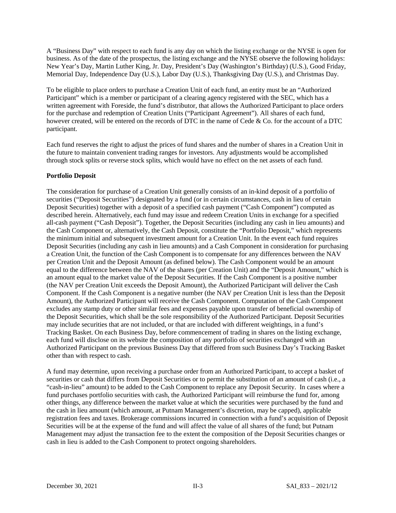A "Business Day" with respect to each fund is any day on which the listing exchange or the NYSE is open for business. As of the date of the prospectus, the listing exchange and the NYSE observe the following holidays: New Year's Day, Martin Luther King, Jr. Day, President's Day (Washington's Birthday) (U.S.), Good Friday, Memorial Day, Independence Day (U.S.), Labor Day (U.S.), Thanksgiving Day (U.S.), and Christmas Day.

To be eligible to place orders to purchase a Creation Unit of each fund, an entity must be an "Authorized Participant" which is a member or participant of a clearing agency registered with the SEC, which has a written agreement with Foreside, the fund's distributor, that allows the Authorized Participant to place orders for the purchase and redemption of Creation Units ("Participant Agreement"). All shares of each fund, however created, will be entered on the records of DTC in the name of Cede & Co. for the account of a DTC participant.

Each fund reserves the right to adjust the prices of fund shares and the number of shares in a Creation Unit in the future to maintain convenient trading ranges for investors. Any adjustments would be accomplished through stock splits or reverse stock splits, which would have no effect on the net assets of each fund.

### **Portfolio Deposit**

The consideration for purchase of a Creation Unit generally consists of an in-kind deposit of a portfolio of securities ("Deposit Securities") designated by a fund (or in certain circumstances, cash in lieu of certain Deposit Securities) together with a deposit of a specified cash payment ("Cash Component") computed as described herein. Alternatively, each fund may issue and redeem Creation Units in exchange for a specified all-cash payment ("Cash Deposit"). Together, the Deposit Securities (including any cash in lieu amounts) and the Cash Component or, alternatively, the Cash Deposit, constitute the "Portfolio Deposit," which represents the minimum initial and subsequent investment amount for a Creation Unit. In the event each fund requires Deposit Securities (including any cash in lieu amounts) and a Cash Component in consideration for purchasing a Creation Unit, the function of the Cash Component is to compensate for any differences between the NAV per Creation Unit and the Deposit Amount (as defined below). The Cash Component would be an amount equal to the difference between the NAV of the shares (per Creation Unit) and the "Deposit Amount," which is an amount equal to the market value of the Deposit Securities. If the Cash Component is a positive number (the NAV per Creation Unit exceeds the Deposit Amount), the Authorized Participant will deliver the Cash Component. If the Cash Component is a negative number (the NAV per Creation Unit is less than the Deposit Amount), the Authorized Participant will receive the Cash Component. Computation of the Cash Component excludes any stamp duty or other similar fees and expenses payable upon transfer of beneficial ownership of the Deposit Securities, which shall be the sole responsibility of the Authorized Participant. Deposit Securities may include securities that are not included, or that are included with different weightings, in a fund's Tracking Basket. On each Business Day, before commencement of trading in shares on the listing exchange, each fund will disclose on its website the composition of any portfolio of securities exchanged with an Authorized Participant on the previous Business Day that differed from such Business Day's Tracking Basket other than with respect to cash.

A fund may determine, upon receiving a purchase order from an Authorized Participant, to accept a basket of securities or cash that differs from Deposit Securities or to permit the substitution of an amount of cash (i.e., a "cash-in-lieu" amount) to be added to the Cash Component to replace any Deposit Security. In cases where a fund purchases portfolio securities with cash, the Authorized Participant will reimburse the fund for, among other things, any difference between the market value at which the securities were purchased by the fund and the cash in lieu amount (which amount, at Putnam Management's discretion, may be capped), applicable registration fees and taxes. Brokerage commissions incurred in connection with a fund's acquisition of Deposit Securities will be at the expense of the fund and will affect the value of all shares of the fund; but Putnam Management may adjust the transaction fee to the extent the composition of the Deposit Securities changes or cash in lieu is added to the Cash Component to protect ongoing shareholders.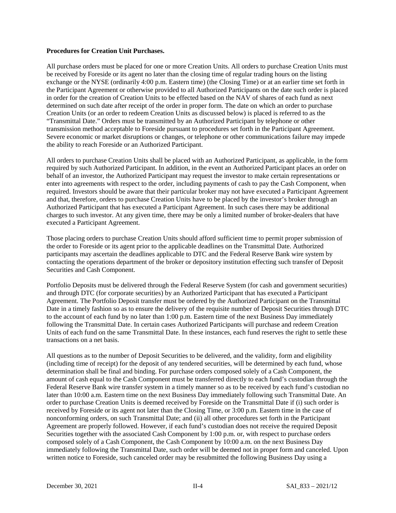#### **Procedures for Creation Unit Purchases.**

All purchase orders must be placed for one or more Creation Units. All orders to purchase Creation Units must be received by Foreside or its agent no later than the closing time of regular trading hours on the listing exchange or the NYSE (ordinarily 4:00 p.m. Eastern time) (the Closing Time) or at an earlier time set forth in the Participant Agreement or otherwise provided to all Authorized Participants on the date such order is placed in order for the creation of Creation Units to be effected based on the NAV of shares of each fund as next determined on such date after receipt of the order in proper form. The date on which an order to purchase Creation Units (or an order to redeem Creation Units as discussed below) is placed is referred to as the "Transmittal Date." Orders must be transmitted by an Authorized Participant by telephone or other transmission method acceptable to Foreside pursuant to procedures set forth in the Participant Agreement. Severe economic or market disruptions or changes, or telephone or other communications failure may impede the ability to reach Foreside or an Authorized Participant.

All orders to purchase Creation Units shall be placed with an Authorized Participant, as applicable, in the form required by such Authorized Participant. In addition, in the event an Authorized Participant places an order on behalf of an investor, the Authorized Participant may request the investor to make certain representations or enter into agreements with respect to the order, including payments of cash to pay the Cash Component, when required. Investors should be aware that their particular broker may not have executed a Participant Agreement and that, therefore, orders to purchase Creation Units have to be placed by the investor's broker through an Authorized Participant that has executed a Participant Agreement. In such cases there may be additional charges to such investor. At any given time, there may be only a limited number of broker-dealers that have executed a Participant Agreement.

Those placing orders to purchase Creation Units should afford sufficient time to permit proper submission of the order to Foreside or its agent prior to the applicable deadlines on the Transmittal Date. Authorized participants may ascertain the deadlines applicable to DTC and the Federal Reserve Bank wire system by contacting the operations department of the broker or depository institution effecting such transfer of Deposit Securities and Cash Component.

Portfolio Deposits must be delivered through the Federal Reserve System (for cash and government securities) and through DTC (for corporate securities) by an Authorized Participant that has executed a Participant Agreement. The Portfolio Deposit transfer must be ordered by the Authorized Participant on the Transmittal Date in a timely fashion so as to ensure the delivery of the requisite number of Deposit Securities through DTC to the account of each fund by no later than 1:00 p.m. Eastern time of the next Business Day immediately following the Transmittal Date. In certain cases Authorized Participants will purchase and redeem Creation Units of each fund on the same Transmittal Date. In these instances, each fund reserves the right to settle these transactions on a net basis.

All questions as to the number of Deposit Securities to be delivered, and the validity, form and eligibility (including time of receipt) for the deposit of any tendered securities, will be determined by each fund, whose determination shall be final and binding. For purchase orders composed solely of a Cash Component, the amount of cash equal to the Cash Component must be transferred directly to each fund's custodian through the Federal Reserve Bank wire transfer system in a timely manner so as to be received by each fund's custodian no later than 10:00 a.m. Eastern time on the next Business Day immediately following such Transmittal Date. An order to purchase Creation Units is deemed received by Foreside on the Transmittal Date if (i) such order is received by Foreside or its agent not later than the Closing Time, or 3:00 p.m. Eastern time in the case of nonconforming orders, on such Transmittal Date; and (ii) all other procedures set forth in the Participant Agreement are properly followed. However, if each fund's custodian does not receive the required Deposit Securities together with the associated Cash Component by 1:00 p.m. or, with respect to purchase orders composed solely of a Cash Component, the Cash Component by 10:00 a.m. on the next Business Day immediately following the Transmittal Date, such order will be deemed not in proper form and canceled. Upon written notice to Foreside, such canceled order may be resubmitted the following Business Day using a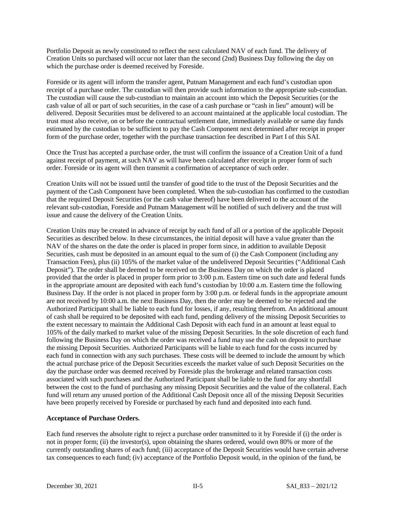Portfolio Deposit as newly constituted to reflect the next calculated NAV of each fund. The delivery of Creation Units so purchased will occur not later than the second (2nd) Business Day following the day on which the purchase order is deemed received by Foreside.

Foreside or its agent will inform the transfer agent, Putnam Management and each fund's custodian upon receipt of a purchase order. The custodian will then provide such information to the appropriate sub-custodian. The custodian will cause the sub-custodian to maintain an account into which the Deposit Securities (or the cash value of all or part of such securities, in the case of a cash purchase or "cash in lieu" amount) will be delivered. Deposit Securities must be delivered to an account maintained at the applicable local custodian. The trust must also receive, on or before the contractual settlement date, immediately available or same day funds estimated by the custodian to be sufficient to pay the Cash Component next determined after receipt in proper form of the purchase order, together with the purchase transaction fee described in Part I of this SAI.

Once the Trust has accepted a purchase order, the trust will confirm the issuance of a Creation Unit of a fund against receipt of payment, at such NAV as will have been calculated after receipt in proper form of such order. Foreside or its agent will then transmit a confirmation of acceptance of such order.

Creation Units will not be issued until the transfer of good title to the trust of the Deposit Securities and the payment of the Cash Component have been completed. When the sub-custodian has confirmed to the custodian that the required Deposit Securities (or the cash value thereof) have been delivered to the account of the relevant sub-custodian, Foreside and Putnam Management will be notified of such delivery and the trust will issue and cause the delivery of the Creation Units.

Creation Units may be created in advance of receipt by each fund of all or a portion of the applicable Deposit Securities as described below. In these circumstances, the initial deposit will have a value greater than the NAV of the shares on the date the order is placed in proper form since, in addition to available Deposit Securities, cash must be deposited in an amount equal to the sum of (i) the Cash Component (including any Transaction Fees), plus (ii) 105% of the market value of the undelivered Deposit Securities ("Additional Cash Deposit"). The order shall be deemed to be received on the Business Day on which the order is placed provided that the order is placed in proper form prior to 3:00 p.m. Eastern time on such date and federal funds in the appropriate amount are deposited with each fund's custodian by 10:00 a.m. Eastern time the following Business Day. If the order is not placed in proper form by 3:00 p.m. or federal funds in the appropriate amount are not received by 10:00 a.m. the next Business Day, then the order may be deemed to be rejected and the Authorized Participant shall be liable to each fund for losses, if any, resulting therefrom. An additional amount of cash shall be required to be deposited with each fund, pending delivery of the missing Deposit Securities to the extent necessary to maintain the Additional Cash Deposit with each fund in an amount at least equal to 105% of the daily marked to market value of the missing Deposit Securities. In the sole discretion of each fund following the Business Day on which the order was received a fund may use the cash on deposit to purchase the missing Deposit Securities. Authorized Participants will be liable to each fund for the costs incurred by each fund in connection with any such purchases. These costs will be deemed to include the amount by which the actual purchase price of the Deposit Securities exceeds the market value of such Deposit Securities on the day the purchase order was deemed received by Foreside plus the brokerage and related transaction costs associated with such purchases and the Authorized Participant shall be liable to the fund for any shortfall between the cost to the fund of purchasing any missing Deposit Securities and the value of the collateral. Each fund will return any unused portion of the Additional Cash Deposit once all of the missing Deposit Securities have been properly received by Foreside or purchased by each fund and deposited into each fund.

#### **Acceptance of Purchase Orders.**

Each fund reserves the absolute right to reject a purchase order transmitted to it by Foreside if (i) the order is not in proper form; (ii) the investor(s), upon obtaining the shares ordered, would own 80% or more of the currently outstanding shares of each fund; (iii) acceptance of the Deposit Securities would have certain adverse tax consequences to each fund; (iv) acceptance of the Portfolio Deposit would, in the opinion of the fund, be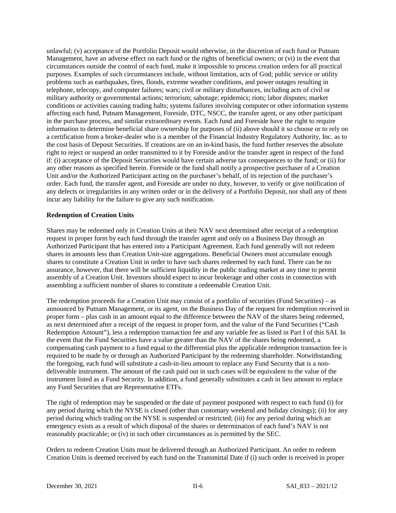unlawful; (v) acceptance of the Portfolio Deposit would otherwise, in the discretion of each fund or Putnam Management, have an adverse effect on each fund or the rights of beneficial owners; or (vi) in the event that circumstances outside the control of each fund, make it impossible to process creation orders for all practical purposes. Examples of such circumstances include, without limitation, acts of God; public service or utility problems such as earthquakes, fires, floods, extreme weather conditions, and power outages resulting in telephone, telecopy, and computer failures; wars; civil or military disturbances, including acts of civil or military authority or governmental actions; terrorism; sabotage; epidemics; riots; labor disputes; market conditions or activities causing trading halts; systems failures involving computer or other information systems affecting each fund, Putnam Management, Foreside, DTC, NSCC, the transfer agent, or any other participant in the purchase process, and similar extraordinary events. Each fund and Foreside have the right to require information to determine beneficial share ownership for purposes of (ii) above should it so choose or to rely on a certification from a broker-dealer who is a member of the Financial Industry Regulatory Authority, Inc. as to the cost basis of Deposit Securities. If creations are on an in-kind basis, the fund further reserves the absolute right to reject or suspend an order transmitted to it by Foreside and/or the transfer agent in respect of the fund if: (i) acceptance of the Deposit Securities would have certain adverse tax consequences to the fund; or (ii) for any other reasons as specified herein. Foreside or the fund shall notify a prospective purchaser of a Creation Unit and/or the Authorized Participant acting on the purchaser's behalf, of its rejection of the purchaser's order. Each fund, the transfer agent, and Foreside are under no duty, however, to verify or give notification of any defects or irregularities in any written order or in the delivery of a Portfolio Deposit, nor shall any of them incur any liability for the failure to give any such notification.

#### **Redemption of Creation Units**

Shares may be redeemed only in Creation Units at their NAV next determined after receipt of a redemption request in proper form by each fund through the transfer agent and only on a Business Day through an Authorized Participant that has entered into a Participant Agreement. Each fund generally will not redeem shares in amounts less than Creation Unit-size aggregations. Beneficial Owners must accumulate enough shares to constitute a Creation Unit in order to have such shares redeemed by each fund. There can be no assurance, however, that there will be sufficient liquidity in the public trading market at any time to permit assembly of a Creation Unit. Investors should expect to incur brokerage and other costs in connection with assembling a sufficient number of shares to constitute a redeemable Creation Unit.

The redemption proceeds for a Creation Unit may consist of a portfolio of securities (Fund Securities) – as announced by Putnam Management, or its agent, on the Business Day of the request for redemption received in proper form – plus cash in an amount equal to the difference between the NAV of the shares being redeemed, as next determined after a receipt of the request in proper form, and the value of the Fund Securities ("Cash Redemption Amount"), less a redemption transaction fee and any variable fee as listed in Part I of this SAI. In the event that the Fund Securities have a value greater than the NAV of the shares being redeemed, a compensating cash payment to a fund equal to the differential plus the applicable redemption transaction fee is required to be made by or through an Authorized Participant by the redeeming shareholder. Notwithstanding the foregoing, each fund will substitute a cash-in-lieu amount to replace any Fund Security that is a nondeliverable instrument. The amount of the cash paid out in such cases will be equivalent to the value of the instrument listed as a Fund Security. In addition, a fund generally substitutes a cash in lieu amount to replace any Fund Securities that are Representative ETFs.

The right of redemption may be suspended or the date of payment postponed with respect to each fund (i) for any period during which the NYSE is closed (other than customary weekend and holiday closings); (ii) for any period during which trading on the NYSE is suspended or restricted; (iii) for any period during which an emergency exists as a result of which disposal of the shares or determination of each fund's NAV is not reasonably practicable; or (iv) in such other circumstances as is permitted by the SEC.

Orders to redeem Creation Units must be delivered through an Authorized Participant. An order to redeem Creation Units is deemed received by each fund on the Transmittal Date if (i) such order is received in proper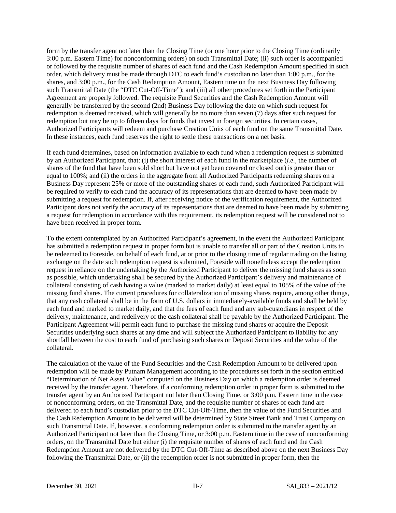form by the transfer agent not later than the Closing Time (or one hour prior to the Closing Time (ordinarily 3:00 p.m. Eastern Time) for nonconforming orders) on such Transmittal Date; (ii) such order is accompanied or followed by the requisite number of shares of each fund and the Cash Redemption Amount specified in such order, which delivery must be made through DTC to each fund's custodian no later than 1:00 p.m., for the shares, and 3:00 p.m., for the Cash Redemption Amount, Eastern time on the next Business Day following such Transmittal Date (the "DTC Cut-Off-Time"); and (iii) all other procedures set forth in the Participant Agreement are properly followed. The requisite Fund Securities and the Cash Redemption Amount will generally be transferred by the second (2nd) Business Day following the date on which such request for redemption is deemed received, which will generally be no more than seven (7) days after such request for redemption but may be up to fifteen days for funds that invest in foreign securities. In certain cases, Authorized Participants will redeem and purchase Creation Units of each fund on the same Transmittal Date. In these instances, each fund reserves the right to settle these transactions on a net basis.

If each fund determines, based on information available to each fund when a redemption request is submitted by an Authorized Participant, that: (i) the short interest of each fund in the marketplace (*i.e.,* the number of shares of the fund that have been sold short but have not yet been covered or closed out) is greater than or equal to 100%; and (ii) the orders in the aggregate from all Authorized Participants redeeming shares on a Business Day represent 25% or more of the outstanding shares of each fund, such Authorized Participant will be required to verify to each fund the accuracy of its representations that are deemed to have been made by submitting a request for redemption. If, after receiving notice of the verification requirement, the Authorized Participant does not verify the accuracy of its representations that are deemed to have been made by submitting a request for redemption in accordance with this requirement, its redemption request will be considered not to have been received in proper form.

To the extent contemplated by an Authorized Participant's agreement, in the event the Authorized Participant has submitted a redemption request in proper form but is unable to transfer all or part of the Creation Units to be redeemed to Foreside, on behalf of each fund, at or prior to the closing time of regular trading on the listing exchange on the date such redemption request is submitted, Foreside will nonetheless accept the redemption request in reliance on the undertaking by the Authorized Participant to deliver the missing fund shares as soon as possible, which undertaking shall be secured by the Authorized Participant's delivery and maintenance of collateral consisting of cash having a value (marked to market daily) at least equal to 105% of the value of the missing fund shares. The current procedures for collateralization of missing shares require, among other things, that any cash collateral shall be in the form of U.S. dollars in immediately-available funds and shall be held by each fund and marked to market daily, and that the fees of each fund and any sub-custodians in respect of the delivery, maintenance, and redelivery of the cash collateral shall be payable by the Authorized Participant. The Participant Agreement will permit each fund to purchase the missing fund shares or acquire the Deposit Securities underlying such shares at any time and will subject the Authorized Participant to liability for any shortfall between the cost to each fund of purchasing such shares or Deposit Securities and the value of the collateral.

The calculation of the value of the Fund Securities and the Cash Redemption Amount to be delivered upon redemption will be made by Putnam Management according to the procedures set forth in the section entitled "Determination of Net Asset Value" computed on the Business Day on which a redemption order is deemed received by the transfer agent. Therefore, if a conforming redemption order in proper form is submitted to the transfer agent by an Authorized Participant not later than Closing Time, or 3:00 p.m. Eastern time in the case of nonconforming orders, on the Transmittal Date, and the requisite number of shares of each fund are delivered to each fund's custodian prior to the DTC Cut-Off-Time, then the value of the Fund Securities and the Cash Redemption Amount to be delivered will be determined by State Street Bank and Trust Company on such Transmittal Date. If, however, a conforming redemption order is submitted to the transfer agent by an Authorized Participant not later than the Closing Time, or 3:00 p.m. Eastern time in the case of nonconforming orders, on the Transmittal Date but either (i) the requisite number of shares of each fund and the Cash Redemption Amount are not delivered by the DTC Cut-Off-Time as described above on the next Business Day following the Transmittal Date, or (ii) the redemption order is not submitted in proper form, then the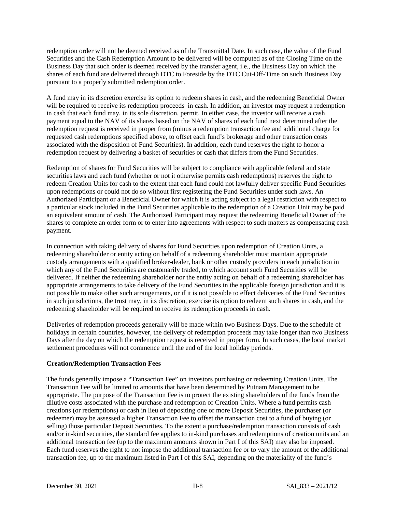redemption order will not be deemed received as of the Transmittal Date. In such case, the value of the Fund Securities and the Cash Redemption Amount to be delivered will be computed as of the Closing Time on the Business Day that such order is deemed received by the transfer agent, i.e., the Business Day on which the shares of each fund are delivered through DTC to Foreside by the DTC Cut-Off-Time on such Business Day pursuant to a properly submitted redemption order.

A fund may in its discretion exercise its option to redeem shares in cash, and the redeeming Beneficial Owner will be required to receive its redemption proceeds in cash. In addition, an investor may request a redemption in cash that each fund may, in its sole discretion, permit. In either case, the investor will receive a cash payment equal to the NAV of its shares based on the NAV of shares of each fund next determined after the redemption request is received in proper from (minus a redemption transaction fee and additional charge for requested cash redemptions specified above, to offset each fund's brokerage and other transaction costs associated with the disposition of Fund Securities). In addition, each fund reserves the right to honor a redemption request by delivering a basket of securities or cash that differs from the Fund Securities.

Redemption of shares for Fund Securities will be subject to compliance with applicable federal and state securities laws and each fund (whether or not it otherwise permits cash redemptions) reserves the right to redeem Creation Units for cash to the extent that each fund could not lawfully deliver specific Fund Securities upon redemptions or could not do so without first registering the Fund Securities under such laws. An Authorized Participant or a Beneficial Owner for which it is acting subject to a legal restriction with respect to a particular stock included in the Fund Securities applicable to the redemption of a Creation Unit may be paid an equivalent amount of cash. The Authorized Participant may request the redeeming Beneficial Owner of the shares to complete an order form or to enter into agreements with respect to such matters as compensating cash payment.

In connection with taking delivery of shares for Fund Securities upon redemption of Creation Units, a redeeming shareholder or entity acting on behalf of a redeeming shareholder must maintain appropriate custody arrangements with a qualified broker-dealer, bank or other custody providers in each jurisdiction in which any of the Fund Securities are customarily traded, to which account such Fund Securities will be delivered. If neither the redeeming shareholder nor the entity acting on behalf of a redeeming shareholder has appropriate arrangements to take delivery of the Fund Securities in the applicable foreign jurisdiction and it is not possible to make other such arrangements, or if it is not possible to effect deliveries of the Fund Securities in such jurisdictions, the trust may, in its discretion, exercise its option to redeem such shares in cash, and the redeeming shareholder will be required to receive its redemption proceeds in cash.

Deliveries of redemption proceeds generally will be made within two Business Days. Due to the schedule of holidays in certain countries, however, the delivery of redemption proceeds may take longer than two Business Days after the day on which the redemption request is received in proper form. In such cases, the local market settlement procedures will not commence until the end of the local holiday periods.

### **Creation/Redemption Transaction Fees**

The funds generally impose a "Transaction Fee" on investors purchasing or redeeming Creation Units. The Transaction Fee will be limited to amounts that have been determined by Putnam Management to be appropriate. The purpose of the Transaction Fee is to protect the existing shareholders of the funds from the dilutive costs associated with the purchase and redemption of Creation Units. Where a fund permits cash creations (or redemptions) or cash in lieu of depositing one or more Deposit Securities, the purchaser (or redeemer) may be assessed a higher Transaction Fee to offset the transaction cost to a fund of buying (or selling) those particular Deposit Securities. To the extent a purchase/redemption transaction consists of cash and/or in-kind securities, the standard fee applies to in-kind purchases and redemptions of creation units and an additional transaction fee (up to the maximum amounts shown in Part I of this SAI) may also be imposed. Each fund reserves the right to not impose the additional transaction fee or to vary the amount of the additional transaction fee, up to the maximum listed in Part I of this SAI, depending on the materiality of the fund's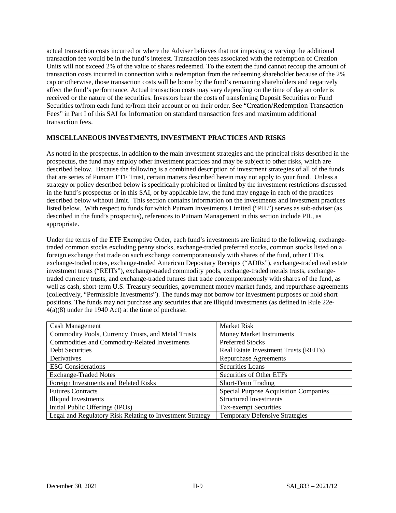actual transaction costs incurred or where the Adviser believes that not imposing or varying the additional transaction fee would be in the fund's interest. Transaction fees associated with the redemption of Creation Units will not exceed 2% of the value of shares redeemed. To the extent the fund cannot recoup the amount of transaction costs incurred in connection with a redemption from the redeeming shareholder because of the 2% cap or otherwise, those transaction costs will be borne by the fund's remaining shareholders and negatively affect the fund's performance. Actual transaction costs may vary depending on the time of day an order is received or the nature of the securities. Investors bear the costs of transferring Deposit Securities or Fund Securities to/from each fund to/from their account or on their order. See "Creation/Redemption Transaction Fees" in Part I of this SAI for information on standard transaction fees and maximum additional transaction fees.

### **MISCELLANEOUS INVESTMENTS, INVESTMENT PRACTICES AND RISKS**

As noted in the prospectus, in addition to the main investment strategies and the principal risks described in the prospectus, the fund may employ other investment practices and may be subject to other risks, which are described below. Because the following is a combined description of investment strategies of all of the funds that are series of Putnam ETF Trust, certain matters described herein may not apply to your fund. Unless a strategy or policy described below is specifically prohibited or limited by the investment restrictions discussed in the fund's prospectus or in this SAI, or by applicable law, the fund may engage in each of the practices described below without limit. This section contains information on the investments and investment practices listed below. With respect to funds for which Putnam Investments Limited ("PIL") serves as sub-adviser (as described in the fund's prospectus), references to Putnam Management in this section include PIL, as appropriate.

Under the terms of the ETF Exemptive Order, each fund's investments are limited to the following: exchangetraded common stocks excluding penny stocks, exchange-traded preferred stocks, common stocks listed on a foreign exchange that trade on such exchange contemporaneously with shares of the fund, other ETFs, exchange-traded notes, exchange-traded American Depositary Receipts ("ADRs"), exchange-traded real estate investment trusts ("REITs"), exchange-traded commodity pools, exchange-traded metals trusts, exchangetraded currency trusts, and exchange-traded futures that trade contemporaneously with shares of the fund, as well as cash, short-term U.S. Treasury securities, government money market funds, and repurchase agreements (collectively, "Permissible Investments"). The funds may not borrow for investment purposes or hold short positions. The funds may not purchase any securities that are illiquid investments (as defined in Rule 22e-4(a)(8) under the 1940 Act) at the time of purchase.

| <b>Cash Management</b>                                    | Market Risk                                  |
|-----------------------------------------------------------|----------------------------------------------|
| Commodity Pools, Currency Trusts, and Metal Trusts        | <b>Money Market Instruments</b>              |
| Commodities and Commodity-Related Investments             | <b>Preferred Stocks</b>                      |
| <b>Debt Securities</b>                                    | Real Estate Investment Trusts (REITs)        |
| Derivatives                                               | Repurchase Agreements                        |
| <b>ESG</b> Considerations                                 | <b>Securities Loans</b>                      |
| <b>Exchange-Traded Notes</b>                              | Securities of Other ETFs                     |
| Foreign Investments and Related Risks                     | <b>Short-Term Trading</b>                    |
| <b>Futures Contracts</b>                                  | <b>Special Purpose Acquisition Companies</b> |
| <b>Illiquid Investments</b>                               | <b>Structured Investments</b>                |
| Initial Public Offerings (IPOs)                           | <b>Tax-exempt Securities</b>                 |
| Legal and Regulatory Risk Relating to Investment Strategy | <b>Temporary Defensive Strategies</b>        |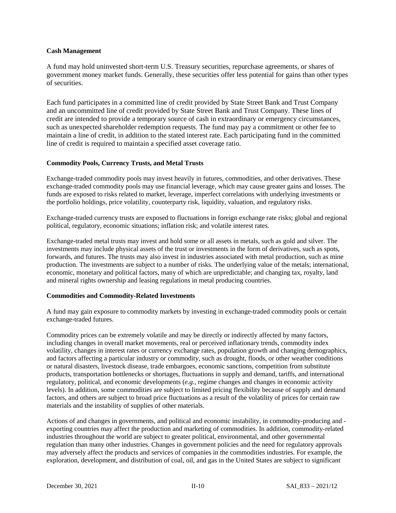#### **Cash Management**

A fund may hold uninvested short-term U.S. Treasury securities, repurchase agreements, or shares of government money market funds. Generally, these securities offer less potential for gains than other types of securities.

Each fund participates in a committed line of credit provided by State Street Bank and Trust Company and an uncommitted line of credit provided by State Street Bank and Trust Company. These lines of credit are intended to provide a temporary source of cash in extraordinary or emergency circumstances, such as unexpected shareholder redemption requests. The fund may pay a commitment or other fee to maintain a line of credit, in addition to the stated interest rate. Each participating fund in the committed line of credit is required to maintain a specified asset coverage ratio.

#### **Commodity Pools, Currency Trusts, and Metal Trusts**

Exchange-traded commodity pools may invest heavily in futures, commodities, and other derivatives. These exchange-traded commodity pools may use financial leverage, which may cause greater gains and losses. The funds are exposed to risks related to market, leverage, imperfect correlations with underlying investments or the portfolio holdings, price volatility, counterparty risk, liquidity, valuation, and regulatory risks.

Exchange-traded currency trusts are exposed to fluctuations in foreign exchange rate risks; global and regional political, regulatory, economic situations; inflation risk; and volatile interest rates.

Exchange-traded metal trusts may invest and hold some or all assets in metals, such as gold and silver. The investments may include physical assets of the trust or investments in the form of derivatives, such as spots, forwards, and futures. The trusts may also invest in industries associated with metal production, such as mine production. The investments are subject to a number of risks. The underlying value of the metals; international, economic, monetary and political factors, many of which are unpredictable; and changing tax, royalty, land and mineral rights ownership and leasing regulations in metal producing countries.

#### **Commodities and Commodity-Related Investments**

A fund may gain exposure to commodity markets by investing in exchange-traded commodity pools or certain exchange-traded futures.

Commodity prices can be extremely volatile and may be directly or indirectly affected by many factors, including changes in overall market movements, real or perceived inflationary trends, commodity index volatility, changes in interest rates or currency exchange rates, population growth and changing demographics, and factors affecting a particular industry or commodity, such as drought, floods, or other weather conditions or natural disasters, livestock disease, trade embargoes, economic sanctions, competition from substitute products, transportation bottlenecks or shortages, fluctuations in supply and demand, tariffs, and international regulatory, political, and economic developments (*e.g.*, regime changes and changes in economic activity levels). In addition, some commodities are subject to limited pricing flexibility because of supply and demand factors, and others are subject to broad price fluctuations as a result of the volatility of prices for certain raw materials and the instability of supplies of other materials.

Actions of and changes in governments, and political and economic instability, in commodity-producing and exporting countries may affect the production and marketing of commodities. In addition, commodity-related industries throughout the world are subject to greater political, environmental, and other governmental regulation than many other industries. Changes in government policies and the need for regulatory approvals may adversely affect the products and services of companies in the commodities industries. For example, the exploration, development, and distribution of coal, oil, and gas in the United States are subject to significant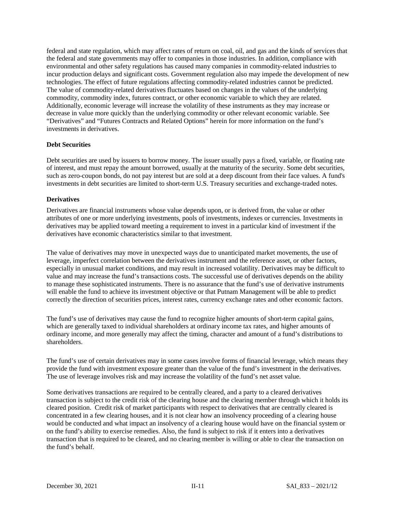federal and state regulation, which may affect rates of return on coal, oil, and gas and the kinds of services that the federal and state governments may offer to companies in those industries. In addition, compliance with environmental and other safety regulations has caused many companies in commodity-related industries to incur production delays and significant costs. Government regulation also may impede the development of new technologies. The effect of future regulations affecting commodity-related industries cannot be predicted. The value of commodity-related derivatives fluctuates based on changes in the values of the underlying commodity, commodity index, futures contract, or other economic variable to which they are related. Additionally, economic leverage will increase the volatility of these instruments as they may increase or decrease in value more quickly than the underlying commodity or other relevant economic variable. See "Derivatives" and "Futures Contracts and Related Options" herein for more information on the fund's investments in derivatives.

#### **Debt Securities**

Debt securities are used by issuers to borrow money. The issuer usually pays a fixed, variable, or floating rate of interest, and must repay the amount borrowed, usually at the maturity of the security. Some debt securities, such as zero-coupon bonds, do not pay interest but are sold at a deep discount from their face values. A fund's investments in debt securities are limited to short-term U.S. Treasury securities and exchange-traded notes.

#### **Derivatives**

Derivatives are financial instruments whose value depends upon, or is derived from, the value or other attributes of one or more underlying investments, pools of investments, indexes or currencies. Investments in derivatives may be applied toward meeting a requirement to invest in a particular kind of investment if the derivatives have economic characteristics similar to that investment.

The value of derivatives may move in unexpected ways due to unanticipated market movements, the use of leverage, imperfect correlation between the derivatives instrument and the reference asset, or other factors, especially in unusual market conditions, and may result in increased volatility. Derivatives may be difficult to value and may increase the fund's transactions costs. The successful use of derivatives depends on the ability to manage these sophisticated instruments. There is no assurance that the fund's use of derivative instruments will enable the fund to achieve its investment objective or that Putnam Management will be able to predict correctly the direction of securities prices, interest rates, currency exchange rates and other economic factors.

The fund's use of derivatives may cause the fund to recognize higher amounts of short-term capital gains, which are generally taxed to individual shareholders at ordinary income tax rates, and higher amounts of ordinary income, and more generally may affect the timing, character and amount of a fund's distributions to shareholders.

The fund's use of certain derivatives may in some cases involve forms of financial leverage, which means they provide the fund with investment exposure greater than the value of the fund's investment in the derivatives. The use of leverage involves risk and may increase the volatility of the fund's net asset value.

Some derivatives transactions are required to be centrally cleared, and a party to a cleared derivatives transaction is subject to the credit risk of the clearing house and the clearing member through which it holds its cleared position. Credit risk of market participants with respect to derivatives that are centrally cleared is concentrated in a few clearing houses, and it is not clear how an insolvency proceeding of a clearing house would be conducted and what impact an insolvency of a clearing house would have on the financial system or on the fund's ability to exercise remedies. Also, the fund is subject to risk if it enters into a derivatives transaction that is required to be cleared, and no clearing member is willing or able to clear the transaction on the fund's behalf.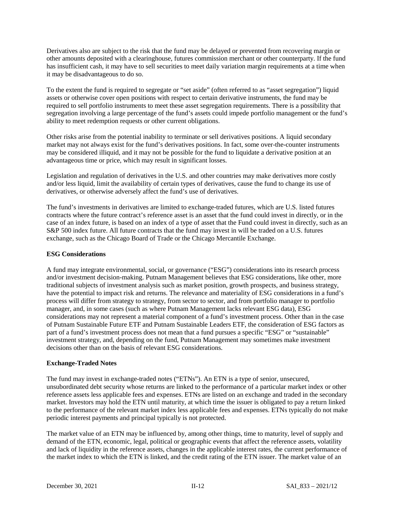Derivatives also are subject to the risk that the fund may be delayed or prevented from recovering margin or other amounts deposited with a clearinghouse, futures commission merchant or other counterparty. If the fund has insufficient cash, it may have to sell securities to meet daily variation margin requirements at a time when it may be disadvantageous to do so.

To the extent the fund is required to segregate or "set aside" (often referred to as "asset segregation") liquid assets or otherwise cover open positions with respect to certain derivative instruments, the fund may be required to sell portfolio instruments to meet these asset segregation requirements. There is a possibility that segregation involving a large percentage of the fund's assets could impede portfolio management or the fund's ability to meet redemption requests or other current obligations.

Other risks arise from the potential inability to terminate or sell derivatives positions. A liquid secondary market may not always exist for the fund's derivatives positions. In fact, some over-the-counter instruments may be considered illiquid, and it may not be possible for the fund to liquidate a derivative position at an advantageous time or price, which may result in significant losses.

Legislation and regulation of derivatives in the U.S. and other countries may make derivatives more costly and/or less liquid, limit the availability of certain types of derivatives, cause the fund to change its use of derivatives, or otherwise adversely affect the fund's use of derivatives.

The fund's investments in derivatives are limited to exchange-traded futures, which are U.S. listed futures contracts where the future contract's reference asset is an asset that the fund could invest in directly, or in the case of an index future, is based on an index of a type of asset that the Fund could invest in directly, such as an S&P 500 index future. All future contracts that the fund may invest in will be traded on a U.S. futures exchange, such as the Chicago Board of Trade or the Chicago Mercantile Exchange.

#### **ESG Considerations**

A fund may integrate environmental, social, or governance ("ESG") considerations into its research process and/or investment decision-making. Putnam Management believes that ESG considerations, like other, more traditional subjects of investment analysis such as market position, growth prospects, and business strategy, have the potential to impact risk and returns. The relevance and materiality of ESG considerations in a fund's process will differ from strategy to strategy, from sector to sector, and from portfolio manager to portfolio manager, and, in some cases (such as where Putnam Management lacks relevant ESG data), ESG considerations may not represent a material component of a fund's investment process. Other than in the case of Putnam Sustainable Future ETF and Putnam Sustainable Leaders ETF, the consideration of ESG factors as part of a fund's investment process does not mean that a fund pursues a specific "ESG" or "sustainable" investment strategy, and, depending on the fund, Putnam Management may sometimes make investment decisions other than on the basis of relevant ESG considerations.

### **Exchange-Traded Notes**

The fund may invest in exchange-traded notes ("ETNs"). An ETN is a type of senior, unsecured, unsubordinated debt security whose returns are linked to the performance of a particular market index or other reference assets less applicable fees and expenses. ETNs are listed on an exchange and traded in the secondary market. Investors may hold the ETN until maturity, at which time the issuer is obligated to pay a return linked to the performance of the relevant market index less applicable fees and expenses. ETNs typically do not make periodic interest payments and principal typically is not protected.

The market value of an ETN may be influenced by, among other things, time to maturity, level of supply and demand of the ETN, economic, legal, political or geographic events that affect the reference assets, volatility and lack of liquidity in the reference assets, changes in the applicable interest rates, the current performance of the market index to which the ETN is linked, and the credit rating of the ETN issuer. The market value of an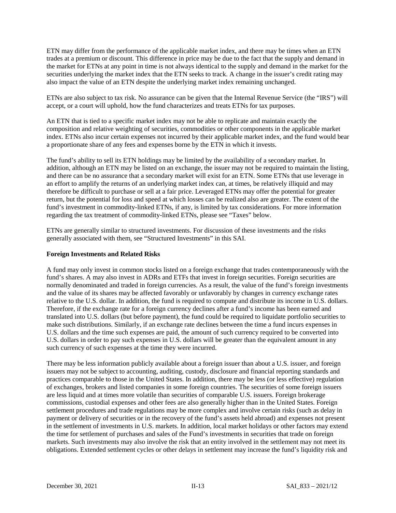ETN may differ from the performance of the applicable market index, and there may be times when an ETN trades at a premium or discount. This difference in price may be due to the fact that the supply and demand in the market for ETNs at any point in time is not always identical to the supply and demand in the market for the securities underlying the market index that the ETN seeks to track. A change in the issuer's credit rating may also impact the value of an ETN despite the underlying market index remaining unchanged.

ETNs are also subject to tax risk. No assurance can be given that the Internal Revenue Service (the "IRS") will accept, or a court will uphold, how the fund characterizes and treats ETNs for tax purposes.

An ETN that is tied to a specific market index may not be able to replicate and maintain exactly the composition and relative weighting of securities, commodities or other components in the applicable market index. ETNs also incur certain expenses not incurred by their applicable market index, and the fund would bear a proportionate share of any fees and expenses borne by the ETN in which it invests.

The fund's ability to sell its ETN holdings may be limited by the availability of a secondary market. In addition, although an ETN may be listed on an exchange, the issuer may not be required to maintain the listing, and there can be no assurance that a secondary market will exist for an ETN. Some ETNs that use leverage in an effort to amplify the returns of an underlying market index can, at times, be relatively illiquid and may therefore be difficult to purchase or sell at a fair price. Leveraged ETNs may offer the potential for greater return, but the potential for loss and speed at which losses can be realized also are greater. The extent of the fund's investment in commodity-linked ETNs, if any, is limited by tax considerations. For more information regarding the tax treatment of commodity-linked ETNs, please see "Taxes" below.

ETNs are generally similar to structured investments. For discussion of these investments and the risks generally associated with them, see "Structured Investments" in this SAI.

#### **Foreign Investments and Related Risks**

A fund may only invest in common stocks listed on a foreign exchange that trades contemporaneously with the fund's shares. A may also invest in ADRs and ETFs that invest in foreign securities. Foreign securities are normally denominated and traded in foreign currencies. As a result, the value of the fund's foreign investments and the value of its shares may be affected favorably or unfavorably by changes in currency exchange rates relative to the U.S. dollar. In addition, the fund is required to compute and distribute its income in U.S. dollars. Therefore, if the exchange rate for a foreign currency declines after a fund's income has been earned and translated into U.S. dollars (but before payment), the fund could be required to liquidate portfolio securities to make such distributions. Similarly, if an exchange rate declines between the time a fund incurs expenses in U.S. dollars and the time such expenses are paid, the amount of such currency required to be converted into U.S. dollars in order to pay such expenses in U.S. dollars will be greater than the equivalent amount in any such currency of such expenses at the time they were incurred.

There may be less information publicly available about a foreign issuer than about a U.S. issuer, and foreign issuers may not be subject to accounting, auditing, custody, disclosure and financial reporting standards and practices comparable to those in the United States. In addition, there may be less (or less effective) regulation of exchanges, brokers and listed companies in some foreign countries. The securities of some foreign issuers are less liquid and at times more volatile than securities of comparable U.S. issuers. Foreign brokerage commissions, custodial expenses and other fees are also generally higher than in the United States. Foreign settlement procedures and trade regulations may be more complex and involve certain risks (such as delay in payment or delivery of securities or in the recovery of the fund's assets held abroad) and expenses not present in the settlement of investments in U.S. markets. In addition, local market holidays or other factors may extend the time for settlement of purchases and sales of the Fund's investments in securities that trade on foreign markets. Such investments may also involve the risk that an entity involved in the settlement may not meet its obligations. Extended settlement cycles or other delays in settlement may increase the fund's liquidity risk and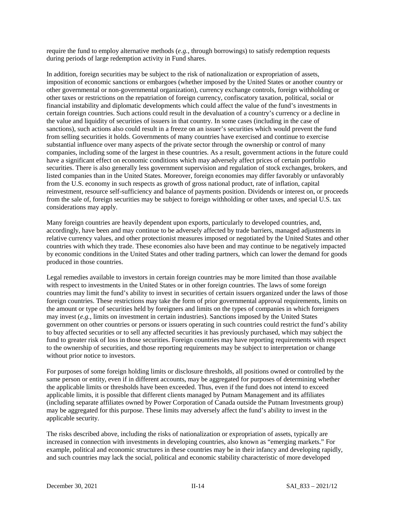require the fund to employ alternative methods (*e.g.*, through borrowings) to satisfy redemption requests during periods of large redemption activity in Fund shares.

In addition, foreign securities may be subject to the risk of nationalization or expropriation of assets, imposition of economic sanctions or embargoes (whether imposed by the United States or another country or other governmental or non-governmental organization), currency exchange controls, foreign withholding or other taxes or restrictions on the repatriation of foreign currency, confiscatory taxation, political, social or financial instability and diplomatic developments which could affect the value of the fund's investments in certain foreign countries. Such actions could result in the devaluation of a country's currency or a decline in the value and liquidity of securities of issuers in that country. In some cases (including in the case of sanctions), such actions also could result in a freeze on an issuer's securities which would prevent the fund from selling securities it holds. Governments of many countries have exercised and continue to exercise substantial influence over many aspects of the private sector through the ownership or control of many companies, including some of the largest in these countries. As a result, government actions in the future could have a significant effect on economic conditions which may adversely affect prices of certain portfolio securities. There is also generally less government supervision and regulation of stock exchanges, brokers, and listed companies than in the United States. Moreover, foreign economies may differ favorably or unfavorably from the U.S. economy in such respects as growth of gross national product, rate of inflation, capital reinvestment, resource self-sufficiency and balance of payments position. Dividends or interest on, or proceeds from the sale of, foreign securities may be subject to foreign withholding or other taxes, and special U.S. tax considerations may apply.

Many foreign countries are heavily dependent upon exports, particularly to developed countries, and, accordingly, have been and may continue to be adversely affected by trade barriers, managed adjustments in relative currency values, and other protectionist measures imposed or negotiated by the United States and other countries with which they trade. These economies also have been and may continue to be negatively impacted by economic conditions in the United States and other trading partners, which can lower the demand for goods produced in those countries.

Legal remedies available to investors in certain foreign countries may be more limited than those available with respect to investments in the United States or in other foreign countries. The laws of some foreign countries may limit the fund's ability to invest in securities of certain issuers organized under the laws of those foreign countries. These restrictions may take the form of prior governmental approval requirements, limits on the amount or type of securities held by foreigners and limits on the types of companies in which foreigners may invest (*e.g.*, limits on investment in certain industries). Sanctions imposed by the United States government on other countries or persons or issuers operating in such countries could restrict the fund's ability to buy affected securities or to sell any affected securities it has previously purchased, which may subject the fund to greater risk of loss in those securities. Foreign countries may have reporting requirements with respect to the ownership of securities, and those reporting requirements may be subject to interpretation or change without prior notice to investors.

For purposes of some foreign holding limits or disclosure thresholds, all positions owned or controlled by the same person or entity, even if in different accounts, may be aggregated for purposes of determining whether the applicable limits or thresholds have been exceeded. Thus, even if the fund does not intend to exceed applicable limits, it is possible that different clients managed by Putnam Management and its affiliates (including separate affiliates owned by Power Corporation of Canada outside the Putnam Investments group) may be aggregated for this purpose. These limits may adversely affect the fund's ability to invest in the applicable security.

The risks described above, including the risks of nationalization or expropriation of assets, typically are increased in connection with investments in developing countries, also known as "emerging markets." For example, political and economic structures in these countries may be in their infancy and developing rapidly, and such countries may lack the social, political and economic stability characteristic of more developed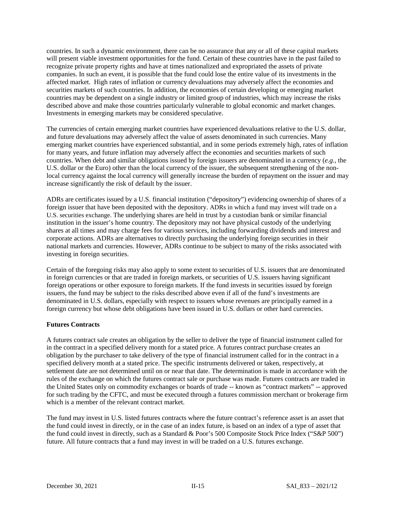countries. In such a dynamic environment, there can be no assurance that any or all of these capital markets will present viable investment opportunities for the fund. Certain of these countries have in the past failed to recognize private property rights and have at times nationalized and expropriated the assets of private companies. In such an event, it is possible that the fund could lose the entire value of its investments in the affected market. High rates of inflation or currency devaluations may adversely affect the economies and securities markets of such countries. In addition, the economies of certain developing or emerging market countries may be dependent on a single industry or limited group of industries, which may increase the risks described above and make those countries particularly vulnerable to global economic and market changes. Investments in emerging markets may be considered speculative.

The currencies of certain emerging market countries have experienced devaluations relative to the U.S. dollar, and future devaluations may adversely affect the value of assets denominated in such currencies. Many emerging market countries have experienced substantial, and in some periods extremely high, rates of inflation for many years, and future inflation may adversely affect the economies and securities markets of such countries. When debt and similar obligations issued by foreign issuers are denominated in a currency (*e.g.*, the U.S. dollar or the Euro) other than the local currency of the issuer, the subsequent strengthening of the nonlocal currency against the local currency will generally increase the burden of repayment on the issuer and may increase significantly the risk of default by the issuer.

ADRs are certificates issued by a U.S. financial institution ("depository") evidencing ownership of shares of a foreign issuer that have been deposited with the depository. ADRs in which a fund may invest will trade on a U.S. securities exchange. The underlying shares are held in trust by a custodian bank or similar financial institution in the issuer's home country. The depository may not have physical custody of the underlying shares at all times and may charge fees for various services, including forwarding dividends and interest and corporate actions. ADRs are alternatives to directly purchasing the underlying foreign securities in their national markets and currencies. However, ADRs continue to be subject to many of the risks associated with investing in foreign securities.

Certain of the foregoing risks may also apply to some extent to securities of U.S. issuers that are denominated in foreign currencies or that are traded in foreign markets, or securities of U.S. issuers having significant foreign operations or other exposure to foreign markets. If the fund invests in securities issued by foreign issuers, the fund may be subject to the risks described above even if all of the fund's investments are denominated in U.S. dollars, especially with respect to issuers whose revenues are principally earned in a foreign currency but whose debt obligations have been issued in U.S. dollars or other hard currencies.

### **Futures Contracts**

A futures contract sale creates an obligation by the seller to deliver the type of financial instrument called for in the contract in a specified delivery month for a stated price. A futures contract purchase creates an obligation by the purchaser to take delivery of the type of financial instrument called for in the contract in a specified delivery month at a stated price. The specific instruments delivered or taken, respectively, at settlement date are not determined until on or near that date. The determination is made in accordance with the rules of the exchange on which the futures contract sale or purchase was made. Futures contracts are traded in the United States only on commodity exchanges or boards of trade -- known as "contract markets" -- approved for such trading by the CFTC, and must be executed through a futures commission merchant or brokerage firm which is a member of the relevant contract market.

The fund may invest in U.S. listed futures contracts where the future contract's reference asset is an asset that the fund could invest in directly, or in the case of an index future, is based on an index of a type of asset that the fund could invest in directly, such as a Standard & Poor's 500 Composite Stock Price Index ("S&P 500") future. All future contracts that a fund may invest in will be traded on a U.S. futures exchange.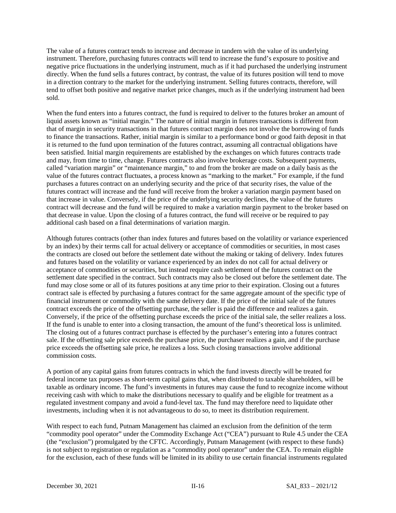The value of a futures contract tends to increase and decrease in tandem with the value of its underlying instrument. Therefore, purchasing futures contracts will tend to increase the fund's exposure to positive and negative price fluctuations in the underlying instrument, much as if it had purchased the underlying instrument directly. When the fund sells a futures contract, by contrast, the value of its futures position will tend to move in a direction contrary to the market for the underlying instrument. Selling futures contracts, therefore, will tend to offset both positive and negative market price changes, much as if the underlying instrument had been sold.

When the fund enters into a futures contract, the fund is required to deliver to the futures broker an amount of liquid assets known as "initial margin." The nature of initial margin in futures transactions is different from that of margin in security transactions in that futures contract margin does not involve the borrowing of funds to finance the transactions. Rather, initial margin is similar to a performance bond or good faith deposit in that it is returned to the fund upon termination of the futures contract, assuming all contractual obligations have been satisfied. Initial margin requirements are established by the exchanges on which futures contracts trade and may, from time to time, change. Futures contracts also involve brokerage costs. Subsequent payments, called "variation margin" or "maintenance margin," to and from the broker are made on a daily basis as the value of the futures contract fluctuates, a process known as "marking to the market." For example, if the fund purchases a futures contract on an underlying security and the price of that security rises, the value of the futures contract will increase and the fund will receive from the broker a variation margin payment based on that increase in value. Conversely, if the price of the underlying security declines, the value of the futures contract will decrease and the fund will be required to make a variation margin payment to the broker based on that decrease in value. Upon the closing of a futures contract, the fund will receive or be required to pay additional cash based on a final determinations of variation margin.

Although futures contracts (other than index futures and futures based on the volatility or variance experienced by an index) by their terms call for actual delivery or acceptance of commodities or securities, in most cases the contracts are closed out before the settlement date without the making or taking of delivery. Index futures and futures based on the volatility or variance experienced by an index do not call for actual delivery or acceptance of commodities or securities, but instead require cash settlement of the futures contract on the settlement date specified in the contract. Such contracts may also be closed out before the settlement date. The fund may close some or all of its futures positions at any time prior to their expiration. Closing out a futures contract sale is effected by purchasing a futures contract for the same aggregate amount of the specific type of financial instrument or commodity with the same delivery date. If the price of the initial sale of the futures contract exceeds the price of the offsetting purchase, the seller is paid the difference and realizes a gain. Conversely, if the price of the offsetting purchase exceeds the price of the initial sale, the seller realizes a loss. If the fund is unable to enter into a closing transaction, the amount of the fund's theoretical loss is unlimited. The closing out of a futures contract purchase is effected by the purchaser's entering into a futures contract sale. If the offsetting sale price exceeds the purchase price, the purchaser realizes a gain, and if the purchase price exceeds the offsetting sale price, he realizes a loss. Such closing transactions involve additional commission costs.

A portion of any capital gains from futures contracts in which the fund invests directly will be treated for federal income tax purposes as short-term capital gains that, when distributed to taxable shareholders, will be taxable as ordinary income. The fund's investments in futures may cause the fund to recognize income without receiving cash with which to make the distributions necessary to qualify and be eligible for treatment as a regulated investment company and avoid a fund-level tax. The fund may therefore need to liquidate other investments, including when it is not advantageous to do so, to meet its distribution requirement.

With respect to each fund, Putnam Management has claimed an exclusion from the definition of the term "commodity pool operator" under the Commodity Exchange Act ("CEA") pursuant to Rule 4.5 under the CEA (the "exclusion") promulgated by the CFTC. Accordingly, Putnam Management (with respect to these funds) is not subject to registration or regulation as a "commodity pool operator" under the CEA. To remain eligible for the exclusion, each of these funds will be limited in its ability to use certain financial instruments regulated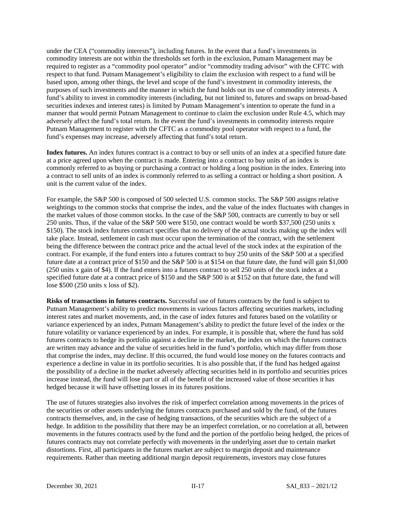under the CEA ("commodity interests"), including futures. In the event that a fund's investments in commodity interests are not within the thresholds set forth in the exclusion, Putnam Management may be required to register as a "commodity pool operator" and/or "commodity trading advisor" with the CFTC with respect to that fund. Putnam Management's eligibility to claim the exclusion with respect to a fund will be based upon, among other things, the level and scope of the fund's investment in commodity interests, the purposes of such investments and the manner in which the fund holds out its use of commodity interests. A fund's ability to invest in commodity interests (including, but not limited to, futures and swaps on broad-based securities indexes and interest rates) is limited by Putnam Management's intention to operate the fund in a manner that would permit Putnam Management to continue to claim the exclusion under Rule 4.5, which may adversely affect the fund's total return. In the event the fund's investments in commodity interests require Putnam Management to register with the CFTC as a commodity pool operator with respect to a fund, the fund's expenses may increase, adversely affecting that fund's total return.

**Index futures.** An index futures contract is a contract to buy or sell units of an index at a specified future date at a price agreed upon when the contract is made. Entering into a contract to buy units of an index is commonly referred to as buying or purchasing a contract or holding a long position in the index. Entering into a contract to sell units of an index is commonly referred to as selling a contract or holding a short position. A unit is the current value of the index.

For example, the S&P 500 is composed of 500 selected U.S. common stocks. The S&P 500 assigns relative weightings to the common stocks that comprise the index, and the value of the index fluctuates with changes in the market values of those common stocks. In the case of the S&P 500, contracts are currently to buy or sell 250 units. Thus, if the value of the S&P 500 were \$150, one contract would be worth \$37,500 (250 units x \$150). The stock index futures contract specifies that no delivery of the actual stocks making up the index will take place. Instead, settlement in cash must occur upon the termination of the contract, with the settlement being the difference between the contract price and the actual level of the stock index at the expiration of the contract. For example, if the fund enters into a futures contract to buy 250 units of the S&P 500 at a specified future date at a contract price of \$150 and the S&P 500 is at \$154 on that future date, the fund will gain \$1,000 (250 units x gain of \$4). If the fund enters into a futures contract to sell 250 units of the stock index at a specified future date at a contract price of \$150 and the S&P 500 is at \$152 on that future date, the fund will lose \$500 (250 units x loss of \$2).

**Risks of transactions in futures contracts.** Successful use of futures contracts by the fund is subject to Putnam Management's ability to predict movements in various factors affecting securities markets, including interest rates and market movements, and, in the case of index futures and futures based on the volatility or variance experienced by an index, Putnam Management's ability to predict the future level of the index or the future volatility or variance experienced by an index. For example, it is possible that, where the fund has sold futures contracts to hedge its portfolio against a decline in the market, the index on which the futures contracts are written may advance and the value of securities held in the fund's portfolio, which may differ from those that comprise the index, may decline. If this occurred, the fund would lose money on the futures contracts and experience a decline in value in its portfolio securities. It is also possible that, if the fund has hedged against the possibility of a decline in the market adversely affecting securities held in its portfolio and securities prices increase instead, the fund will lose part or all of the benefit of the increased value of those securities it has hedged because it will have offsetting losses in its futures positions.

The use of futures strategies also involves the risk of imperfect correlation among movements in the prices of the securities or other assets underlying the futures contracts purchased and sold by the fund, of the futures contracts themselves, and, in the case of hedging transactions, of the securities which are the subject of a hedge. In addition to the possibility that there may be an imperfect correlation, or no correlation at all, between movements in the futures contracts used by the fund and the portion of the portfolio being hedged, the prices of futures contracts may not correlate perfectly with movements in the underlying asset due to certain market distortions. First, all participants in the futures market are subject to margin deposit and maintenance requirements. Rather than meeting additional margin deposit requirements, investors may close futures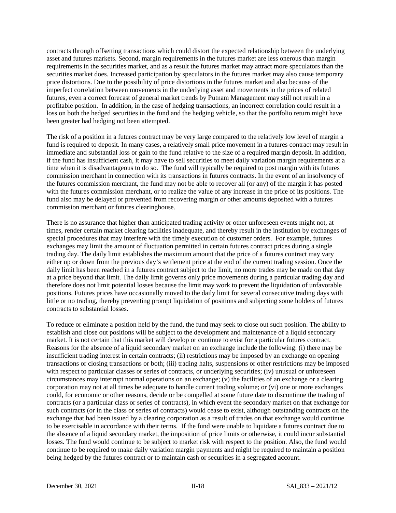contracts through offsetting transactions which could distort the expected relationship between the underlying asset and futures markets. Second, margin requirements in the futures market are less onerous than margin requirements in the securities market, and as a result the futures market may attract more speculators than the securities market does. Increased participation by speculators in the futures market may also cause temporary price distortions. Due to the possibility of price distortions in the futures market and also because of the imperfect correlation between movements in the underlying asset and movements in the prices of related futures, even a correct forecast of general market trends by Putnam Management may still not result in a profitable position. In addition, in the case of hedging transactions, an incorrect correlation could result in a loss on both the hedged securities in the fund and the hedging vehicle, so that the portfolio return might have been greater had hedging not been attempted.

The risk of a position in a futures contract may be very large compared to the relatively low level of margin a fund is required to deposit. In many cases, a relatively small price movement in a futures contract may result in immediate and substantial loss or gain to the fund relative to the size of a required margin deposit. In addition, if the fund has insufficient cash, it may have to sell securities to meet daily variation margin requirements at a time when it is disadvantageous to do so. The fund will typically be required to post margin with its futures commission merchant in connection with its transactions in futures contracts. In the event of an insolvency of the futures commission merchant, the fund may not be able to recover all (or any) of the margin it has posted with the futures commission merchant, or to realize the value of any increase in the price of its positions. The fund also may be delayed or prevented from recovering margin or other amounts deposited with a futures commission merchant or futures clearinghouse.

There is no assurance that higher than anticipated trading activity or other unforeseen events might not, at times, render certain market clearing facilities inadequate, and thereby result in the institution by exchanges of special procedures that may interfere with the timely execution of customer orders. For example, futures exchanges may limit the amount of fluctuation permitted in certain futures contract prices during a single trading day. The daily limit establishes the maximum amount that the price of a futures contract may vary either up or down from the previous day's settlement price at the end of the current trading session. Once the daily limit has been reached in a futures contract subject to the limit, no more trades may be made on that day at a price beyond that limit. The daily limit governs only price movements during a particular trading day and therefore does not limit potential losses because the limit may work to prevent the liquidation of unfavorable positions. Futures prices have occasionally moved to the daily limit for several consecutive trading days with little or no trading, thereby preventing prompt liquidation of positions and subjecting some holders of futures contracts to substantial losses.

To reduce or eliminate a position held by the fund, the fund may seek to close out such position. The ability to establish and close out positions will be subject to the development and maintenance of a liquid secondary market. It is not certain that this market will develop or continue to exist for a particular futures contract. Reasons for the absence of a liquid secondary market on an exchange include the following: (i) there may be insufficient trading interest in certain contracts; (ii) restrictions may be imposed by an exchange on opening transactions or closing transactions or both; (iii) trading halts, suspensions or other restrictions may be imposed with respect to particular classes or series of contracts, or underlying securities; (iv) unusual or unforeseen circumstances may interrupt normal operations on an exchange; (v) the facilities of an exchange or a clearing corporation may not at all times be adequate to handle current trading volume; or (vi) one or more exchanges could, for economic or other reasons, decide or be compelled at some future date to discontinue the trading of contracts (or a particular class or series of contracts), in which event the secondary market on that exchange for such contracts (or in the class or series of contracts) would cease to exist, although outstanding contracts on the exchange that had been issued by a clearing corporation as a result of trades on that exchange would continue to be exercisable in accordance with their terms. If the fund were unable to liquidate a futures contract due to the absence of a liquid secondary market, the imposition of price limits or otherwise, it could incur substantial losses. The fund would continue to be subject to market risk with respect to the position. Also, the fund would continue to be required to make daily variation margin payments and might be required to maintain a position being hedged by the futures contract or to maintain cash or securities in a segregated account.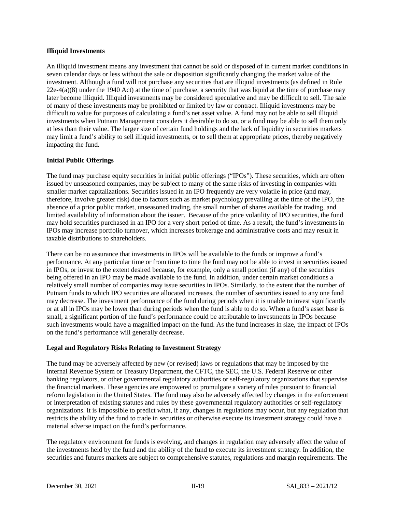#### **Illiquid Investments**

An illiquid investment means any investment that cannot be sold or disposed of in current market conditions in seven calendar days or less without the sale or disposition significantly changing the market value of the investment. Although a fund will not purchase any securities that are illiquid investments (as defined in Rule 22e-4(a)(8) under the 1940 Act) at the time of purchase, a security that was liquid at the time of purchase may later become illiquid. Illiquid investments may be considered speculative and may be difficult to sell. The sale of many of these investments may be prohibited or limited by law or contract. Illiquid investments may be difficult to value for purposes of calculating a fund's net asset value. A fund may not be able to sell illiquid investments when Putnam Management considers it desirable to do so, or a fund may be able to sell them only at less than their value. The larger size of certain fund holdings and the lack of liquidity in securities markets may limit a fund's ability to sell illiquid investments, or to sell them at appropriate prices, thereby negatively impacting the fund.

### **Initial Public Offerings**

The fund may purchase equity securities in initial public offerings ("IPOs"). These securities, which are often issued by unseasoned companies, may be subject to many of the same risks of investing in companies with smaller market capitalizations. Securities issued in an IPO frequently are very volatile in price (and may, therefore, involve greater risk) due to factors such as market psychology prevailing at the time of the IPO, the absence of a prior public market, unseasoned trading, the small number of shares available for trading, and limited availability of information about the issuer. Because of the price volatility of IPO securities, the fund may hold securities purchased in an IPO for a very short period of time. As a result, the fund's investments in IPOs may increase portfolio turnover, which increases brokerage and administrative costs and may result in taxable distributions to shareholders.

There can be no assurance that investments in IPOs will be available to the funds or improve a fund's performance. At any particular time or from time to time the fund may not be able to invest in securities issued in IPOs, or invest to the extent desired because, for example, only a small portion (if any) of the securities being offered in an IPO may be made available to the fund. In addition, under certain market conditions a relatively small number of companies may issue securities in IPOs. Similarly, to the extent that the number of Putnam funds to which IPO securities are allocated increases, the number of securities issued to any one fund may decrease. The investment performance of the fund during periods when it is unable to invest significantly or at all in IPOs may be lower than during periods when the fund is able to do so. When a fund's asset base is small, a significant portion of the fund's performance could be attributable to investments in IPOs because such investments would have a magnified impact on the fund. As the fund increases in size, the impact of IPOs on the fund's performance will generally decrease.

### **Legal and Regulatory Risks Relating to Investment Strategy**

The fund may be adversely affected by new (or revised) laws or regulations that may be imposed by the Internal Revenue System or Treasury Department, the CFTC, the SEC, the U.S. Federal Reserve or other banking regulators, or other governmental regulatory authorities or self-regulatory organizations that supervise the financial markets. These agencies are empowered to promulgate a variety of rules pursuant to financial reform legislation in the United States. The fund may also be adversely affected by changes in the enforcement or interpretation of existing statutes and rules by these governmental regulatory authorities or self-regulatory organizations. It is impossible to predict what, if any, changes in regulations may occur, but any regulation that restricts the ability of the fund to trade in securities or otherwise execute its investment strategy could have a material adverse impact on the fund's performance.

The regulatory environment for funds is evolving, and changes in regulation may adversely affect the value of the investments held by the fund and the ability of the fund to execute its investment strategy. In addition, the securities and futures markets are subject to comprehensive statutes, regulations and margin requirements. The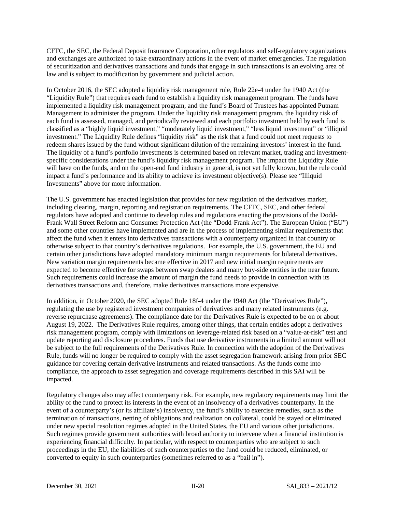CFTC, the SEC, the Federal Deposit Insurance Corporation, other regulators and self-regulatory organizations and exchanges are authorized to take extraordinary actions in the event of market emergencies. The regulation of securitization and derivatives transactions and funds that engage in such transactions is an evolving area of law and is subject to modification by government and judicial action.

In October 2016, the SEC adopted a liquidity risk management rule, Rule 22e-4 under the 1940 Act (the "Liquidity Rule") that requires each fund to establish a liquidity risk management program. The funds have implemented a liquidity risk management program, and the fund's Board of Trustees has appointed Putnam Management to administer the program. Under the liquidity risk management program, the liquidity risk of each fund is assessed, managed, and periodically reviewed and each portfolio investment held by each fund is classified as a "highly liquid investment," "moderately liquid investment," "less liquid investment" or "illiquid investment." The Liquidity Rule defines "liquidity risk" as the risk that a fund could not meet requests to redeem shares issued by the fund without significant dilution of the remaining investors' interest in the fund. The liquidity of a fund's portfolio investments is determined based on relevant market, trading and investmentspecific considerations under the fund's liquidity risk management program. The impact the Liquidity Rule will have on the funds, and on the open-end fund industry in general, is not yet fully known, but the rule could impact a fund's performance and its ability to achieve its investment objective(s). Please see "Illiquid Investments" above for more information.

The U.S. government has enacted legislation that provides for new regulation of the derivatives market, including clearing, margin, reporting and registration requirements. The CFTC, SEC, and other federal regulators have adopted and continue to develop rules and regulations enacting the provisions of the Dodd-Frank Wall Street Reform and Consumer Protection Act (the "Dodd-Frank Act"). The European Union ("EU") and some other countries have implemented and are in the process of implementing similar requirements that affect the fund when it enters into derivatives transactions with a counterparty organized in that country or otherwise subject to that country's derivatives regulations. For example, the U.S. government, the EU and certain other jurisdictions have adopted mandatory minimum margin requirements for bilateral derivatives. New variation margin requirements became effective in 2017 and new initial margin requirements are expected to become effective for swaps between swap dealers and many buy-side entities in the near future. Such requirements could increase the amount of margin the fund needs to provide in connection with its derivatives transactions and, therefore, make derivatives transactions more expensive.

In addition, in October 2020, the SEC adopted Rule 18f-4 under the 1940 Act (the "Derivatives Rule"), regulating the use by registered investment companies of derivatives and many related instruments (e.g. reverse repurchase agreements). The compliance date for the Derivatives Rule is expected to be on or about August 19, 2022. The Derivatives Rule requires, among other things, that certain entities adopt a derivatives risk management program, comply with limitations on leverage-related risk based on a "value-at-risk" test and update reporting and disclosure procedures. Funds that use derivative instruments in a limited amount will not be subject to the full requirements of the Derivatives Rule. In connection with the adoption of the Derivatives Rule, funds will no longer be required to comply with the asset segregation framework arising from prior SEC guidance for covering certain derivative instruments and related transactions. As the funds come into compliance, the approach to asset segregation and coverage requirements described in this SAI will be impacted.

Regulatory changes also may affect counterparty risk. For example, new regulatory requirements may limit the ability of the fund to protect its interests in the event of an insolvency of a derivatives counterparty. In the event of a counterparty's (or its affiliate's) insolvency, the fund's ability to exercise remedies, such as the termination of transactions, netting of obligations and realization on collateral, could be stayed or eliminated under new special resolution regimes adopted in the United States, the EU and various other jurisdictions. Such regimes provide government authorities with broad authority to intervene when a financial institution is experiencing financial difficulty. In particular, with respect to counterparties who are subject to such proceedings in the EU, the liabilities of such counterparties to the fund could be reduced, eliminated, or converted to equity in such counterparties (sometimes referred to as a "bail in").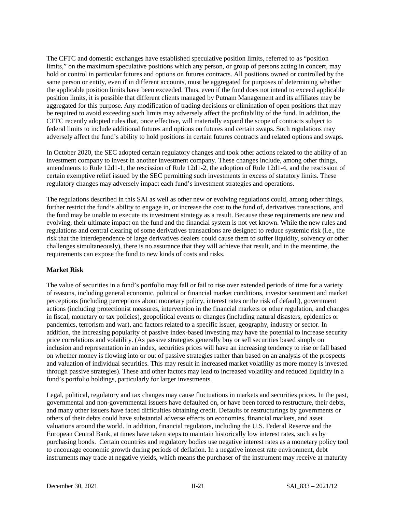The CFTC and domestic exchanges have established speculative position limits, referred to as "position limits," on the maximum speculative positions which any person, or group of persons acting in concert, may hold or control in particular futures and options on futures contracts. All positions owned or controlled by the same person or entity, even if in different accounts, must be aggregated for purposes of determining whether the applicable position limits have been exceeded. Thus, even if the fund does not intend to exceed applicable position limits, it is possible that different clients managed by Putnam Management and its affiliates may be aggregated for this purpose. Any modification of trading decisions or elimination of open positions that may be required to avoid exceeding such limits may adversely affect the profitability of the fund. In addition, the CFTC recently adopted rules that, once effective, will materially expand the scope of contracts subject to federal limits to include additional futures and options on futures and certain swaps. Such regulations may adversely affect the fund's ability to hold positions in certain futures contracts and related options and swaps.

In October 2020, the SEC adopted certain regulatory changes and took other actions related to the ability of an investment company to invest in another investment company. These changes include, among other things, amendments to Rule 12d1-1, the rescission of Rule 12d1-2, the adoption of Rule 12d1-4, and the rescission of certain exemptive relief issued by the SEC permitting such investments in excess of statutory limits. These regulatory changes may adversely impact each fund's investment strategies and operations.

The regulations described in this SAI as well as other new or evolving regulations could, among other things, further restrict the fund's ability to engage in, or increase the cost to the fund of, derivatives transactions, and the fund may be unable to execute its investment strategy as a result. Because these requirements are new and evolving, their ultimate impact on the fund and the financial system is not yet known. While the new rules and regulations and central clearing of some derivatives transactions are designed to reduce systemic risk (i.e., the risk that the interdependence of large derivatives dealers could cause them to suffer liquidity, solvency or other challenges simultaneously), there is no assurance that they will achieve that result, and in the meantime, the requirements can expose the fund to new kinds of costs and risks.

#### **Market Risk**

The value of securities in a fund's portfolio may fall or fail to rise over extended periods of time for a variety of reasons, including general economic, political or financial market conditions, investor sentiment and market perceptions (including perceptions about monetary policy, interest rates or the risk of default), government actions (including protectionist measures, intervention in the financial markets or other regulation, and changes in fiscal, monetary or tax policies), geopolitical events or changes (including natural disasters, epidemics or pandemics, terrorism and war), and factors related to a specific issuer, geography, industry or sector. In addition, the increasing popularity of passive index-based investing may have the potential to increase security price correlations and volatility. (As passive strategies generally buy or sell securities based simply on inclusion and representation in an index, securities prices will have an increasing tendency to rise or fall based on whether money is flowing into or out of passive strategies rather than based on an analysis of the prospects and valuation of individual securities. This may result in increased market volatility as more money is invested through passive strategies). These and other factors may lead to increased volatility and reduced liquidity in a fund's portfolio holdings, particularly for larger investments.

Legal, political, regulatory and tax changes may cause fluctuations in markets and securities prices. In the past, governmental and non-governmental issuers have defaulted on, or have been forced to restructure, their debts, and many other issuers have faced difficulties obtaining credit. Defaults or restructurings by governments or others of their debts could have substantial adverse effects on economies, financial markets, and asset valuations around the world. In addition, financial regulators, including the U.S. Federal Reserve and the European Central Bank, at times have taken steps to maintain historically low interest rates, such as by purchasing bonds. Certain countries and regulatory bodies use negative interest rates as a monetary policy tool to encourage economic growth during periods of deflation. In a negative interest rate environment, debt instruments may trade at negative yields, which means the purchaser of the instrument may receive at maturity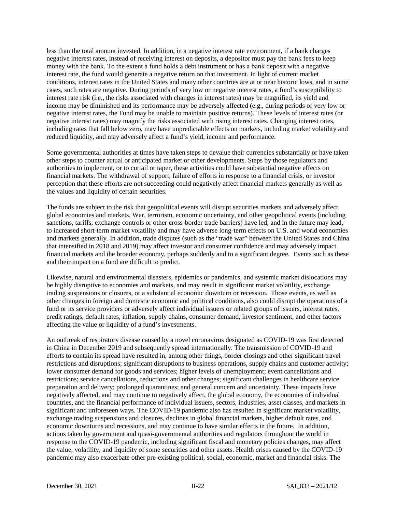less than the total amount invested. In addition, in a negative interest rate environment, if a bank charges negative interest rates, instead of receiving interest on deposits, a depositor must pay the bank fees to keep money with the bank. To the extent a fund holds a debt instrument or has a bank deposit with a negative interest rate, the fund would generate a negative return on that investment. In light of current market conditions, interest rates in the United States and many other countries are at or near historic lows, and in some cases, such rates are negative. During periods of very low or negative interest rates, a fund's susceptibility to interest rate risk (i.e., the risks associated with changes in interest rates) may be magnified, its yield and income may be diminished and its performance may be adversely affected (e.g., during periods of very low or negative interest rates, the Fund may be unable to maintain positive returns). These levels of interest rates (or negative interest rates) may magnify the risks associated with rising interest rates. Changing interest rates, including rates that fall below zero, may have unpredictable effects on markets, including market volatility and reduced liquidity, and may adversely affect a fund's yield, income and performance.

Some governmental authorities at times have taken steps to devalue their currencies substantially or have taken other steps to counter actual or anticipated market or other developments. Steps by those regulators and authorities to implement, or to curtail or taper, these activities could have substantial negative effects on financial markets. The withdrawal of support, failure of efforts in response to a financial crisis, or investor perception that these efforts are not succeeding could negatively affect financial markets generally as well as the values and liquidity of certain securities.

The funds are subject to the risk that geopolitical events will disrupt securities markets and adversely affect global economies and markets. War, terrorism, economic uncertainty, and other geopolitical events (including sanctions, tariffs, exchange controls or other cross-border trade barriers) have led, and in the future may lead, to increased short-term market volatility and may have adverse long-term effects on U.S. and world economies and markets generally. In addition, trade disputes (such as the "trade war" between the United States and China that intensified in 2018 and 2019) may affect investor and consumer confidence and may adversely impact financial markets and the broader economy, perhaps suddenly and to a significant degree. Events such as these and their impact on a fund are difficult to predict.

Likewise, natural and environmental disasters, epidemics or pandemics, and systemic market dislocations may be highly disruptive to economies and markets, and may result in significant market volatility, exchange trading suspensions or closures, or a substantial economic downturn or recession. Those events, as well as other changes in foreign and domestic economic and political conditions, also could disrupt the operations of a fund or its service providers or adversely affect individual issuers or related groups of issuers, interest rates, credit ratings, default rates, inflation, supply chains, consumer demand, investor sentiment, and other factors affecting the value or liquidity of a fund's investments.

An outbreak of respiratory disease caused by a novel coronavirus designated as COVID-19 was first detected in China in December 2019 and subsequently spread internationally. The transmission of COVID-19 and efforts to contain its spread have resulted in, among other things, border closings and other significant travel restrictions and disruptions; significant disruptions to business operations, supply chains and customer activity; lower consumer demand for goods and services; higher levels of unemployment; event cancellations and restrictions; service cancellations, reductions and other changes; significant challenges in healthcare service preparation and delivery; prolonged quarantines; and general concern and uncertainty. These impacts have negatively affected, and may continue to negatively affect, the global economy, the economies of individual countries, and the financial performance of individual issuers, sectors, industries, asset classes, and markets in significant and unforeseen ways. The COVID-19 pandemic also has resulted in significant market volatility, exchange trading suspensions and closures, declines in global financial markets, higher default rates, and economic downturns and recessions, and may continue to have similar effects in the future. In addition, actions taken by government and quasi-governmental authorities and regulators throughout the world in response to the COVID-19 pandemic, including significant fiscal and monetary policies changes, may affect the value, volatility, and liquidity of some securities and other assets. Health crises caused by the COVID-19 pandemic may also exacerbate other pre-existing political, social, economic, market and financial risks. The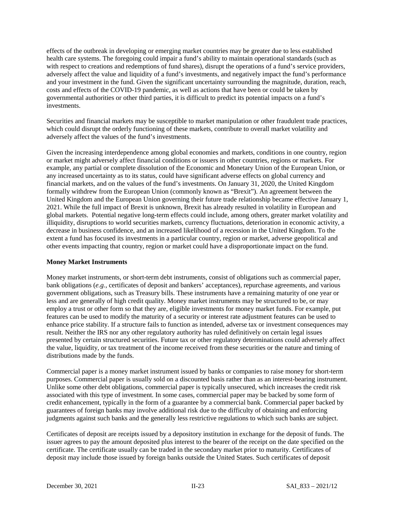effects of the outbreak in developing or emerging market countries may be greater due to less established health care systems. The foregoing could impair a fund's ability to maintain operational standards (such as with respect to creations and redemptions of fund shares), disrupt the operations of a fund's service providers, adversely affect the value and liquidity of a fund's investments, and negatively impact the fund's performance and your investment in the fund. Given the significant uncertainty surrounding the magnitude, duration, reach, costs and effects of the COVID-19 pandemic, as well as actions that have been or could be taken by governmental authorities or other third parties, it is difficult to predict its potential impacts on a fund's investments.

Securities and financial markets may be susceptible to market manipulation or other fraudulent trade practices, which could disrupt the orderly functioning of these markets, contribute to overall market volatility and adversely affect the values of the fund's investments.

Given the increasing interdependence among global economies and markets, conditions in one country, region or market might adversely affect financial conditions or issuers in other countries, regions or markets. For example, any partial or complete dissolution of the Economic and Monetary Union of the European Union, or any increased uncertainty as to its status, could have significant adverse effects on global currency and financial markets, and on the values of the fund's investments. On January 31, 2020, the United Kingdom formally withdrew from the European Union (commonly known as "Brexit"). An agreement between the United Kingdom and the European Union governing their future trade relationship became effective January 1, 2021. While the full impact of Brexit is unknown, Brexit has already resulted in volatility in European and global markets. Potential negative long-term effects could include, among others, greater market volatility and illiquidity, disruptions to world securities markets, currency fluctuations, deterioration in economic activity, a decrease in business confidence, and an increased likelihood of a recession in the United Kingdom. To the extent a fund has focused its investments in a particular country, region or market, adverse geopolitical and other events impacting that country, region or market could have a disproportionate impact on the fund.

#### **Money Market Instruments**

Money market instruments, or short-term debt instruments, consist of obligations such as commercial paper, bank obligations (*e.g.*, certificates of deposit and bankers' acceptances), repurchase agreements, and various government obligations, such as Treasury bills. These instruments have a remaining maturity of one year or less and are generally of high credit quality. Money market instruments may be structured to be, or may employ a trust or other form so that they are, eligible investments for money market funds. For example, put features can be used to modify the maturity of a security or interest rate adjustment features can be used to enhance price stability. If a structure fails to function as intended, adverse tax or investment consequences may result. Neither the IRS nor any other regulatory authority has ruled definitively on certain legal issues presented by certain structured securities. Future tax or other regulatory determinations could adversely affect the value, liquidity, or tax treatment of the income received from these securities or the nature and timing of distributions made by the funds.

Commercial paper is a money market instrument issued by banks or companies to raise money for short-term purposes. Commercial paper is usually sold on a discounted basis rather than as an interest-bearing instrument. Unlike some other debt obligations, commercial paper is typically unsecured, which increases the credit risk associated with this type of investment. In some cases, commercial paper may be backed by some form of credit enhancement, typically in the form of a guarantee by a commercial bank. Commercial paper backed by guarantees of foreign banks may involve additional risk due to the difficulty of obtaining and enforcing judgments against such banks and the generally less restrictive regulations to which such banks are subject.

Certificates of deposit are receipts issued by a depository institution in exchange for the deposit of funds. The issuer agrees to pay the amount deposited plus interest to the bearer of the receipt on the date specified on the certificate. The certificate usually can be traded in the secondary market prior to maturity. Certificates of deposit may include those issued by foreign banks outside the United States. Such certificates of deposit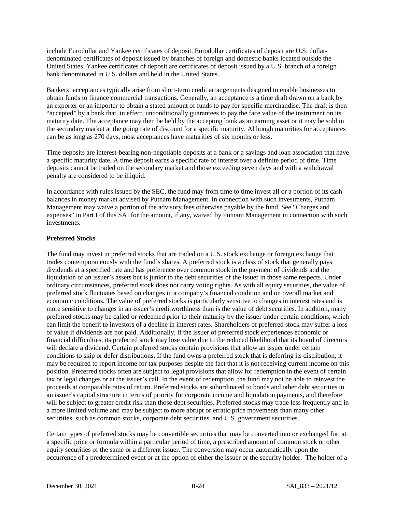include Eurodollar and Yankee certificates of deposit. Eurodollar certificates of deposit are U.S. dollardenominated certificates of deposit issued by branches of foreign and domestic banks located outside the United States. Yankee certificates of deposit are certificates of deposit issued by a U.S. branch of a foreign bank denominated in U.S. dollars and held in the United States.

Bankers' acceptances typically arise from short-term credit arrangements designed to enable businesses to obtain funds to finance commercial transactions. Generally, an acceptance is a time draft drawn on a bank by an exporter or an importer to obtain a stated amount of funds to pay for specific merchandise. The draft is then "accepted" by a bank that, in effect, unconditionally guarantees to pay the face value of the instrument on its maturity date. The acceptance may then be held by the accepting bank as an earning asset or it may be sold in the secondary market at the going rate of discount for a specific maturity. Although maturities for acceptances can be as long as 270 days, most acceptances have maturities of six months or less.

Time deposits are interest-bearing non-negotiable deposits at a bank or a savings and loan association that have a specific maturity date. A time deposit earns a specific rate of interest over a definite period of time. Time deposits cannot be traded on the secondary market and those exceeding seven days and with a withdrawal penalty are considered to be illiquid.

In accordance with rules issued by the SEC, the fund may from time to time invest all or a portion of its cash balances in money market advised by Putnam Management. In connection with such investments, Putnam Management may waive a portion of the advisory fees otherwise payable by the fund. See "Charges and expenses" in Part I of this SAI for the amount, if any, waived by Putnam Management in connection with such investments.

### **Preferred Stocks**

The fund may invest in preferred stocks that are traded on a U.S. stock exchange or foreign exchange that trades contemporaneously with the fund's shares. A preferred stock is a class of stock that generally pays dividends at a specified rate and has preference over common stock in the payment of dividends and the liquidation of an issuer's assets but is junior to the debt securities of the issuer in those same respects. Under ordinary circumstances, preferred stock does not carry voting rights. As with all equity securities, the value of preferred stock fluctuates based on changes in a company's financial condition and on overall market and economic conditions. The value of preferred stocks is particularly sensitive to changes in interest rates and is more sensitive to changes in an issuer's creditworthiness than is the value of debt securities. In addition, many preferred stocks may be called or redeemed prior to their maturity by the issuer under certain conditions, which can limit the benefit to investors of a decline in interest rates. Shareholders of preferred stock may suffer a loss of value if dividends are not paid. Additionally, if the issuer of preferred stock experiences economic or financial difficulties, its preferred stock may lose value due to the reduced likelihood that its board of directors will declare a dividend. Certain preferred stocks contain provisions that allow an issuer under certain conditions to skip or defer distributions. If the fund owns a preferred stock that is deferring its distribution, it may be required to report income for tax purposes despite the fact that it is not receiving current income on this position. Preferred stocks often are subject to legal provisions that allow for redemption in the event of certain tax or legal changes or at the issuer's call. In the event of redemption, the fund may not be able to reinvest the proceeds at comparable rates of return. Preferred stocks are subordinated to bonds and other debt securities in an issuer's capital structure in terms of priority for corporate income and liquidation payments, and therefore will be subject to greater credit risk than those debt securities. Preferred stocks may trade less frequently and in a more limited volume and may be subject to more abrupt or erratic price movements than many other securities, such as common stocks, corporate debt securities, and U.S. government securities.

Certain types of preferred stocks may be convertible securities that may be converted into or exchanged for, at a specific price or formula within a particular period of time, a prescribed amount of common stock or other equity securities of the same or a different issuer. The conversion may occur automatically upon the occurrence of a predetermined event or at the option of either the issuer or the security holder. The holder of a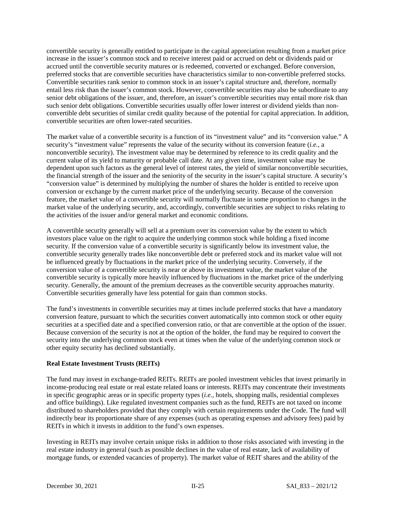convertible security is generally entitled to participate in the capital appreciation resulting from a market price increase in the issuer's common stock and to receive interest paid or accrued on debt or dividends paid or accrued until the convertible security matures or is redeemed, converted or exchanged. Before conversion, preferred stocks that are convertible securities have characteristics similar to non-convertible preferred stocks. Convertible securities rank senior to common stock in an issuer's capital structure and, therefore, normally entail less risk than the issuer's common stock. However, convertible securities may also be subordinate to any senior debt obligations of the issuer, and, therefore, an issuer's convertible securities may entail more risk than such senior debt obligations. Convertible securities usually offer lower interest or dividend yields than nonconvertible debt securities of similar credit quality because of the potential for capital appreciation. In addition, convertible securities are often lower-rated securities.

The market value of a convertible security is a function of its "investment value" and its "conversion value." A security's "investment value" represents the value of the security without its conversion feature (*i.e.*, a nonconvertible security). The investment value may be determined by reference to its credit quality and the current value of its yield to maturity or probable call date. At any given time, investment value may be dependent upon such factors as the general level of interest rates, the yield of similar nonconvertible securities, the financial strength of the issuer and the seniority of the security in the issuer's capital structure. A security's "conversion value" is determined by multiplying the number of shares the holder is entitled to receive upon conversion or exchange by the current market price of the underlying security. Because of the conversion feature, the market value of a convertible security will normally fluctuate in some proportion to changes in the market value of the underlying security, and, accordingly, convertible securities are subject to risks relating to the activities of the issuer and/or general market and economic conditions.

A convertible security generally will sell at a premium over its conversion value by the extent to which investors place value on the right to acquire the underlying common stock while holding a fixed income security. If the conversion value of a convertible security is significantly below its investment value, the convertible security generally trades like nonconvertible debt or preferred stock and its market value will not be influenced greatly by fluctuations in the market price of the underlying security. Conversely, if the conversion value of a convertible security is near or above its investment value, the market value of the convertible security is typically more heavily influenced by fluctuations in the market price of the underlying security. Generally, the amount of the premium decreases as the convertible security approaches maturity. Convertible securities generally have less potential for gain than common stocks.

The fund's investments in convertible securities may at times include preferred stocks that have a mandatory conversion feature, pursuant to which the securities convert automatically into common stock or other equity securities at a specified date and a specified conversion ratio, or that are convertible at the option of the issuer. Because conversion of the security is not at the option of the holder, the fund may be required to convert the security into the underlying common stock even at times when the value of the underlying common stock or other equity security has declined substantially.

### **Real Estate Investment Trusts (REITs)**

The fund may invest in exchange-traded REITs. REITs are pooled investment vehicles that invest primarily in income-producing real estate or real estate related loans or interests. REITs may concentrate their investments in specific geographic areas or in specific property types (*i.e.*, hotels, shopping malls, residential complexes and office buildings). Like regulated investment companies such as the fund, REITs are not taxed on income distributed to shareholders provided that they comply with certain requirements under the Code. The fund will indirectly bear its proportionate share of any expenses (such as operating expenses and advisory fees) paid by REITs in which it invests in addition to the fund's own expenses.

Investing in REITs may involve certain unique risks in addition to those risks associated with investing in the real estate industry in general (such as possible declines in the value of real estate, lack of availability of mortgage funds, or extended vacancies of property). The market value of REIT shares and the ability of the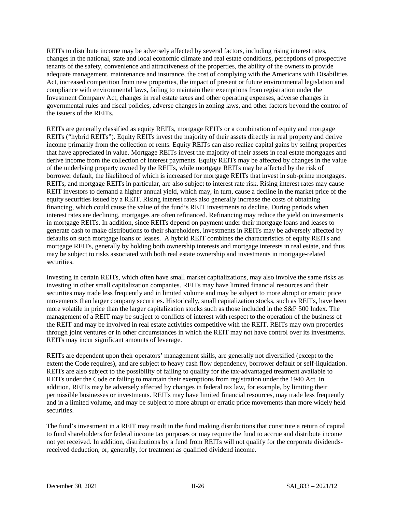REITs to distribute income may be adversely affected by several factors, including rising interest rates, changes in the national, state and local economic climate and real estate conditions, perceptions of prospective tenants of the safety, convenience and attractiveness of the properties, the ability of the owners to provide adequate management, maintenance and insurance, the cost of complying with the Americans with Disabilities Act, increased competition from new properties, the impact of present or future environmental legislation and compliance with environmental laws, failing to maintain their exemptions from registration under the Investment Company Act, changes in real estate taxes and other operating expenses, adverse changes in governmental rules and fiscal policies, adverse changes in zoning laws, and other factors beyond the control of the issuers of the REITs.

REITs are generally classified as equity REITs, mortgage REITs or a combination of equity and mortgage REITs ("hybrid REITs"). Equity REITs invest the majority of their assets directly in real property and derive income primarily from the collection of rents. Equity REITs can also realize capital gains by selling properties that have appreciated in value. Mortgage REITs invest the majority of their assets in real estate mortgages and derive income from the collection of interest payments. Equity REITs may be affected by changes in the value of the underlying property owned by the REITs, while mortgage REITs may be affected by the risk of borrower default, the likelihood of which is increased for mortgage REITs that invest in sub-prime mortgages. REITs, and mortgage REITs in particular, are also subject to interest rate risk. Rising interest rates may cause REIT investors to demand a higher annual yield, which may, in turn, cause a decline in the market price of the equity securities issued by a REIT. Rising interest rates also generally increase the costs of obtaining financing, which could cause the value of the fund's REIT investments to decline. During periods when interest rates are declining, mortgages are often refinanced. Refinancing may reduce the yield on investments in mortgage REITs. In addition, since REITs depend on payment under their mortgage loans and leases to generate cash to make distributions to their shareholders, investments in REITs may be adversely affected by defaults on such mortgage loans or leases. A hybrid REIT combines the characteristics of equity REITs and mortgage REITs, generally by holding both ownership interests and mortgage interests in real estate, and thus may be subject to risks associated with both real estate ownership and investments in mortgage-related securities.

Investing in certain REITs, which often have small market capitalizations, may also involve the same risks as investing in other small capitalization companies. REITs may have limited financial resources and their securities may trade less frequently and in limited volume and may be subject to more abrupt or erratic price movements than larger company securities. Historically, small capitalization stocks, such as REITs, have been more volatile in price than the larger capitalization stocks such as those included in the S&P 500 Index. The management of a REIT may be subject to conflicts of interest with respect to the operation of the business of the REIT and may be involved in real estate activities competitive with the REIT. REITs may own properties through joint ventures or in other circumstances in which the REIT may not have control over its investments. REITs may incur significant amounts of leverage.

REITs are dependent upon their operators' management skills, are generally not diversified (except to the extent the Code requires), and are subject to heavy cash flow dependency, borrower default or self-liquidation. REITs are also subject to the possibility of failing to qualify for the tax-advantaged treatment available to REITs under the Code or failing to maintain their exemptions from registration under the 1940 Act. In addition, REITs may be adversely affected by changes in federal tax law, for example, by limiting their permissible businesses or investments. REITs may have limited financial resources, may trade less frequently and in a limited volume, and may be subject to more abrupt or erratic price movements than more widely held securities.

The fund's investment in a REIT may result in the fund making distributions that constitute a return of capital to fund shareholders for federal income tax purposes or may require the fund to accrue and distribute income not yet received. In addition, distributions by a fund from REITs will not qualify for the corporate dividendsreceived deduction, or, generally, for treatment as qualified dividend income.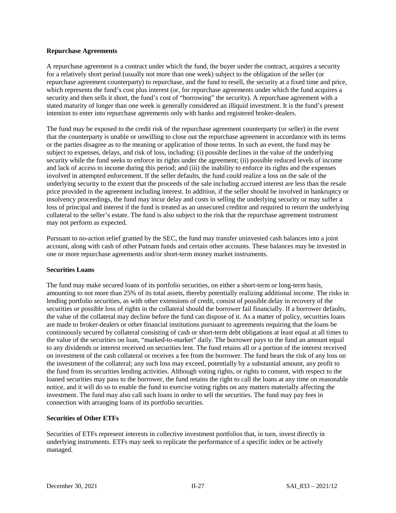#### **Repurchase Agreements**

A repurchase agreement is a contract under which the fund, the buyer under the contract, acquires a security for a relatively short period (usually not more than one week) subject to the obligation of the seller (or repurchase agreement counterparty) to repurchase, and the fund to resell, the security at a fixed time and price, which represents the fund's cost plus interest (or, for repurchase agreements under which the fund acquires a security and then sells it short, the fund's cost of "borrowing" the security). A repurchase agreement with a stated maturity of longer than one week is generally considered an illiquid investment. It is the fund's present intention to enter into repurchase agreements only with banks and registered broker-dealers.

The fund may be exposed to the credit risk of the repurchase agreement counterparty (or seller) in the event that the counterparty is unable or unwilling to close out the repurchase agreement in accordance with its terms or the parties disagree as to the meaning or application of those terms. In such an event, the fund may be subject to expenses, delays, and risk of loss, including: (i) possible declines in the value of the underlying security while the fund seeks to enforce its rights under the agreement; (ii) possible reduced levels of income and lack of access to income during this period; and (iii) the inability to enforce its rights and the expenses involved in attempted enforcement. If the seller defaults, the fund could realize a loss on the sale of the underlying security to the extent that the proceeds of the sale including accrued interest are less than the resale price provided in the agreement including interest. In addition, if the seller should be involved in bankruptcy or insolvency proceedings, the fund may incur delay and costs in selling the underlying security or may suffer a loss of principal and interest if the fund is treated as an unsecured creditor and required to return the underlying collateral to the seller's estate. The fund is also subject to the risk that the repurchase agreement instrument may not perform as expected.

Pursuant to no-action relief granted by the SEC, the fund may transfer uninvested cash balances into a joint account, along with cash of other Putnam funds and certain other accounts. These balances may be invested in one or more repurchase agreements and/or short-term money market instruments.

#### **Securities Loans**

The fund may make secured loans of its portfolio securities, on either a short-term or long-term basis, amounting to not more than 25% of its total assets, thereby potentially realizing additional income. The risks in lending portfolio securities, as with other extensions of credit, consist of possible delay in recovery of the securities or possible loss of rights in the collateral should the borrower fail financially. If a borrower defaults, the value of the collateral may decline before the fund can dispose of it. As a matter of policy, securities loans are made to broker-dealers or other financial institutions pursuant to agreements requiring that the loans be continuously secured by collateral consisting of cash or short-term debt obligations at least equal at all times to the value of the securities on loan, "marked-to-market" daily. The borrower pays to the fund an amount equal to any dividends or interest received on securities lent. The fund retains all or a portion of the interest received on investment of the cash collateral or receives a fee from the borrower. The fund bears the risk of any loss on the investment of the collateral; any such loss may exceed, potentially by a substantial amount, any profit to the fund from its securities lending activities. Although voting rights, or rights to consent, with respect to the loaned securities may pass to the borrower, the fund retains the right to call the loans at any time on reasonable notice, and it will do so to enable the fund to exercise voting rights on any matters materially affecting the investment. The fund may also call such loans in order to sell the securities. The fund may pay fees in connection with arranging loans of its portfolio securities.

## **Securities of Other ETFs**

Securities of ETFs represent interests in collective investment portfolios that, in turn, invest directly in underlying instruments. ETFs may seek to replicate the performance of a specific index or be actively managed.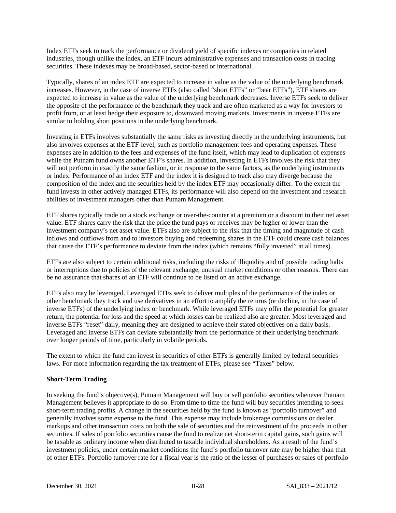Index ETFs seek to track the performance or dividend yield of specific indexes or companies in related industries, though unlike the index, an ETF incurs administrative expenses and transaction costs in trading securities. These indexes may be broad-based, sector-based or international.

Typically, shares of an index ETF are expected to increase in value as the value of the underlying benchmark increases. However, in the case of inverse ETFs (also called "short ETFs" or "bear ETFs"), ETF shares are expected to increase in value as the value of the underlying benchmark decreases. Inverse ETFs seek to deliver the opposite of the performance of the benchmark they track and are often marketed as a way for investors to profit from, or at least hedge their exposure to, downward moving markets. Investments in inverse ETFs are similar to holding short positions in the underlying benchmark.

Investing in ETFs involves substantially the same risks as investing directly in the underlying instruments, but also involves expenses at the ETF-level, such as portfolio management fees and operating expenses. These expenses are in addition to the fees and expenses of the fund itself, which may lead to duplication of expenses while the Putnam fund owns another ETF's shares. In addition, investing in ETFs involves the risk that they will not perform in exactly the same fashion, or in response to the same factors, as the underlying instruments or index. Performance of an index ETF and the index it is designed to track also may diverge because the composition of the index and the securities held by the index ETF may occasionally differ. To the extent the fund invests in other actively managed ETFs, its performance will also depend on the investment and research abilities of investment managers other than Putnam Management.

ETF shares typically trade on a stock exchange or over-the-counter at a premium or a discount to their net asset value. ETF shares carry the risk that the price the fund pays or receives may be higher or lower than the investment company's net asset value. ETFs also are subject to the risk that the timing and magnitude of cash inflows and outflows from and to investors buying and redeeming shares in the ETF could create cash balances that cause the ETF's performance to deviate from the index (which remains "fully invested" at all times).

ETFs are also subject to certain additional risks, including the risks of illiquidity and of possible trading halts or interruptions due to policies of the relevant exchange, unusual market conditions or other reasons. There can be no assurance that shares of an ETF will continue to be listed on an active exchange.

ETFs also may be leveraged. Leveraged ETFs seek to deliver multiples of the performance of the index or other benchmark they track and use derivatives in an effort to amplify the returns (or decline, in the case of inverse ETFs) of the underlying index or benchmark. While leveraged ETFs may offer the potential for greater return, the potential for loss and the speed at which losses can be realized also are greater. Most leveraged and inverse ETFs "reset" daily, meaning they are designed to achieve their stated objectives on a daily basis. Leveraged and inverse ETFs can deviate substantially from the performance of their underlying benchmark over longer periods of time, particularly in volatile periods.

The extent to which the fund can invest in securities of other ETFs is generally limited by federal securities laws. For more information regarding the tax treatment of ETFs, please see "Taxes" below.

## **Short-Term Trading**

In seeking the fund's objective(s), Putnam Management will buy or sell portfolio securities whenever Putnam Management believes it appropriate to do so. From time to time the fund will buy securities intending to seek short-term trading profits. A change in the securities held by the fund is known as "portfolio turnover" and generally involves some expense to the fund. This expense may include brokerage commissions or dealer markups and other transaction costs on both the sale of securities and the reinvestment of the proceeds in other securities. If sales of portfolio securities cause the fund to realize net short-term capital gains, such gains will be taxable as ordinary income when distributed to taxable individual shareholders. As a result of the fund's investment policies, under certain market conditions the fund's portfolio turnover rate may be higher than that of other ETFs. Portfolio turnover rate for a fiscal year is the ratio of the lesser of purchases or sales of portfolio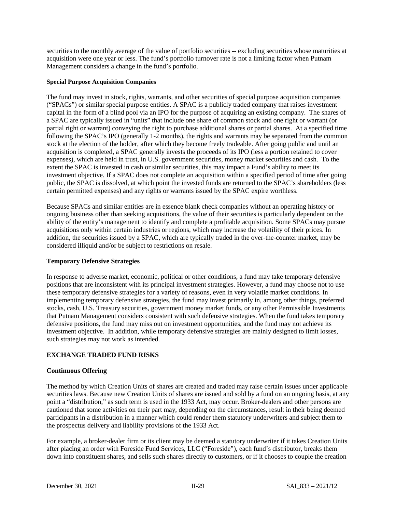securities to the monthly average of the value of portfolio securities -- excluding securities whose maturities at acquisition were one year or less. The fund's portfolio turnover rate is not a limiting factor when Putnam Management considers a change in the fund's portfolio.

### **Special Purpose Acquisition Companies**

The fund may invest in stock, rights, warrants, and other securities of special purpose acquisition companies ("SPACs") or similar special purpose entities. A SPAC is a publicly traded company that raises investment capital in the form of a blind pool via an IPO for the purpose of acquiring an existing company. The shares of a SPAC are typically issued in "units" that include one share of common stock and one right or warrant (or partial right or warrant) conveying the right to purchase additional shares or partial shares. At a specified time following the SPAC's IPO (generally 1-2 months), the rights and warrants may be separated from the common stock at the election of the holder, after which they become freely tradeable. After going public and until an acquisition is completed, a SPAC generally invests the proceeds of its IPO (less a portion retained to cover expenses), which are held in trust, in U.S. government securities, money market securities and cash. To the extent the SPAC is invested in cash or similar securities, this may impact a Fund's ability to meet its investment objective. If a SPAC does not complete an acquisition within a specified period of time after going public, the SPAC is dissolved, at which point the invested funds are returned to the SPAC's shareholders (less certain permitted expenses) and any rights or warrants issued by the SPAC expire worthless.

Because SPACs and similar entities are in essence blank check companies without an operating history or ongoing business other than seeking acquisitions, the value of their securities is particularly dependent on the ability of the entity's management to identify and complete a profitable acquisition. Some SPACs may pursue acquisitions only within certain industries or regions, which may increase the volatility of their prices. In addition, the securities issued by a SPAC, which are typically traded in the over-the-counter market, may be considered illiquid and/or be subject to restrictions on resale.

## **Temporary Defensive Strategies**

In response to adverse market, economic, political or other conditions, a fund may take temporary defensive positions that are inconsistent with its principal investment strategies. However, a fund may choose not to use these temporary defensive strategies for a variety of reasons, even in very volatile market conditions. In implementing temporary defensive strategies, the fund may invest primarily in, among other things, preferred stocks, cash, U.S. Treasury securities, government money market funds, or any other Permissible Investments that Putnam Management considers consistent with such defensive strategies. When the fund takes temporary defensive positions, the fund may miss out on investment opportunities, and the fund may not achieve its investment objective. In addition, while temporary defensive strategies are mainly designed to limit losses, such strategies may not work as intended.

## **EXCHANGE TRADED FUND RISKS**

## **Continuous Offering**

The method by which Creation Units of shares are created and traded may raise certain issues under applicable securities laws. Because new Creation Units of shares are issued and sold by a fund on an ongoing basis, at any point a "distribution," as such term is used in the 1933 Act, may occur. Broker-dealers and other persons are cautioned that some activities on their part may, depending on the circumstances, result in their being deemed participants in a distribution in a manner which could render them statutory underwriters and subject them to the prospectus delivery and liability provisions of the 1933 Act.

For example, a broker-dealer firm or its client may be deemed a statutory underwriter if it takes Creation Units after placing an order with Foreside Fund Services, LLC ("Foreside"), each fund's distributor, breaks them down into constituent shares, and sells such shares directly to customers, or if it chooses to couple the creation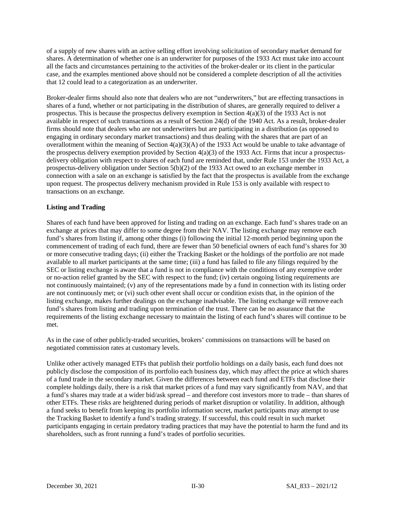of a supply of new shares with an active selling effort involving solicitation of secondary market demand for shares. A determination of whether one is an underwriter for purposes of the 1933 Act must take into account all the facts and circumstances pertaining to the activities of the broker-dealer or its client in the particular case, and the examples mentioned above should not be considered a complete description of all the activities that 12 could lead to a categorization as an underwriter.

Broker-dealer firms should also note that dealers who are not "underwriters," but are effecting transactions in shares of a fund, whether or not participating in the distribution of shares, are generally required to deliver a prospectus. This is because the prospectus delivery exemption in Section 4(a)(3) of the 1933 Act is not available in respect of such transactions as a result of Section 24(d) of the 1940 Act. As a result, broker-dealer firms should note that dealers who are not underwriters but are participating in a distribution (as opposed to engaging in ordinary secondary market transactions) and thus dealing with the shares that are part of an overallotment within the meaning of Section 4(a)(3)(A) of the 1933 Act would be unable to take advantage of the prospectus delivery exemption provided by Section  $4(a)(3)$  of the 1933 Act. Firms that incur a prospectusdelivery obligation with respect to shares of each fund are reminded that, under Rule 153 under the 1933 Act, a prospectus-delivery obligation under Section 5(b)(2) of the 1933 Act owed to an exchange member in connection with a sale on an exchange is satisfied by the fact that the prospectus is available from the exchange upon request. The prospectus delivery mechanism provided in Rule 153 is only available with respect to transactions on an exchange.

## **Listing and Trading**

Shares of each fund have been approved for listing and trading on an exchange. Each fund's shares trade on an exchange at prices that may differ to some degree from their NAV. The listing exchange may remove each fund's shares from listing if, among other things (i) following the initial 12-month period beginning upon the commencement of trading of each fund, there are fewer than 50 beneficial owners of each fund's shares for 30 or more consecutive trading days; (ii) either the Tracking Basket or the holdings of the portfolio are not made available to all market participants at the same time; (iii) a fund has failed to file any filings required by the SEC or listing exchange is aware that a fund is not in compliance with the conditions of any exemptive order or no-action relief granted by the SEC with respect to the fund; (iv) certain ongoing listing requirements are not continuously maintained; (v) any of the representations made by a fund in connection with its listing order are not continuously met; or (vi) such other event shall occur or condition exists that, in the opinion of the listing exchange, makes further dealings on the exchange inadvisable. The listing exchange will remove each fund's shares from listing and trading upon termination of the trust. There can be no assurance that the requirements of the listing exchange necessary to maintain the listing of each fund's shares will continue to be met.

As in the case of other publicly-traded securities, brokers' commissions on transactions will be based on negotiated commission rates at customary levels.

Unlike other actively managed ETFs that publish their portfolio holdings on a daily basis, each fund does not publicly disclose the composition of its portfolio each business day, which may affect the price at which shares of a fund trade in the secondary market. Given the differences between each fund and ETFs that disclose their complete holdings daily, there is a risk that market prices of a fund may vary significantly from NAV, and that a fund's shares may trade at a wider bid/ask spread – and therefore cost investors more to trade – than shares of other ETFs. These risks are heightened during periods of market disruption or volatility. In addition, although a fund seeks to benefit from keeping its portfolio information secret, market participants may attempt to use the Tracking Basket to identify a fund's trading strategy. If successful, this could result in such market participants engaging in certain predatory trading practices that may have the potential to harm the fund and its shareholders, such as front running a fund's trades of portfolio securities.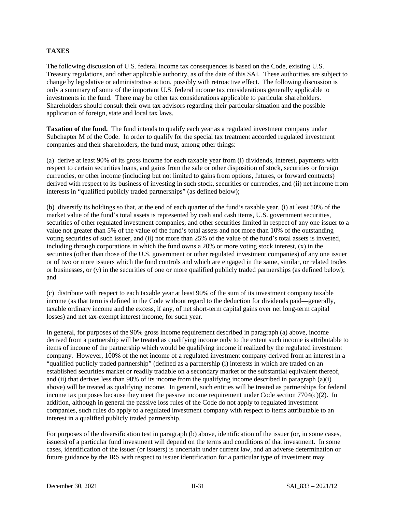## **TAXES**

The following discussion of U.S. federal income tax consequences is based on the Code, existing U.S. Treasury regulations, and other applicable authority, as of the date of this SAI. These authorities are subject to change by legislative or administrative action, possibly with retroactive effect. The following discussion is only a summary of some of the important U.S. federal income tax considerations generally applicable to investments in the fund. There may be other tax considerations applicable to particular shareholders. Shareholders should consult their own tax advisors regarding their particular situation and the possible application of foreign, state and local tax laws.

**Taxation of the fund.** The fund intends to qualify each year as a regulated investment company under Subchapter M of the Code. In order to qualify for the special tax treatment accorded regulated investment companies and their shareholders, the fund must, among other things:

(a) derive at least 90% of its gross income for each taxable year from (i) dividends, interest, payments with respect to certain securities loans, and gains from the sale or other disposition of stock, securities or foreign currencies, or other income (including but not limited to gains from options, futures, or forward contracts) derived with respect to its business of investing in such stock, securities or currencies, and (ii) net income from interests in "qualified publicly traded partnerships" (as defined below);

(b) diversify its holdings so that, at the end of each quarter of the fund's taxable year, (i) at least 50% of the market value of the fund's total assets is represented by cash and cash items, U.S. government securities, securities of other regulated investment companies, and other securities limited in respect of any one issuer to a value not greater than 5% of the value of the fund's total assets and not more than 10% of the outstanding voting securities of such issuer, and (ii) not more than 25% of the value of the fund's total assets is invested, including through corporations in which the fund owns a 20% or more voting stock interest, (x) in the securities (other than those of the U.S. government or other regulated investment companies) of any one issuer or of two or more issuers which the fund controls and which are engaged in the same, similar, or related trades or businesses, or  $(y)$  in the securities of one or more qualified publicly traded partnerships (as defined below); and

(c) distribute with respect to each taxable year at least 90% of the sum of its investment company taxable income (as that term is defined in the Code without regard to the deduction for dividends paid—generally, taxable ordinary income and the excess, if any, of net short-term capital gains over net long-term capital losses) and net tax-exempt interest income, for such year.

In general, for purposes of the 90% gross income requirement described in paragraph (a) above, income derived from a partnership will be treated as qualifying income only to the extent such income is attributable to items of income of the partnership which would be qualifying income if realized by the regulated investment company. However, 100% of the net income of a regulated investment company derived from an interest in a "qualified publicly traded partnership" (defined as a partnership (i) interests in which are traded on an established securities market or readily tradable on a secondary market or the substantial equivalent thereof, and (ii) that derives less than 90% of its income from the qualifying income described in paragraph (a)(i) above) will be treated as qualifying income. In general, such entities will be treated as partnerships for federal income tax purposes because they meet the passive income requirement under Code section 7704(c)(2). In addition, although in general the passive loss rules of the Code do not apply to regulated investment companies, such rules do apply to a regulated investment company with respect to items attributable to an interest in a qualified publicly traded partnership.

For purposes of the diversification test in paragraph (b) above, identification of the issuer (or, in some cases, issuers) of a particular fund investment will depend on the terms and conditions of that investment. In some cases, identification of the issuer (or issuers) is uncertain under current law, and an adverse determination or future guidance by the IRS with respect to issuer identification for a particular type of investment may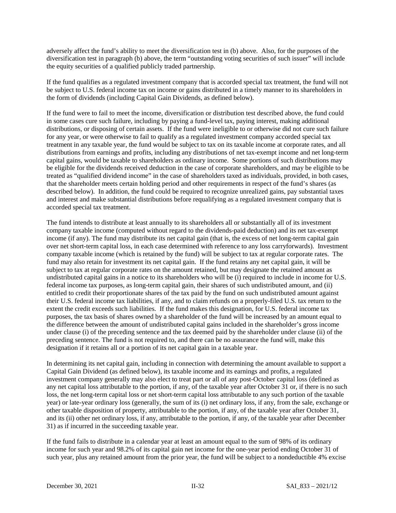adversely affect the fund's ability to meet the diversification test in (b) above. Also, for the purposes of the diversification test in paragraph (b) above, the term "outstanding voting securities of such issuer" will include the equity securities of a qualified publicly traded partnership.

If the fund qualifies as a regulated investment company that is accorded special tax treatment, the fund will not be subject to U.S. federal income tax on income or gains distributed in a timely manner to its shareholders in the form of dividends (including Capital Gain Dividends, as defined below).

If the fund were to fail to meet the income, diversification or distribution test described above, the fund could in some cases cure such failure, including by paying a fund-level tax, paying interest, making additional distributions, or disposing of certain assets. If the fund were ineligible to or otherwise did not cure such failure for any year, or were otherwise to fail to qualify as a regulated investment company accorded special tax treatment in any taxable year, the fund would be subject to tax on its taxable income at corporate rates, and all distributions from earnings and profits, including any distributions of net tax-exempt income and net long-term capital gains, would be taxable to shareholders as ordinary income. Some portions of such distributions may be eligible for the dividends received deduction in the case of corporate shareholders, and may be eligible to be treated as "qualified dividend income" in the case of shareholders taxed as individuals, provided, in both cases, that the shareholder meets certain holding period and other requirements in respect of the fund's shares (as described below). In addition, the fund could be required to recognize unrealized gains, pay substantial taxes and interest and make substantial distributions before requalifying as a regulated investment company that is accorded special tax treatment.

The fund intends to distribute at least annually to its shareholders all or substantially all of its investment company taxable income (computed without regard to the dividends-paid deduction) and its net tax-exempt income (if any). The fund may distribute its net capital gain (that is, the excess of net long-term capital gain over net short-term capital loss, in each case determined with reference to any loss carryforwards). Investment company taxable income (which is retained by the fund) will be subject to tax at regular corporate rates. The fund may also retain for investment its net capital gain. If the fund retains any net capital gain, it will be subject to tax at regular corporate rates on the amount retained, but may designate the retained amount as undistributed capital gains in a notice to its shareholders who will be (i) required to include in income for U.S. federal income tax purposes, as long-term capital gain, their shares of such undistributed amount, and (ii) entitled to credit their proportionate shares of the tax paid by the fund on such undistributed amount against their U.S. federal income tax liabilities, if any, and to claim refunds on a properly-filed U.S. tax return to the extent the credit exceeds such liabilities. If the fund makes this designation, for U.S. federal income tax purposes, the tax basis of shares owned by a shareholder of the fund will be increased by an amount equal to the difference between the amount of undistributed capital gains included in the shareholder's gross income under clause (i) of the preceding sentence and the tax deemed paid by the shareholder under clause (ii) of the preceding sentence. The fund is not required to, and there can be no assurance the fund will, make this designation if it retains all or a portion of its net capital gain in a taxable year.

In determining its net capital gain, including in connection with determining the amount available to support a Capital Gain Dividend (as defined below), its taxable income and its earnings and profits, a regulated investment company generally may also elect to treat part or all of any post-October capital loss (defined as any net capital loss attributable to the portion, if any, of the taxable year after October 31 or, if there is no such loss, the net long-term capital loss or net short-term capital loss attributable to any such portion of the taxable year) or late-year ordinary loss (generally, the sum of its (i) net ordinary loss, if any, from the sale, exchange or other taxable disposition of property, attributable to the portion, if any, of the taxable year after October 31, and its (ii) other net ordinary loss, if any, attributable to the portion, if any, of the taxable year after December 31) as if incurred in the succeeding taxable year.

If the fund fails to distribute in a calendar year at least an amount equal to the sum of 98% of its ordinary income for such year and 98.2% of its capital gain net income for the one-year period ending October 31 of such year, plus any retained amount from the prior year, the fund will be subject to a nondeductible 4% excise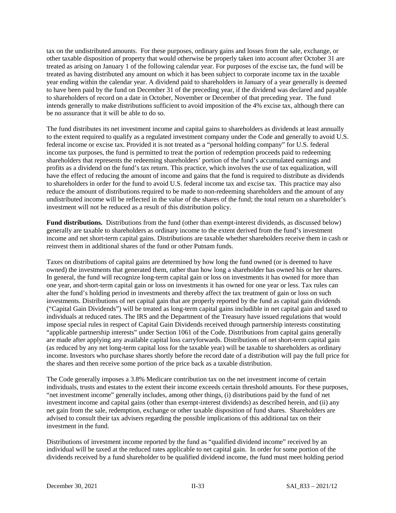tax on the undistributed amounts. For these purposes, ordinary gains and losses from the sale, exchange, or other taxable disposition of property that would otherwise be properly taken into account after October 31 are treated as arising on January 1 of the following calendar year. For purposes of the excise tax, the fund will be treated as having distributed any amount on which it has been subject to corporate income tax in the taxable year ending within the calendar year. A dividend paid to shareholders in January of a year generally is deemed to have been paid by the fund on December 31 of the preceding year, if the dividend was declared and payable to shareholders of record on a date in October, November or December of that preceding year. The fund intends generally to make distributions sufficient to avoid imposition of the 4% excise tax, although there can be no assurance that it will be able to do so.

The fund distributes its net investment income and capital gains to shareholders as dividends at least annually to the extent required to qualify as a regulated investment company under the Code and generally to avoid U.S. federal income or excise tax. Provided it is not treated as a "personal holding company" for U.S. federal income tax purposes, the fund is permitted to treat the portion of redemption proceeds paid to redeeming shareholders that represents the redeeming shareholders' portion of the fund's accumulated earnings and profits as a dividend on the fund's tax return. This practice, which involves the use of tax equalization, will have the effect of reducing the amount of income and gains that the fund is required to distribute as dividends to shareholders in order for the fund to avoid U.S. federal income tax and excise tax. This practice may also reduce the amount of distributions required to be made to non-redeeming shareholders and the amount of any undistributed income will be reflected in the value of the shares of the fund; the total return on a shareholder's investment will not be reduced as a result of this distribution policy.

**Fund distributions.** Distributions from the fund (other than exempt-interest dividends, as discussed below) generally are taxable to shareholders as ordinary income to the extent derived from the fund's investment income and net short-term capital gains. Distributions are taxable whether shareholders receive them in cash or reinvest them in additional shares of the fund or other Putnam funds.

Taxes on distributions of capital gains are determined by how long the fund owned (or is deemed to have owned) the investments that generated them, rather than how long a shareholder has owned his or her shares. In general, the fund will recognize long-term capital gain or loss on investments it has owned for more than one year, and short-term capital gain or loss on investments it has owned for one year or less. Tax rules can alter the fund's holding period in investments and thereby affect the tax treatment of gain or loss on such investments. Distributions of net capital gain that are properly reported by the fund as capital gain dividends ("Capital Gain Dividends") will be treated as long-term capital gains includible in net capital gain and taxed to individuals at reduced rates. The IRS and the Department of the Treasury have issued regulations that would impose special rules in respect of Capital Gain Dividends received through partnership interests constituting "applicable partnership interests" under Section 1061 of the Code. Distributions from capital gains generally are made after applying any available capital loss carryforwards. Distributions of net short-term capital gain (as reduced by any net long-term capital loss for the taxable year) will be taxable to shareholders as ordinary income. Investors who purchase shares shortly before the record date of a distribution will pay the full price for the shares and then receive some portion of the price back as a taxable distribution.

The Code generally imposes a 3.8% Medicare contribution tax on the net investment income of certain individuals, trusts and estates to the extent their income exceeds certain threshold amounts. For these purposes, "net investment income" generally includes, among other things, (i) distributions paid by the fund of net investment income and capital gains (other than exempt-interest dividends) as described herein, and (ii) any net gain from the sale, redemption, exchange or other taxable disposition of fund shares. Shareholders are advised to consult their tax advisers regarding the possible implications of this additional tax on their investment in the fund.

Distributions of investment income reported by the fund as "qualified dividend income" received by an individual will be taxed at the reduced rates applicable to net capital gain. In order for some portion of the dividends received by a fund shareholder to be qualified dividend income, the fund must meet holding period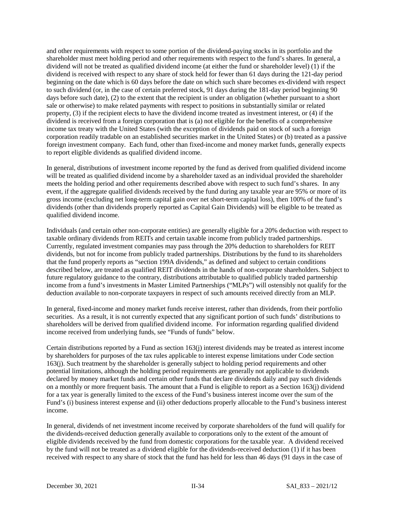and other requirements with respect to some portion of the dividend-paying stocks in its portfolio and the shareholder must meet holding period and other requirements with respect to the fund's shares. In general, a dividend will not be treated as qualified dividend income (at either the fund or shareholder level) (1) if the dividend is received with respect to any share of stock held for fewer than 61 days during the 121-day period beginning on the date which is 60 days before the date on which such share becomes ex-dividend with respect to such dividend (or, in the case of certain preferred stock, 91 days during the 181-day period beginning 90 days before such date), (2) to the extent that the recipient is under an obligation (whether pursuant to a short sale or otherwise) to make related payments with respect to positions in substantially similar or related property, (3) if the recipient elects to have the dividend income treated as investment interest, or (4) if the dividend is received from a foreign corporation that is (a) not eligible for the benefits of a comprehensive income tax treaty with the United States (with the exception of dividends paid on stock of such a foreign corporation readily tradable on an established securities market in the United States) or (b) treated as a passive foreign investment company. Each fund, other than fixed-income and money market funds, generally expects to report eligible dividends as qualified dividend income.

In general, distributions of investment income reported by the fund as derived from qualified dividend income will be treated as qualified dividend income by a shareholder taxed as an individual provided the shareholder meets the holding period and other requirements described above with respect to such fund's shares. In any event, if the aggregate qualified dividends received by the fund during any taxable year are 95% or more of its gross income (excluding net long-term capital gain over net short-term capital loss), then 100% of the fund's dividends (other than dividends properly reported as Capital Gain Dividends) will be eligible to be treated as qualified dividend income.

Individuals (and certain other non-corporate entities) are generally eligible for a 20% deduction with respect to taxable ordinary dividends from REITs and certain taxable income from publicly traded partnerships. Currently, regulated investment companies may pass through the 20% deduction to shareholders for REIT dividends, but not for income from publicly traded partnerships. Distributions by the fund to its shareholders that the fund properly reports as "section 199A dividends," as defined and subject to certain conditions described below, are treated as qualified REIT dividends in the hands of non-corporate shareholders. Subject to future regulatory guidance to the contrary, distributions attributable to qualified publicly traded partnership income from a fund's investments in Master Limited Partnerships ("MLPs") will ostensibly not qualify for the deduction available to non-corporate taxpayers in respect of such amounts received directly from an MLP.

In general, fixed-income and money market funds receive interest, rather than dividends, from their portfolio securities. As a result, it is not currently expected that any significant portion of such funds' distributions to shareholders will be derived from qualified dividend income. For information regarding qualified dividend income received from underlying funds, see "Funds of funds" below.

Certain distributions reported by a Fund as section 163(j) interest dividends may be treated as interest income by shareholders for purposes of the tax rules applicable to interest expense limitations under Code section 163(j). Such treatment by the shareholder is generally subject to holding period requirements and other potential limitations, although the holding period requirements are generally not applicable to dividends declared by money market funds and certain other funds that declare dividends daily and pay such dividends on a monthly or more frequent basis. The amount that a Fund is eligible to report as a Section 163(j) dividend for a tax year is generally limited to the excess of the Fund's business interest income over the sum of the Fund's (i) business interest expense and (ii) other deductions properly allocable to the Fund's business interest income.

In general, dividends of net investment income received by corporate shareholders of the fund will qualify for the dividends-received deduction generally available to corporations only to the extent of the amount of eligible dividends received by the fund from domestic corporations for the taxable year. A dividend received by the fund will not be treated as a dividend eligible for the dividends-received deduction (1) if it has been received with respect to any share of stock that the fund has held for less than 46 days (91 days in the case of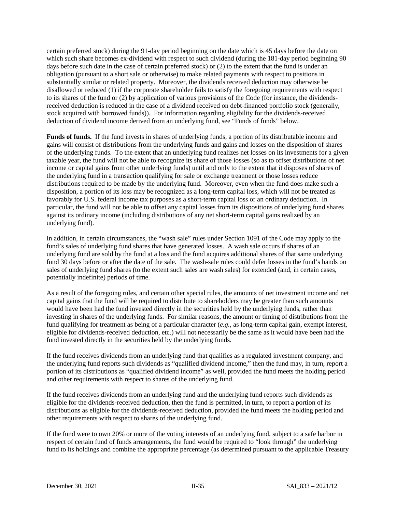certain preferred stock) during the 91-day period beginning on the date which is 45 days before the date on which such share becomes ex-dividend with respect to such dividend (during the 181-day period beginning 90 days before such date in the case of certain preferred stock) or (2) to the extent that the fund is under an obligation (pursuant to a short sale or otherwise) to make related payments with respect to positions in substantially similar or related property. Moreover, the dividends received deduction may otherwise be disallowed or reduced (1) if the corporate shareholder fails to satisfy the foregoing requirements with respect to its shares of the fund or (2) by application of various provisions of the Code (for instance, the dividendsreceived deduction is reduced in the case of a dividend received on debt-financed portfolio stock (generally, stock acquired with borrowed funds)). For information regarding eligibility for the dividends-received deduction of dividend income derived from an underlying fund, see "Funds of funds" below.

**Funds of funds.** If the fund invests in shares of underlying funds, a portion of its distributable income and gains will consist of distributions from the underlying funds and gains and losses on the disposition of shares of the underlying funds. To the extent that an underlying fund realizes net losses on its investments for a given taxable year, the fund will not be able to recognize its share of those losses (so as to offset distributions of net income or capital gains from other underlying funds) until and only to the extent that it disposes of shares of the underlying fund in a transaction qualifying for sale or exchange treatment or those losses reduce distributions required to be made by the underlying fund. Moreover, even when the fund does make such a disposition, a portion of its loss may be recognized as a long-term capital loss, which will not be treated as favorably for U.S. federal income tax purposes as a short-term capital loss or an ordinary deduction. In particular, the fund will not be able to offset any capital losses from its dispositions of underlying fund shares against its ordinary income (including distributions of any net short-term capital gains realized by an underlying fund).

In addition, in certain circumstances, the "wash sale" rules under Section 1091 of the Code may apply to the fund's sales of underlying fund shares that have generated losses. A wash sale occurs if shares of an underlying fund are sold by the fund at a loss and the fund acquires additional shares of that same underlying fund 30 days before or after the date of the sale. The wash-sale rules could defer losses in the fund's hands on sales of underlying fund shares (to the extent such sales are wash sales) for extended (and, in certain cases, potentially indefinite) periods of time.

As a result of the foregoing rules, and certain other special rules, the amounts of net investment income and net capital gains that the fund will be required to distribute to shareholders may be greater than such amounts would have been had the fund invested directly in the securities held by the underlying funds, rather than investing in shares of the underlying funds. For similar reasons, the amount or timing of distributions from the fund qualifying for treatment as being of a particular character (*e.g.*, as long-term capital gain, exempt interest, eligible for dividends-received deduction, etc.) will not necessarily be the same as it would have been had the fund invested directly in the securities held by the underlying funds.

If the fund receives dividends from an underlying fund that qualifies as a regulated investment company, and the underlying fund reports such dividends as "qualified dividend income," then the fund may, in turn, report a portion of its distributions as "qualified dividend income" as well, provided the fund meets the holding period and other requirements with respect to shares of the underlying fund.

If the fund receives dividends from an underlying fund and the underlying fund reports such dividends as eligible for the dividends-received deduction, then the fund is permitted, in turn, to report a portion of its distributions as eligible for the dividends-received deduction, provided the fund meets the holding period and other requirements with respect to shares of the underlying fund.

If the fund were to own 20% or more of the voting interests of an underlying fund, subject to a safe harbor in respect of certain fund of funds arrangements, the fund would be required to "look through" the underlying fund to its holdings and combine the appropriate percentage (as determined pursuant to the applicable Treasury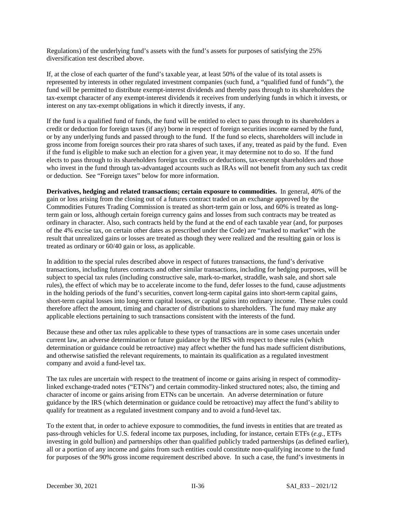Regulations) of the underlying fund's assets with the fund's assets for purposes of satisfying the 25% diversification test described above.

If, at the close of each quarter of the fund's taxable year, at least 50% of the value of its total assets is represented by interests in other regulated investment companies (such fund, a "qualified fund of funds"), the fund will be permitted to distribute exempt-interest dividends and thereby pass through to its shareholders the tax-exempt character of any exempt-interest dividends it receives from underlying funds in which it invests, or interest on any tax-exempt obligations in which it directly invests, if any.

If the fund is a qualified fund of funds, the fund will be entitled to elect to pass through to its shareholders a credit or deduction for foreign taxes (if any) borne in respect of foreign securities income earned by the fund, or by any underlying funds and passed through to the fund. If the fund so elects, shareholders will include in gross income from foreign sources their pro rata shares of such taxes, if any, treated as paid by the fund. Even if the fund is eligible to make such an election for a given year, it may determine not to do so. If the fund elects to pass through to its shareholders foreign tax credits or deductions, tax-exempt shareholders and those who invest in the fund through tax-advantaged accounts such as IRAs will not benefit from any such tax credit or deduction. See "Foreign taxes" below for more information.

**Derivatives, hedging and related transactions; certain exposure to commodities.** In general, 40% of the gain or loss arising from the closing out of a futures contract traded on an exchange approved by the Commodities Futures Trading Commission is treated as short-term gain or loss, and 60% is treated as longterm gain or loss, although certain foreign currency gains and losses from such contracts may be treated as ordinary in character. Also, such contracts held by the fund at the end of each taxable year (and, for purposes of the 4% excise tax, on certain other dates as prescribed under the Code) are "marked to market" with the result that unrealized gains or losses are treated as though they were realized and the resulting gain or loss is treated as ordinary or 60/40 gain or loss, as applicable.

In addition to the special rules described above in respect of futures transactions, the fund's derivative transactions, including futures contracts and other similar transactions, including for hedging purposes, will be subject to special tax rules (including constructive sale, mark-to-market, straddle, wash sale, and short sale rules), the effect of which may be to accelerate income to the fund, defer losses to the fund, cause adjustments in the holding periods of the fund's securities, convert long-term capital gains into short-term capital gains, short-term capital losses into long-term capital losses, or capital gains into ordinary income. These rules could therefore affect the amount, timing and character of distributions to shareholders. The fund may make any applicable elections pertaining to such transactions consistent with the interests of the fund.

Because these and other tax rules applicable to these types of transactions are in some cases uncertain under current law, an adverse determination or future guidance by the IRS with respect to these rules (which determination or guidance could be retroactive) may affect whether the fund has made sufficient distributions, and otherwise satisfied the relevant requirements, to maintain its qualification as a regulated investment company and avoid a fund-level tax.

The tax rules are uncertain with respect to the treatment of income or gains arising in respect of commoditylinked exchange-traded notes ("ETNs") and certain commodity-linked structured notes; also, the timing and character of income or gains arising from ETNs can be uncertain. An adverse determination or future guidance by the IRS (which determination or guidance could be retroactive) may affect the fund's ability to qualify for treatment as a regulated investment company and to avoid a fund-level tax.

To the extent that, in order to achieve exposure to commodities, the fund invests in entities that are treated as pass-through vehicles for U.S. federal income tax purposes, including, for instance, certain ETFs (*e.g.*, ETFs investing in gold bullion) and partnerships other than qualified publicly traded partnerships (as defined earlier), all or a portion of any income and gains from such entities could constitute non-qualifying income to the fund for purposes of the 90% gross income requirement described above. In such a case, the fund's investments in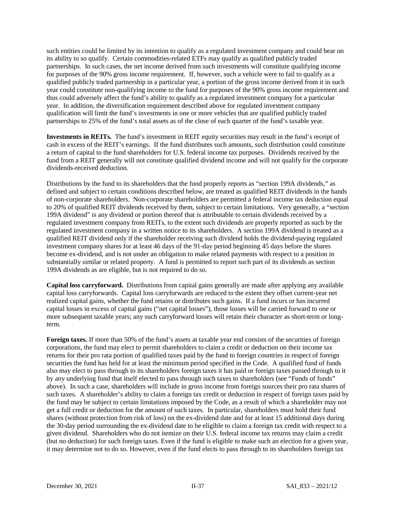such entities could be limited by its intention to qualify as a regulated investment company and could bear on its ability to so qualify. Certain commodities-related ETFs may qualify as qualified publicly traded partnerships. In such cases, the net income derived from such investments will constitute qualifying income for purposes of the 90% gross income requirement. If, however, such a vehicle were to fail to qualify as a qualified publicly traded partnership in a particular year, a portion of the gross income derived from it in such year could constitute non-qualifying income to the fund for purposes of the 90% gross income requirement and thus could adversely affect the fund's ability to qualify as a regulated investment company for a particular year. In addition, the diversification requirement described above for regulated investment company qualification will limit the fund's investments in one or more vehicles that are qualified publicly traded partnerships to 25% of the fund's total assets as of the close of each quarter of the fund's taxable year.

**Investments in REITs.** The fund's investment in REIT equity securities may result in the fund's receipt of cash in excess of the REIT's earnings. If the fund distributes such amounts, such distribution could constitute a return of capital to the fund shareholders for U.S. federal income tax purposes. Dividends received by the fund from a REIT generally will not constitute qualified dividend income and will not qualify for the corporate dividends-received deduction.

Distributions by the fund to its shareholders that the fund properly reports as "section 199A dividends," as defined and subject to certain conditions described below, are treated as qualified REIT dividends in the hands of non-corporate shareholders. Non-corporate shareholders are permitted a federal income tax deduction equal to 20% of qualified REIT dividends received by them, subject to certain limitations. Very generally, a "section 199A dividend" is any dividend or portion thereof that is attributable to certain dividends received by a regulated investment company from REITs, to the extent such dividends are properly reported as such by the regulated investment company in a written notice to its shareholders. A section 199A dividend is treated as a qualified REIT dividend only if the shareholder receiving such dividend holds the dividend-paying regulated investment company shares for at least 46 days of the 91-day period beginning 45 days before the shares become ex-dividend, and is not under an obligation to make related payments with respect to a position in substantially similar or related property. A fund is permitted to report such part of its dividends as section 199A dividends as are eligible, but is not required to do so.

**Capital loss carryforward.** Distributions from capital gains generally are made after applying any available capital loss carryforwards. Capital loss carryforwards are reduced to the extent they offset current-year net realized capital gains, whether the fund retains or distributes such gains. If a fund incurs or has incurred capital losses in excess of capital gains ("net capital losses"), those losses will be carried forward to one or more subsequent taxable years; any such carryforward losses will retain their character as short-term or longterm.

**Foreign taxes.** If more than 50% of the fund's assets at taxable year end consists of the securities of foreign corporations, the fund may elect to permit shareholders to claim a credit or deduction on their income tax returns for their pro rata portion of qualified taxes paid by the fund to foreign countries in respect of foreign securities the fund has held for at least the minimum period specified in the Code. A qualified fund of funds also may elect to pass through to its shareholders foreign taxes it has paid or foreign taxes passed through to it by any underlying fund that itself elected to pass through such taxes to shareholders (see "Funds of funds" above). In such a case, shareholders will include in gross income from foreign sources their pro rata shares of such taxes. A shareholder's ability to claim a foreign tax credit or deduction in respect of foreign taxes paid by the fund may be subject to certain limitations imposed by the Code, as a result of which a shareholder may not get a full credit or deduction for the amount of such taxes. In particular, shareholders must hold their fund shares (without protection from risk of loss) on the ex-dividend date and for at least 15 additional days during the 30-day period surrounding the ex-dividend date to be eligible to claim a foreign tax credit with respect to a given dividend. Shareholders who do not itemize on their U.S. federal income tax returns may claim a credit (but no deduction) for such foreign taxes. Even if the fund is eligible to make such an election for a given year, it may determine not to do so. However, even if the fund elects to pass through to its shareholders foreign tax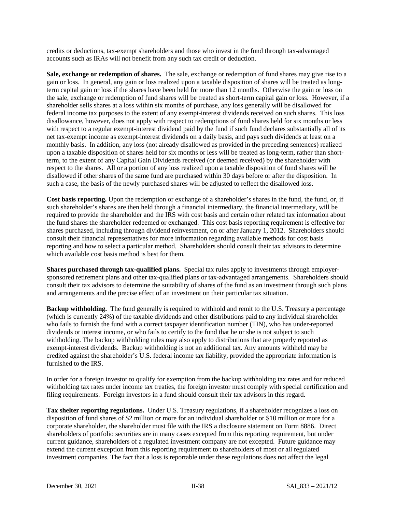credits or deductions, tax-exempt shareholders and those who invest in the fund through tax-advantaged accounts such as IRAs will not benefit from any such tax credit or deduction.

**Sale, exchange or redemption of shares.** The sale, exchange or redemption of fund shares may give rise to a gain or loss. In general, any gain or loss realized upon a taxable disposition of shares will be treated as longterm capital gain or loss if the shares have been held for more than 12 months. Otherwise the gain or loss on the sale, exchange or redemption of fund shares will be treated as short-term capital gain or loss. However, if a shareholder sells shares at a loss within six months of purchase, any loss generally will be disallowed for federal income tax purposes to the extent of any exempt-interest dividends received on such shares. This loss disallowance, however, does not apply with respect to redemptions of fund shares held for six months or less with respect to a regular exempt-interest dividend paid by the fund if such fund declares substantially all of its net tax-exempt income as exempt-interest dividends on a daily basis, and pays such dividends at least on a monthly basis. In addition, any loss (not already disallowed as provided in the preceding sentences) realized upon a taxable disposition of shares held for six months or less will be treated as long-term, rather than shortterm, to the extent of any Capital Gain Dividends received (or deemed received) by the shareholder with respect to the shares. All or a portion of any loss realized upon a taxable disposition of fund shares will be disallowed if other shares of the same fund are purchased within 30 days before or after the disposition. In such a case, the basis of the newly purchased shares will be adjusted to reflect the disallowed loss.

**Cost basis reporting.** Upon the redemption or exchange of a shareholder's shares in the fund, the fund, or, if such shareholder's shares are then held through a financial intermediary, the financial intermediary, will be required to provide the shareholder and the IRS with cost basis and certain other related tax information about the fund shares the shareholder redeemed or exchanged. This cost basis reporting requirement is effective for shares purchased, including through dividend reinvestment, on or after January 1, 2012. Shareholders should consult their financial representatives for more information regarding available methods for cost basis reporting and how to select a particular method. Shareholders should consult their tax advisors to determine which available cost basis method is best for them.

**Shares purchased through tax-qualified plans.** Special tax rules apply to investments through employersponsored retirement plans and other tax-qualified plans or tax-advantaged arrangements. Shareholders should consult their tax advisors to determine the suitability of shares of the fund as an investment through such plans and arrangements and the precise effect of an investment on their particular tax situation.

**Backup withholding.** The fund generally is required to withhold and remit to the U.S. Treasury a percentage (which is currently 24%) of the taxable dividends and other distributions paid to any individual shareholder who fails to furnish the fund with a correct taxpayer identification number (TIN), who has under-reported dividends or interest income, or who fails to certify to the fund that he or she is not subject to such withholding. The backup withholding rules may also apply to distributions that are properly reported as exempt-interest dividends. Backup withholding is not an additional tax. Any amounts withheld may be credited against the shareholder's U.S. federal income tax liability, provided the appropriate information is furnished to the IRS.

In order for a foreign investor to qualify for exemption from the backup withholding tax rates and for reduced withholding tax rates under income tax treaties, the foreign investor must comply with special certification and filing requirements. Foreign investors in a fund should consult their tax advisors in this regard.

**Tax shelter reporting regulations.** Under U.S. Treasury regulations, if a shareholder recognizes a loss on disposition of fund shares of \$2 million or more for an individual shareholder or \$10 million or more for a corporate shareholder, the shareholder must file with the IRS a disclosure statement on Form 8886. Direct shareholders of portfolio securities are in many cases excepted from this reporting requirement, but under current guidance, shareholders of a regulated investment company are not excepted. Future guidance may extend the current exception from this reporting requirement to shareholders of most or all regulated investment companies. The fact that a loss is reportable under these regulations does not affect the legal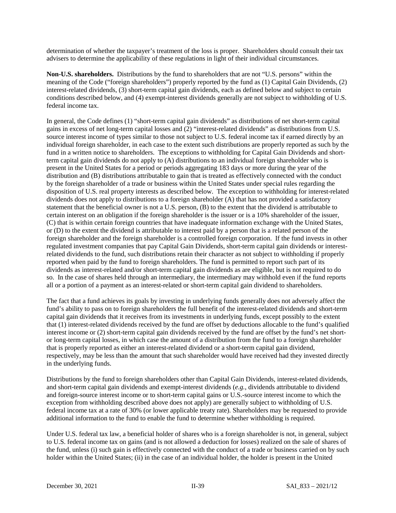determination of whether the taxpayer's treatment of the loss is proper. Shareholders should consult their tax advisers to determine the applicability of these regulations in light of their individual circumstances.

**Non-U.S. shareholders.** Distributions by the fund to shareholders that are not "U.S. persons" within the meaning of the Code ("foreign shareholders") properly reported by the fund as (1) Capital Gain Dividends, (2) interest-related dividends, (3) short-term capital gain dividends, each as defined below and subject to certain conditions described below, and (4) exempt-interest dividends generally are not subject to withholding of U.S. federal income tax.

In general, the Code defines (1) "short-term capital gain dividends" as distributions of net short-term capital gains in excess of net long-term capital losses and (2) "interest-related dividends" as distributions from U.S. source interest income of types similar to those not subject to U.S. federal income tax if earned directly by an individual foreign shareholder, in each case to the extent such distributions are properly reported as such by the fund in a written notice to shareholders. The exceptions to withholding for Capital Gain Dividends and shortterm capital gain dividends do not apply to (A) distributions to an individual foreign shareholder who is present in the United States for a period or periods aggregating 183 days or more during the year of the distribution and (B) distributions attributable to gain that is treated as effectively connected with the conduct by the foreign shareholder of a trade or business within the United States under special rules regarding the disposition of U.S. real property interests as described below. The exception to withholding for interest-related dividends does not apply to distributions to a foreign shareholder (A) that has not provided a satisfactory statement that the beneficial owner is not a U.S. person, (B) to the extent that the dividend is attributable to certain interest on an obligation if the foreign shareholder is the issuer or is a 10% shareholder of the issuer, (C) that is within certain foreign countries that have inadequate information exchange with the United States, or (D) to the extent the dividend is attributable to interest paid by a person that is a related person of the foreign shareholder and the foreign shareholder is a controlled foreign corporation. If the fund invests in other regulated investment companies that pay Capital Gain Dividends, short-term capital gain dividends or interestrelated dividends to the fund, such distributions retain their character as not subject to withholding if properly reported when paid by the fund to foreign shareholders. The fund is permitted to report such part of its dividends as interest-related and/or short-term capital gain dividends as are eligible, but is not required to do so. In the case of shares held through an intermediary, the intermediary may withhold even if the fund reports all or a portion of a payment as an interest-related or short-term capital gain dividend to shareholders.

The fact that a fund achieves its goals by investing in underlying funds generally does not adversely affect the fund's ability to pass on to foreign shareholders the full benefit of the interest-related dividends and short-term capital gain dividends that it receives from its investments in underlying funds, except possibly to the extent that (1) interest-related dividends received by the fund are offset by deductions allocable to the fund's qualified interest income or (2) short-term capital gain dividends received by the fund are offset by the fund's net shortor long-term capital losses, in which case the amount of a distribution from the fund to a foreign shareholder that is properly reported as either an interest-related dividend or a short-term capital gain dividend, respectively, may be less than the amount that such shareholder would have received had they invested directly in the underlying funds.

Distributions by the fund to foreign shareholders other than Capital Gain Dividends, interest-related dividends, and short-term capital gain dividends and exempt-interest dividends (*e.g.*, dividends attributable to dividend and foreign-source interest income or to short-term capital gains or U.S.-source interest income to which the exception from withholding described above does not apply) are generally subject to withholding of U.S. federal income tax at a rate of 30% (or lower applicable treaty rate). Shareholders may be requested to provide additional information to the fund to enable the fund to determine whether withholding is required.

Under U.S. federal tax law, a beneficial holder of shares who is a foreign shareholder is not, in general, subject to U.S. federal income tax on gains (and is not allowed a deduction for losses) realized on the sale of shares of the fund, unless (i) such gain is effectively connected with the conduct of a trade or business carried on by such holder within the United States; (ii) in the case of an individual holder, the holder is present in the United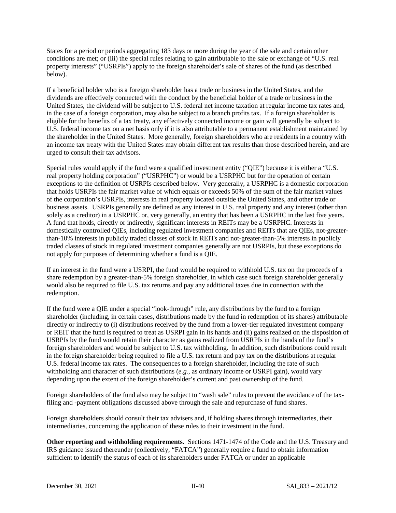States for a period or periods aggregating 183 days or more during the year of the sale and certain other conditions are met; or (iii) the special rules relating to gain attributable to the sale or exchange of "U.S. real property interests" ("USRPIs") apply to the foreign shareholder's sale of shares of the fund (as described below).

If a beneficial holder who is a foreign shareholder has a trade or business in the United States, and the dividends are effectively connected with the conduct by the beneficial holder of a trade or business in the United States, the dividend will be subject to U.S. federal net income taxation at regular income tax rates and, in the case of a foreign corporation, may also be subject to a branch profits tax. If a foreign shareholder is eligible for the benefits of a tax treaty, any effectively connected income or gain will generally be subject to U.S. federal income tax on a net basis only if it is also attributable to a permanent establishment maintained by the shareholder in the United States. More generally, foreign shareholders who are residents in a country with an income tax treaty with the United States may obtain different tax results than those described herein, and are urged to consult their tax advisors.

Special rules would apply if the fund were a qualified investment entity ("QIE") because it is either a "U.S. real property holding corporation" ("USRPHC") or would be a USRPHC but for the operation of certain exceptions to the definition of USRPIs described below. Very generally, a USRPHC is a domestic corporation that holds USRPIs the fair market value of which equals or exceeds 50% of the sum of the fair market values of the corporation's USRPIs, interests in real property located outside the United States, and other trade or business assets. USRPIs generally are defined as any interest in U.S. real property and any interest (other than solely as a creditor) in a USRPHC or, very generally, an entity that has been a USRPHC in the last five years. A fund that holds, directly or indirectly, significant interests in REITs may be a USRPHC. Interests in domestically controlled QIEs, including regulated investment companies and REITs that are QIEs, not-greaterthan-10% interests in publicly traded classes of stock in REITs and not-greater-than-5% interests in publicly traded classes of stock in regulated investment companies generally are not USRPIs, but these exceptions do not apply for purposes of determining whether a fund is a QIE.

If an interest in the fund were a USRPI, the fund would be required to withhold U.S. tax on the proceeds of a share redemption by a greater-than-5% foreign shareholder, in which case such foreign shareholder generally would also be required to file U.S. tax returns and pay any additional taxes due in connection with the redemption.

If the fund were a QIE under a special "look-through" rule, any distributions by the fund to a foreign shareholder (including, in certain cases, distributions made by the fund in redemption of its shares) attributable directly or indirectly to (i) distributions received by the fund from a lower-tier regulated investment company or REIT that the fund is required to treat as USRPI gain in its hands and (ii) gains realized on the disposition of USRPIs by the fund would retain their character as gains realized from USRPIs in the hands of the fund's foreign shareholders and would be subject to U.S. tax withholding. In addition, such distributions could result in the foreign shareholder being required to file a U.S. tax return and pay tax on the distributions at regular U.S. federal income tax rates. The consequences to a foreign shareholder, including the rate of such withholding and character of such distributions (*e.g.*, as ordinary income or USRPI gain), would vary depending upon the extent of the foreign shareholder's current and past ownership of the fund.

Foreign shareholders of the fund also may be subject to "wash sale" rules to prevent the avoidance of the taxfiling and -payment obligations discussed above through the sale and repurchase of fund shares.

Foreign shareholders should consult their tax advisers and, if holding shares through intermediaries, their intermediaries, concerning the application of these rules to their investment in the fund.

**Other reporting and withholding requirements**. Sections 1471-1474 of the Code and the U.S. Treasury and IRS guidance issued thereunder (collectively, "FATCA") generally require a fund to obtain information sufficient to identify the status of each of its shareholders under FATCA or under an applicable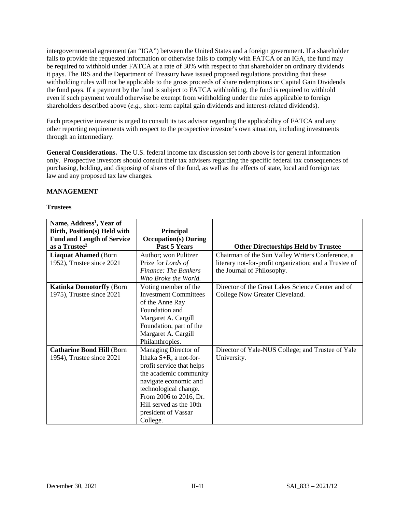intergovernmental agreement (an "IGA") between the United States and a foreign government. If a shareholder fails to provide the requested information or otherwise fails to comply with FATCA or an IGA, the fund may be required to withhold under FATCA at a rate of 30% with respect to that shareholder on ordinary dividends it pays. The IRS and the Department of Treasury have issued proposed regulations providing that these withholding rules will not be applicable to the gross proceeds of share redemptions or Capital Gain Dividends the fund pays. If a payment by the fund is subject to FATCA withholding, the fund is required to withhold even if such payment would otherwise be exempt from withholding under the rules applicable to foreign shareholders described above (*e.g.*, short-term capital gain dividends and interest-related dividends).

Each prospective investor is urged to consult its tax advisor regarding the applicability of FATCA and any other reporting requirements with respect to the prospective investor's own situation, including investments through an intermediary.

**General Considerations.** The U.S. federal income tax discussion set forth above is for general information only. Prospective investors should consult their tax advisers regarding the specific federal tax consequences of purchasing, holding, and disposing of shares of the fund, as well as the effects of state, local and foreign tax law and any proposed tax law changes.

## **MANAGEMENT**

### **Trustees**

| Name, Address <sup>1</sup> , Year of |                              |                                                        |
|--------------------------------------|------------------------------|--------------------------------------------------------|
| Birth, Position(s) Held with         | Principal                    |                                                        |
| <b>Fund and Length of Service</b>    | <b>Occupation(s)</b> During  |                                                        |
| as a Trustee <sup>2</sup>            | Past 5 Years                 | <b>Other Directorships Held by Trustee</b>             |
| <b>Liaquat Ahamed (Born</b>          | Author; won Pulitzer         | Chairman of the Sun Valley Writers Conference, a       |
| 1952), Trustee since 2021            | Prize for Lords of           | literary not-for-profit organization; and a Trustee of |
|                                      | Finance: The Bankers         | the Journal of Philosophy.                             |
|                                      | Who Broke the World.         |                                                        |
| <b>Katinka Domotorffy (Born</b>      | Voting member of the         | Director of the Great Lakes Science Center and of      |
| 1975), Trustee since 2021            | <b>Investment Committees</b> | College Now Greater Cleveland.                         |
|                                      | of the Anne Ray              |                                                        |
|                                      | Foundation and               |                                                        |
|                                      | Margaret A. Cargill          |                                                        |
|                                      | Foundation, part of the      |                                                        |
|                                      | Margaret A. Cargill          |                                                        |
|                                      | Philanthropies.              |                                                        |
| <b>Catharine Bond Hill (Born</b>     | Managing Director of         | Director of Yale-NUS College; and Trustee of Yale      |
| 1954), Trustee since 2021            | Ithaka S+R, a not-for-       | University.                                            |
|                                      | profit service that helps    |                                                        |
|                                      | the academic community       |                                                        |
|                                      | navigate economic and        |                                                        |
|                                      | technological change.        |                                                        |
|                                      | From 2006 to 2016, Dr.       |                                                        |
|                                      | Hill served as the 10th      |                                                        |
|                                      | president of Vassar          |                                                        |
|                                      | College.                     |                                                        |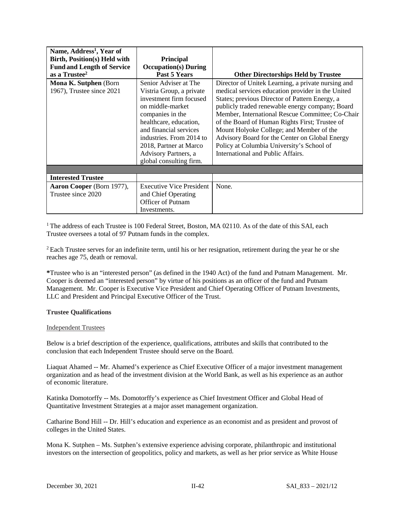| Name, Address <sup>1</sup> , Year of<br><b>Birth, Position(s) Held with</b><br><b>Fund and Length of Service</b><br>as a Trustee <sup>2</sup><br><b>Mona K. Sutphen (Born)</b><br>1967), Trustee since 2021 | <b>Principal</b><br><b>Occupation(s)</b> During<br>Past 5 Years<br>Senior Adviser at The<br>Vistria Group, a private<br>investment firm focused                                                   | <b>Other Directorships Held by Trustee</b><br>Director of Unitek Learning, a private nursing and<br>medical services education provider in the United<br>States; previous Director of Pattern Energy, a                                                                                                                               |
|-------------------------------------------------------------------------------------------------------------------------------------------------------------------------------------------------------------|---------------------------------------------------------------------------------------------------------------------------------------------------------------------------------------------------|---------------------------------------------------------------------------------------------------------------------------------------------------------------------------------------------------------------------------------------------------------------------------------------------------------------------------------------|
|                                                                                                                                                                                                             | on middle-market<br>companies in the<br>healthcare, education,<br>and financial services<br>industries. From 2014 to<br>2018, Partner at Marco<br>Advisory Partners, a<br>global consulting firm. | publicly traded renewable energy company; Board<br>Member, International Rescue Committee; Co-Chair<br>of the Board of Human Rights First; Trustee of<br>Mount Holyoke College; and Member of the<br>Advisory Board for the Center on Global Energy<br>Policy at Columbia University's School of<br>International and Public Affairs. |
|                                                                                                                                                                                                             |                                                                                                                                                                                                   |                                                                                                                                                                                                                                                                                                                                       |
| <b>Interested Trustee</b>                                                                                                                                                                                   |                                                                                                                                                                                                   |                                                                                                                                                                                                                                                                                                                                       |
| Aaron Cooper (Born 1977),<br>Trustee since 2020                                                                                                                                                             | <b>Executive Vice President</b><br>and Chief Operating<br>Officer of Putnam<br>Investments.                                                                                                       | None.                                                                                                                                                                                                                                                                                                                                 |

<sup>1</sup> The address of each Trustee is 100 Federal Street, Boston, MA 02110. As of the date of this SAI, each Trustee oversees a total of 97 Putnam funds in the complex.

<sup>2</sup> Each Trustee serves for an indefinite term, until his or her resignation, retirement during the year he or she reaches age 75, death or removal.

**\***Trustee who is an "interested person" (as defined in the 1940 Act) of the fund and Putnam Management. Mr. Cooper is deemed an "interested person" by virtue of his positions as an officer of the fund and Putnam Management. Mr. Cooper is Executive Vice President and Chief Operating Officer of Putnam Investments, LLC and President and Principal Executive Officer of the Trust.

#### **Trustee Qualifications**

#### Independent Trustees

Below is a brief description of the experience, qualifications, attributes and skills that contributed to the conclusion that each Independent Trustee should serve on the Board.

Liaquat Ahamed -- Mr. Ahamed's experience as Chief Executive Officer of a major investment management organization and as head of the investment division at the World Bank, as well as his experience as an author of economic literature.

Katinka Domotorffy -- Ms. Domotorffy's experience as Chief Investment Officer and Global Head of Quantitative Investment Strategies at a major asset management organization.

Catharine Bond Hill -- Dr. Hill's education and experience as an economist and as president and provost of colleges in the United States.

Mona K. Sutphen – Ms. Sutphen's extensive experience advising corporate, philanthropic and institutional investors on the intersection of geopolitics, policy and markets, as well as her prior service as White House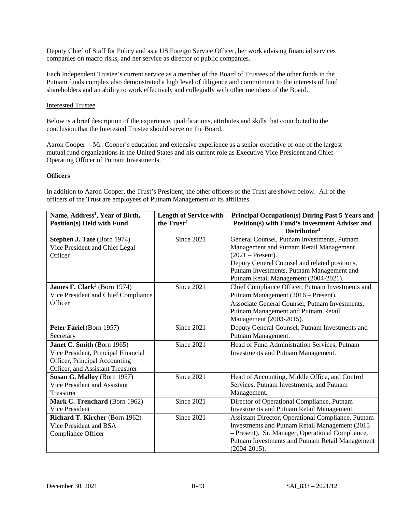Deputy Chief of Staff for Policy and as a US Foreign Service Officer, her work advising financial services companies on macro risks, and her service as director of public companies.

Each Independent Trustee's current service as a member of the Board of Trustees of the other funds in the Putnam funds complex also demonstrated a high level of diligence and commitment to the interests of fund shareholders and an ability to work effectively and collegially with other members of the Board.

### Interested Trustee

Below is a brief description of the experience, qualifications, attributes and skills that contributed to the conclusion that the Interested Trustee should serve on the Board.

Aaron Cooper -- Mr. Cooper's education and extensive experience as a senior executive of one of the largest mutual fund organizations in the United States and his current role as Executive Vice President and Chief Operating Officer of Putnam Investments.

### **Officers**

In addition to Aaron Cooper, the Trust's President, the other officers of the Trust are shown below. All of the officers of the Trust are employees of Putnam Management or its affiliates.

| Name, Address <sup>1</sup> , Year of Birth,<br><b>Position(s) Held with Fund</b> | <b>Length of Service with</b><br>the Trust <sup>2</sup> | <b>Principal Occupation(s) During Past 5 Years and</b><br>Position(s) with Fund's Investment Adviser and |
|----------------------------------------------------------------------------------|---------------------------------------------------------|----------------------------------------------------------------------------------------------------------|
|                                                                                  |                                                         | Distributor <sup>3</sup>                                                                                 |
| Stephen J. Tate (Born 1974)                                                      | Since 2021                                              | General Counsel, Putnam Investments, Putnam                                                              |
| Vice President and Chief Legal                                                   |                                                         | Management and Putnam Retail Management                                                                  |
| Officer                                                                          |                                                         | $(2021 - Present).$                                                                                      |
|                                                                                  |                                                         | Deputy General Counsel and related positions,                                                            |
|                                                                                  |                                                         | Putnam Investments, Putnam Management and                                                                |
|                                                                                  |                                                         | Putnam Retail Management (2004-2021).                                                                    |
| <b>James F. Clark</b> <sup>3</sup> (Born 1974)                                   | Since 2021                                              | Chief Compliance Officer, Putnam Investments and                                                         |
| Vice President and Chief Compliance                                              |                                                         | Putnam Management (2016 – Present).                                                                      |
| Officer                                                                          |                                                         | Associate General Counsel, Putnam Investments,                                                           |
|                                                                                  |                                                         | Putnam Management and Putnam Retail                                                                      |
|                                                                                  |                                                         | Management (2003-2015).                                                                                  |
| Peter Fariel (Born 1957)                                                         | Since 2021                                              | Deputy General Counsel, Putnam Investments and                                                           |
| Secretary                                                                        |                                                         | Putnam Management.                                                                                       |
| Janet C. Smith (Born 1965)                                                       | Since 2021                                              | Head of Fund Administration Services, Putnam                                                             |
| Vice President, Principal Financial                                              |                                                         | Investments and Putnam Management.                                                                       |
| Officer, Principal Accounting                                                    |                                                         |                                                                                                          |
| Officer, and Assistant Treasurer                                                 |                                                         |                                                                                                          |
| Susan G. Malloy (Born 1957)                                                      | Since 2021                                              | Head of Accounting, Middle Office, and Control                                                           |
| Vice President and Assistant                                                     |                                                         | Services, Putnam Investments, and Putnam                                                                 |
| Treasurer                                                                        |                                                         | Management.                                                                                              |
| Mark C. Trenchard (Born 1962)                                                    | Since 2021                                              | Director of Operational Compliance, Putnam                                                               |
| Vice President                                                                   |                                                         | Investments and Putnam Retail Management.                                                                |
| Richard T. Kircher (Born 1962)                                                   | Since 2021                                              | Assistant Director, Operational Compliance, Putnam                                                       |
| Vice President and BSA                                                           |                                                         | Investments and Putnam Retail Management (2015)                                                          |
| Compliance Officer                                                               |                                                         | - Present). Sr. Manager, Operational Compliance,                                                         |
|                                                                                  |                                                         | Putnam Investments and Putnam Retail Management                                                          |
|                                                                                  |                                                         | $(2004 - 2015).$                                                                                         |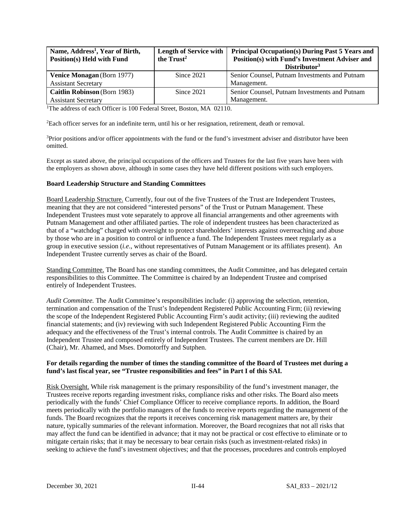| Name, Address <sup>1</sup> , Year of Birth, | <b>Length of Service with</b> | <b>Principal Occupation(s) During Past 5 Years and</b> |
|---------------------------------------------|-------------------------------|--------------------------------------------------------|
| Position(s) Held with Fund                  | the $Trust2$                  | Position(s) with Fund's Investment Adviser and         |
|                                             |                               | Distributor <sup>3</sup>                               |
| <b>Venice Monagan</b> (Born 1977)           | Since $2021$                  | Senior Counsel, Putnam Investments and Putnam          |
| <b>Assistant Secretary</b>                  |                               | Management.                                            |
| Caitlin Robinson (Born 1983)                | Since 2021                    | Senior Counsel, Putnam Investments and Putnam          |
| <b>Assistant Secretary</b>                  |                               | Management.                                            |

<sup>1</sup>The address of each Officer is 100 Federal Street, Boston, MA 02110.

<sup>2</sup>Each officer serves for an indefinite term, until his or her resignation, retirement, death or removal.

3 Prior positions and/or officer appointments with the fund or the fund's investment adviser and distributor have been omitted.

Except as stated above, the principal occupations of the officers and Trustees for the last five years have been with the employers as shown above, although in some cases they have held different positions with such employers.

#### **Board Leadership Structure and Standing Committees**

Board Leadership Structure. Currently, four out of the five Trustees of the Trust are Independent Trustees, meaning that they are not considered "interested persons" of the Trust or Putnam Management. These Independent Trustees must vote separately to approve all financial arrangements and other agreements with Putnam Management and other affiliated parties. The role of independent trustees has been characterized as that of a "watchdog" charged with oversight to protect shareholders' interests against overreaching and abuse by those who are in a position to control or influence a fund. The Independent Trustees meet regularly as a group in executive session (*i.e*., without representatives of Putnam Management or its affiliates present). An Independent Trustee currently serves as chair of the Board.

Standing Committee. The Board has one standing committees, the Audit Committee, and has delegated certain responsibilities to this Committee. The Committee is chaired by an Independent Trustee and comprised entirely of Independent Trustees.

*Audit Committee.* The Audit Committee's responsibilities include: (i) approving the selection, retention, termination and compensation of the Trust's Independent Registered Public Accounting Firm; (ii) reviewing the scope of the Independent Registered Public Accounting Firm's audit activity; (iii) reviewing the audited financial statements; and (iv) reviewing with such Independent Registered Public Accounting Firm the adequacy and the effectiveness of the Trust's internal controls. The Audit Committee is chaired by an Independent Trustee and composed entirely of Independent Trustees. The current members are Dr. Hill (Chair), Mr. Ahamed, and Mses. Domotorffy and Sutphen.

#### **For details regarding the number of times the standing committee of the Board of Trustees met during a fund's last fiscal year, see "Trustee responsibilities and fees" in Part I of this SAI.**

Risk Oversight. While risk management is the primary responsibility of the fund's investment manager, the Trustees receive reports regarding investment risks, compliance risks and other risks. The Board also meets periodically with the funds' Chief Compliance Officer to receive compliance reports. In addition, the Board meets periodically with the portfolio managers of the funds to receive reports regarding the management of the funds. The Board recognizes that the reports it receives concerning risk management matters are, by their nature, typically summaries of the relevant information. Moreover, the Board recognizes that not all risks that may affect the fund can be identified in advance; that it may not be practical or cost effective to eliminate or to mitigate certain risks; that it may be necessary to bear certain risks (such as investment-related risks) in seeking to achieve the fund's investment objectives; and that the processes, procedures and controls employed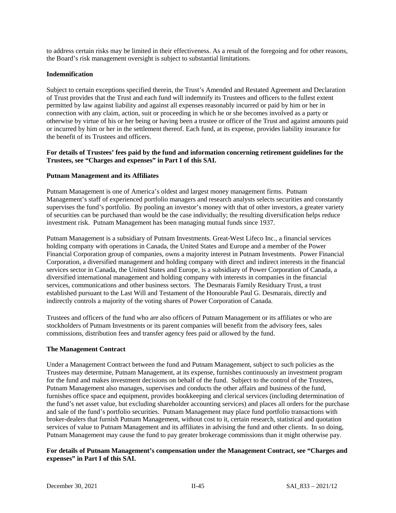to address certain risks may be limited in their effectiveness. As a result of the foregoing and for other reasons, the Board's risk management oversight is subject to substantial limitations.

### **Indemnification**

Subject to certain exceptions specified therein, the Trust's Amended and Restated Agreement and Declaration of Trust provides that the Trust and each fund will indemnify its Trustees and officers to the fullest extent permitted by law against liability and against all expenses reasonably incurred or paid by him or her in connection with any claim, action, suit or proceeding in which he or she becomes involved as a party or otherwise by virtue of his or her being or having been a trustee or officer of the Trust and against amounts paid or incurred by him or her in the settlement thereof. Each fund, at its expense, provides liability insurance for the benefit of its Trustees and officers.

### **For details of Trustees' fees paid by the fund and information concerning retirement guidelines for the Trustees, see "Charges and expenses" in Part I of this SAI.**

### **Putnam Management and its Affiliates**

Putnam Management is one of America's oldest and largest money management firms. Putnam Management's staff of experienced portfolio managers and research analysts selects securities and constantly supervises the fund's portfolio. By pooling an investor's money with that of other investors, a greater variety of securities can be purchased than would be the case individually; the resulting diversification helps reduce investment risk. Putnam Management has been managing mutual funds since 1937.

Putnam Management is a subsidiary of Putnam Investments. Great-West Lifeco Inc., a financial services holding company with operations in Canada, the United States and Europe and a member of the Power Financial Corporation group of companies, owns a majority interest in Putnam Investments. Power Financial Corporation, a diversified management and holding company with direct and indirect interests in the financial services sector in Canada, the United States and Europe, is a subsidiary of Power Corporation of Canada, a diversified international management and holding company with interests in companies in the financial services, communications and other business sectors. The Desmarais Family Residuary Trust, a trust established pursuant to the Last Will and Testament of the Honourable Paul G. Desmarais, directly and indirectly controls a majority of the voting shares of Power Corporation of Canada.

Trustees and officers of the fund who are also officers of Putnam Management or its affiliates or who are stockholders of Putnam Investments or its parent companies will benefit from the advisory fees, sales commissions, distribution fees and transfer agency fees paid or allowed by the fund.

#### **The Management Contract**

Under a Management Contract between the fund and Putnam Management, subject to such policies as the Trustees may determine, Putnam Management, at its expense, furnishes continuously an investment program for the fund and makes investment decisions on behalf of the fund. Subject to the control of the Trustees, Putnam Management also manages, supervises and conducts the other affairs and business of the fund, furnishes office space and equipment, provides bookkeeping and clerical services (including determination of the fund's net asset value, but excluding shareholder accounting services) and places all orders for the purchase and sale of the fund's portfolio securities. Putnam Management may place fund portfolio transactions with broker-dealers that furnish Putnam Management, without cost to it, certain research, statistical and quotation services of value to Putnam Management and its affiliates in advising the fund and other clients. In so doing, Putnam Management may cause the fund to pay greater brokerage commissions than it might otherwise pay.

### **For details of Putnam Management's compensation under the Management Contract, see "Charges and expenses" in Part I of this SAI.**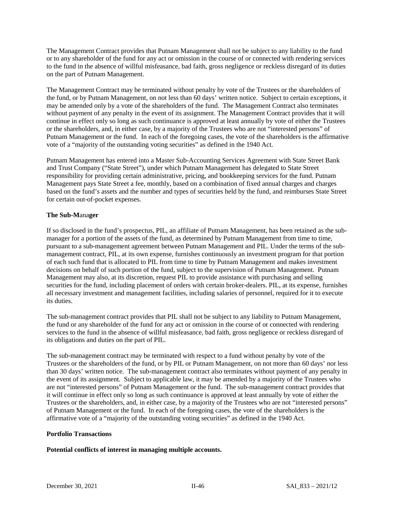The Management Contract provides that Putnam Management shall not be subject to any liability to the fund or to any shareholder of the fund for any act or omission in the course of or connected with rendering services to the fund in the absence of willful misfeasance, bad faith, gross negligence or reckless disregard of its duties on the part of Putnam Management.

The Management Contract may be terminated without penalty by vote of the Trustees or the shareholders of the fund, or by Putnam Management, on not less than 60 days' written notice. Subject to certain exceptions, it may be amended only by a vote of the shareholders of the fund. The Management Contract also terminates without payment of any penalty in the event of its assignment. The Management Contract provides that it will continue in effect only so long as such continuance is approved at least annually by vote of either the Trustees or the shareholders, and, in either case, by a majority of the Trustees who are not "interested persons" of Putnam Management or the fund. In each of the foregoing cases, the vote of the shareholders is the affirmative vote of a "majority of the outstanding voting securities" as defined in the 1940 Act.

Putnam Management has entered into a Master Sub-Accounting Services Agreement with State Street Bank and Trust Company ("State Street"), under which Putnam Management has delegated to State Street responsibility for providing certain administrative, pricing, and bookkeeping services for the fund. Putnam Management pays State Street a fee, monthly, based on a combination of fixed annual charges and charges based on the fund's assets and the number and types of securities held by the fund, and reimburses State Street for certain out-of-pocket expenses.

## **The Sub-M**ana**ger**

If so disclosed in the fund's prospectus, PIL, an affiliate of Putnam Management, has been retained as the submanager for a portion of the assets of the fund, as determined by Putnam Management from time to time, pursuant to a sub-management agreement between Putnam Management and PIL. Under the terms of the submanagement contract, PIL, at its own expense, furnishes continuously an investment program for that portion of each such fund that is allocated to PIL from time to time by Putnam Management and makes investment decisions on behalf of such portion of the fund, subject to the supervision of Putnam Management. Putnam Management may also, at its discretion, request PIL to provide assistance with purchasing and selling securities for the fund, including placement of orders with certain broker-dealers. PIL, at its expense, furnishes all necessary investment and management facilities, including salaries of personnel, required for it to execute its duties.

The sub-management contract provides that PIL shall not be subject to any liability to Putnam Management, the fund or any shareholder of the fund for any act or omission in the course of or connected with rendering services to the fund in the absence of willful misfeasance, bad faith, gross negligence or reckless disregard of its obligations and duties on the part of PIL.

The sub-management contract may be terminated with respect to a fund without penalty by vote of the Trustees or the shareholders of the fund, or by PIL or Putnam Management, on not more than 60 days' nor less than 30 days' written notice. The sub-management contract also terminates without payment of any penalty in the event of its assignment. Subject to applicable law, it may be amended by a majority of the Trustees who are not "interested persons" of Putnam Management or the fund. The sub-management contract provides that it will continue in effect only so long as such continuance is approved at least annually by vote of either the Trustees or the shareholders, and, in either case, by a majority of the Trustees who are not "interested persons" of Putnam Management or the fund. In each of the foregoing cases, the vote of the shareholders is the affirmative vote of a "majority of the outstanding voting securities" as defined in the 1940 Act.

#### **Portfolio Transactions**

#### **Potential conflicts of interest in managing multiple accounts.**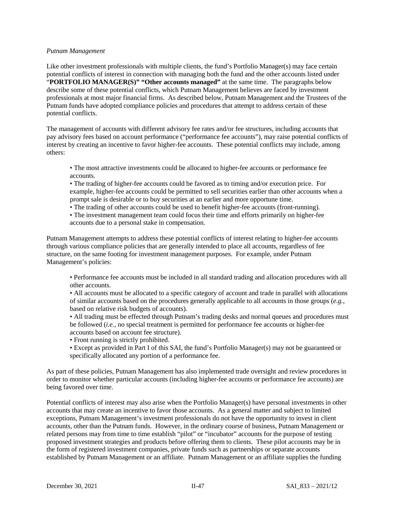#### *Putnam Management*

Like other investment professionals with multiple clients, the fund's Portfolio Manager(s) may face certain potential conflicts of interest in connection with managing both the fund and the other accounts listed under "**PORTFOLIO MANAGER(S)" "Other accounts managed"** at the same time. The paragraphs below describe some of these potential conflicts, which Putnam Management believes are faced by investment professionals at most major financial firms. As described below, Putnam Management and the Trustees of the Putnam funds have adopted compliance policies and procedures that attempt to address certain of these potential conflicts.

The management of accounts with different advisory fee rates and/or fee structures, including accounts that pay advisory fees based on account performance ("performance fee accounts"), may raise potential conflicts of interest by creating an incentive to favor higher-fee accounts. These potential conflicts may include, among others:

- The most attractive investments could be allocated to higher-fee accounts or performance fee accounts.
- The trading of higher-fee accounts could be favored as to timing and/or execution price. For example, higher-fee accounts could be permitted to sell securities earlier than other accounts when a prompt sale is desirable or to buy securities at an earlier and more opportune time.
- The trading of other accounts could be used to benefit higher-fee accounts (front-running).
- The investment management team could focus their time and efforts primarily on higher-fee accounts due to a personal stake in compensation.

Putnam Management attempts to address these potential conflicts of interest relating to higher-fee accounts through various compliance policies that are generally intended to place all accounts, regardless of fee structure, on the same footing for investment management purposes. For example, under Putnam Management's policies:

• Performance fee accounts must be included in all standard trading and allocation procedures with all other accounts.

• All accounts must be allocated to a specific category of account and trade in parallel with allocations of similar accounts based on the procedures generally applicable to all accounts in those groups (*e.g.*, based on relative risk budgets of accounts).

- All trading must be effected through Putnam's trading desks and normal queues and procedures must be followed (*i.e.*, no special treatment is permitted for performance fee accounts or higher-fee accounts based on account fee structure).
- Front running is strictly prohibited.
- Except as provided in Part I of this SAI, the fund's Portfolio Manager(s) may not be guaranteed or specifically allocated any portion of a performance fee.

As part of these policies, Putnam Management has also implemented trade oversight and review procedures in order to monitor whether particular accounts (including higher-fee accounts or performance fee accounts) are being favored over time.

Potential conflicts of interest may also arise when the Portfolio Manager(s) have personal investments in other accounts that may create an incentive to favor those accounts. As a general matter and subject to limited exceptions, Putnam Management's investment professionals do not have the opportunity to invest in client accounts, other than the Putnam funds. However, in the ordinary course of business, Putnam Management or related persons may from time to time establish "pilot" or "incubator" accounts for the purpose of testing proposed investment strategies and products before offering them to clients. These pilot accounts may be in the form of registered investment companies, private funds such as partnerships or separate accounts established by Putnam Management or an affiliate. Putnam Management or an affiliate supplies the funding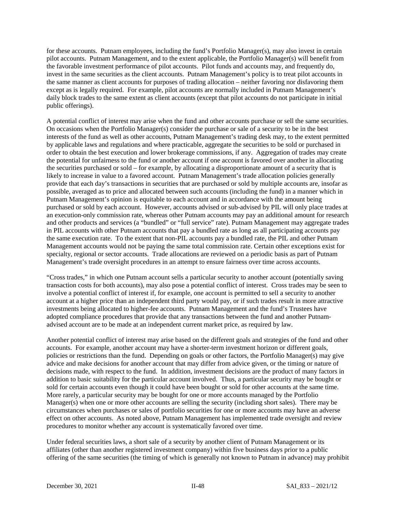for these accounts. Putnam employees, including the fund's Portfolio Manager(s), may also invest in certain pilot accounts. Putnam Management, and to the extent applicable, the Portfolio Manager(s) will benefit from the favorable investment performance of pilot accounts. Pilot funds and accounts may, and frequently do, invest in the same securities as the client accounts. Putnam Management's policy is to treat pilot accounts in the same manner as client accounts for purposes of trading allocation – neither favoring nor disfavoring them except as is legally required. For example, pilot accounts are normally included in Putnam Management's daily block trades to the same extent as client accounts (except that pilot accounts do not participate in initial public offerings).

A potential conflict of interest may arise when the fund and other accounts purchase or sell the same securities. On occasions when the Portfolio Manager(s) consider the purchase or sale of a security to be in the best interests of the fund as well as other accounts, Putnam Management's trading desk may, to the extent permitted by applicable laws and regulations and where practicable, aggregate the securities to be sold or purchased in order to obtain the best execution and lower brokerage commissions, if any. Aggregation of trades may create the potential for unfairness to the fund or another account if one account is favored over another in allocating the securities purchased or sold – for example, by allocating a disproportionate amount of a security that is likely to increase in value to a favored account. Putnam Management's trade allocation policies generally provide that each day's transactions in securities that are purchased or sold by multiple accounts are, insofar as possible, averaged as to price and allocated between such accounts (including the fund) in a manner which in Putnam Management's opinion is equitable to each account and in accordance with the amount being purchased or sold by each account. However, accounts advised or sub-advised by PIL will only place trades at an execution-only commission rate, whereas other Putnam accounts may pay an additional amount for research and other products and services (a "bundled" or "full service" rate). Putnam Management may aggregate trades in PIL accounts with other Putnam accounts that pay a bundled rate as long as all participating accounts pay the same execution rate. To the extent that non-PIL accounts pay a bundled rate, the PIL and other Putnam Management accounts would not be paying the same total commission rate. Certain other exceptions exist for specialty, regional or sector accounts. Trade allocations are reviewed on a periodic basis as part of Putnam Management's trade oversight procedures in an attempt to ensure fairness over time across accounts.

"Cross trades," in which one Putnam account sells a particular security to another account (potentially saving transaction costs for both accounts), may also pose a potential conflict of interest. Cross trades may be seen to involve a potential conflict of interest if, for example, one account is permitted to sell a security to another account at a higher price than an independent third party would pay, or if such trades result in more attractive investments being allocated to higher-fee accounts. Putnam Management and the fund's Trustees have adopted compliance procedures that provide that any transactions between the fund and another Putnamadvised account are to be made at an independent current market price, as required by law.

Another potential conflict of interest may arise based on the different goals and strategies of the fund and other accounts. For example, another account may have a shorter-term investment horizon or different goals, policies or restrictions than the fund. Depending on goals or other factors, the Portfolio Manager(s) may give advice and make decisions for another account that may differ from advice given, or the timing or nature of decisions made, with respect to the fund. In addition, investment decisions are the product of many factors in addition to basic suitability for the particular account involved. Thus, a particular security may be bought or sold for certain accounts even though it could have been bought or sold for other accounts at the same time. More rarely, a particular security may be bought for one or more accounts managed by the Portfolio Manager(s) when one or more other accounts are selling the security (including short sales). There may be circumstances when purchases or sales of portfolio securities for one or more accounts may have an adverse effect on other accounts. As noted above, Putnam Management has implemented trade oversight and review procedures to monitor whether any account is systematically favored over time.

Under federal securities laws, a short sale of a security by another client of Putnam Management or its affiliates (other than another registered investment company) within five business days prior to a public offering of the same securities (the timing of which is generally not known to Putnam in advance) may prohibit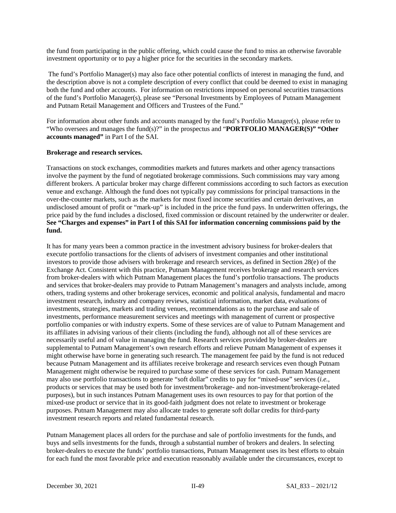the fund from participating in the public offering, which could cause the fund to miss an otherwise favorable investment opportunity or to pay a higher price for the securities in the secondary markets.

The fund's Portfolio Manager(s) may also face other potential conflicts of interest in managing the fund, and the description above is not a complete description of every conflict that could be deemed to exist in managing both the fund and other accounts. For information on restrictions imposed on personal securities transactions of the fund's Portfolio Manager(s), please see "Personal Investments by Employees of Putnam Management and Putnam Retail Management and Officers and Trustees of the Fund."

For information about other funds and accounts managed by the fund's Portfolio Manager(s), please refer to "Who oversees and manages the fund(s)?" in the prospectus and "**PORTFOLIO MANAGER(S)" "Other accounts managed"** in Part I of the SAI.

#### **Brokerage and research services.**

Transactions on stock exchanges, commodities markets and futures markets and other agency transactions involve the payment by the fund of negotiated brokerage commissions. Such commissions may vary among different brokers. A particular broker may charge different commissions according to such factors as execution venue and exchange. Although the fund does not typically pay commissions for principal transactions in the over-the-counter markets, such as the markets for most fixed income securities and certain derivatives, an undisclosed amount of profit or "mark-up" is included in the price the fund pays. In underwritten offerings, the price paid by the fund includes a disclosed, fixed commission or discount retained by the underwriter or dealer. **See "Charges and expenses" in Part I of this SAI for information concerning commissions paid by the fund.**

It has for many years been a common practice in the investment advisory business for broker-dealers that execute portfolio transactions for the clients of advisers of investment companies and other institutional investors to provide those advisers with brokerage and research services, as defined in Section 28(e) of the Exchange Act. Consistent with this practice, Putnam Management receives brokerage and research services from broker-dealers with which Putnam Management places the fund's portfolio transactions. The products and services that broker-dealers may provide to Putnam Management's managers and analysts include, among others, trading systems and other brokerage services, economic and political analysis, fundamental and macro investment research, industry and company reviews, statistical information, market data, evaluations of investments, strategies, markets and trading venues, recommendations as to the purchase and sale of investments, performance measurement services and meetings with management of current or prospective portfolio companies or with industry experts. Some of these services are of value to Putnam Management and its affiliates in advising various of their clients (including the fund), although not all of these services are necessarily useful and of value in managing the fund. Research services provided by broker-dealers are supplemental to Putnam Management's own research efforts and relieve Putnam Management of expenses it might otherwise have borne in generating such research. The management fee paid by the fund is not reduced because Putnam Management and its affiliates receive brokerage and research services even though Putnam Management might otherwise be required to purchase some of these services for cash. Putnam Management may also use portfolio transactions to generate "soft dollar" credits to pay for "mixed-use" services (*i.e.*, products or services that may be used both for investment/brokerage- and non-investment/brokerage-related purposes), but in such instances Putnam Management uses its own resources to pay for that portion of the mixed-use product or service that in its good-faith judgment does not relate to investment or brokerage purposes. Putnam Management may also allocate trades to generate soft dollar credits for third-party investment research reports and related fundamental research.

Putnam Management places all orders for the purchase and sale of portfolio investments for the funds, and buys and sells investments for the funds, through a substantial number of brokers and dealers. In selecting broker-dealers to execute the funds' portfolio transactions, Putnam Management uses its best efforts to obtain for each fund the most favorable price and execution reasonably available under the circumstances, except to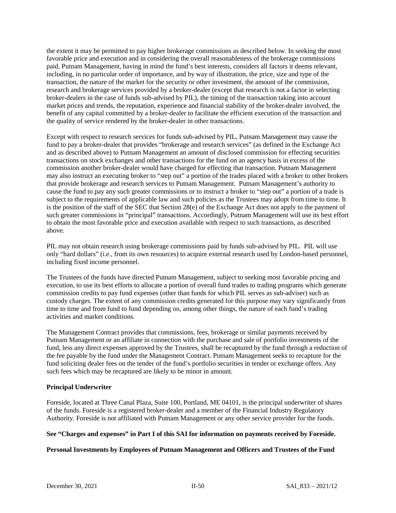the extent it may be permitted to pay higher brokerage commissions as described below. In seeking the most favorable price and execution and in considering the overall reasonableness of the brokerage commissions paid, Putnam Management, having in mind the fund's best interests, considers all factors it deems relevant, including, in no particular order of importance, and by way of illustration, the price, size and type of the transaction, the nature of the market for the security or other investment, the amount of the commission, research and brokerage services provided by a broker-dealer (except that research is not a factor in selecting broker-dealers in the case of funds sub-advised by PIL), the timing of the transaction taking into account market prices and trends, the reputation, experience and financial stability of the broker-dealer involved, the benefit of any capital committed by a broker-dealer to facilitate the efficient execution of the transaction and the quality of service rendered by the broker-dealer in other transactions.

Except with respect to research services for funds sub-advised by PIL, Putnam Management may cause the fund to pay a broker-dealer that provides "brokerage and research services" (as defined in the Exchange Act and as described above) to Putnam Management an amount of disclosed commission for effecting securities transactions on stock exchanges and other transactions for the fund on an agency basis in excess of the commission another broker-dealer would have charged for effecting that transaction. Putnam Management may also instruct an executing broker to "step out" a portion of the trades placed with a broker to other brokers that provide brokerage and research services to Putnam Management. Putnam Management's authority to cause the fund to pay any such greater commissions or to instruct a broker to "step out" a portion of a trade is subject to the requirements of applicable law and such policies as the Trustees may adopt from time to time. It is the position of the staff of the SEC that Section 28(e) of the Exchange Act does not apply to the payment of such greater commissions in "principal" transactions. Accordingly, Putnam Management will use its best effort to obtain the most favorable price and execution available with respect to such transactions, as described above.

PIL may not obtain research using brokerage commissions paid by funds sub-advised by PIL. PIL will use only "hard dollars" (*i.e.*, from its own resources) to acquire external research used by London-based personnel, including fixed income personnel.

The Trustees of the funds have directed Putnam Management, subject to seeking most favorable pricing and execution, to use its best efforts to allocate a portion of overall fund trades to trading programs which generate commission credits to pay fund expenses (other than funds for which PIL serves as sub-adviser) such as custody charges. The extent of any commission credits generated for this purpose may vary significantly from time to time and from fund to fund depending on, among other things, the nature of each fund's trading activities and market conditions.

The Management Contract provides that commissions, fees, brokerage or similar payments received by Putnam Management or an affiliate in connection with the purchase and sale of portfolio investments of the fund, less any direct expenses approved by the Trustees, shall be recaptured by the fund through a reduction of the fee payable by the fund under the Management Contract. Putnam Management seeks to recapture for the fund soliciting dealer fees on the tender of the fund's portfolio securities in tender or exchange offers. Any such fees which may be recaptured are likely to be minor in amount.

## **Principal Underwriter**

Foreside, located at Three Canal Plaza, Suite 100, Portland, ME 04101, is the principal underwriter of shares of the funds. Foreside is a registered broker-dealer and a member of the Financial Industry Regulatory Authority. Foreside is not affiliated with Putnam Management or any other service provider for the funds.

## **See "Charges and expenses" in Part I of this SAI for information on payments received by Foreside.**

#### **Personal Investments by Employees of Putnam Management and Officers and Trustees of the Fund**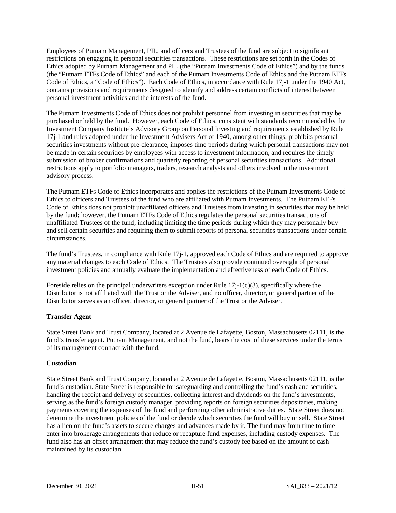Employees of Putnam Management, PIL, and officers and Trustees of the fund are subject to significant restrictions on engaging in personal securities transactions. These restrictions are set forth in the Codes of Ethics adopted by Putnam Management and PIL (the "Putnam Investments Code of Ethics") and by the funds (the "Putnam ETFs Code of Ethics" and each of the Putnam Investments Code of Ethics and the Putnam ETFs Code of Ethics, a "Code of Ethics"). Each Code of Ethics, in accordance with Rule 17j-1 under the 1940 Act, contains provisions and requirements designed to identify and address certain conflicts of interest between personal investment activities and the interests of the fund.

The Putnam Investments Code of Ethics does not prohibit personnel from investing in securities that may be purchased or held by the fund. However, each Code of Ethics, consistent with standards recommended by the Investment Company Institute's Advisory Group on Personal Investing and requirements established by Rule 17j-1 and rules adopted under the Investment Advisers Act of 1940, among other things, prohibits personal securities investments without pre-clearance, imposes time periods during which personal transactions may not be made in certain securities by employees with access to investment information, and requires the timely submission of broker confirmations and quarterly reporting of personal securities transactions. Additional restrictions apply to portfolio managers, traders, research analysts and others involved in the investment advisory process.

The Putnam ETFs Code of Ethics incorporates and applies the restrictions of the Putnam Investments Code of Ethics to officers and Trustees of the fund who are affiliated with Putnam Investments. The Putnam ETFs Code of Ethics does not prohibit unaffiliated officers and Trustees from investing in securities that may be held by the fund; however, the Putnam ETFs Code of Ethics regulates the personal securities transactions of unaffiliated Trustees of the fund, including limiting the time periods during which they may personally buy and sell certain securities and requiring them to submit reports of personal securities transactions under certain circumstances.

The fund's Trustees, in compliance with Rule 17j-1, approved each Code of Ethics and are required to approve any material changes to each Code of Ethics. The Trustees also provide continued oversight of personal investment policies and annually evaluate the implementation and effectiveness of each Code of Ethics.

Foreside relies on the principal underwriters exception under Rule  $17i-1(c)(3)$ , specifically where the Distributor is not affiliated with the Trust or the Adviser, and no officer, director, or general partner of the Distributor serves as an officer, director, or general partner of the Trust or the Adviser.

## **Transfer Agent**

State Street Bank and Trust Company, located at 2 Avenue de Lafayette, Boston, Massachusetts 02111, is the fund's transfer agent. Putnam Management, and not the fund, bears the cost of these services under the terms of its management contract with the fund.

## **Custodian**

State Street Bank and Trust Company, located at 2 Avenue de Lafayette, Boston, Massachusetts 02111, is the fund's custodian. State Street is responsible for safeguarding and controlling the fund's cash and securities, handling the receipt and delivery of securities, collecting interest and dividends on the fund's investments, serving as the fund's foreign custody manager, providing reports on foreign securities depositaries, making payments covering the expenses of the fund and performing other administrative duties. State Street does not determine the investment policies of the fund or decide which securities the fund will buy or sell. State Street has a lien on the fund's assets to secure charges and advances made by it. The fund may from time to time enter into brokerage arrangements that reduce or recapture fund expenses, including custody expenses. The fund also has an offset arrangement that may reduce the fund's custody fee based on the amount of cash maintained by its custodian.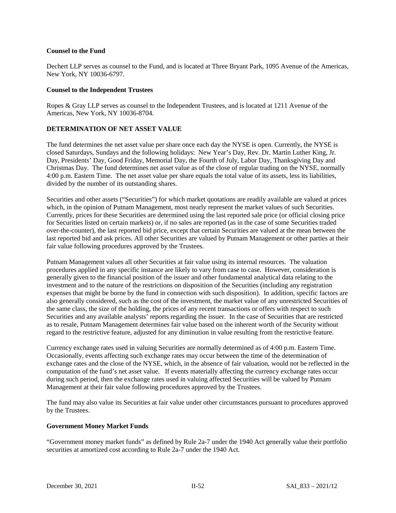### **Counsel to the Fund**

Dechert LLP serves as counsel to the Fund, and is located at Three Bryant Park, 1095 Avenue of the Americas, New York, NY 10036-6797.

### **Counsel to the Independent Trustees**

Ropes & Gray LLP serves as counsel to the Independent Trustees, and is located at 1211 Avenue of the Americas, New York, NY 10036-8704.

# **DETERMINATION OF NET ASSET VALUE**

The fund determines the net asset value per share once each day the NYSE is open. Currently, the NYSE is closed Saturdays, Sundays and the following holidays: New Year's Day, Rev. Dr. Martin Luther King, Jr. Day, Presidents' Day, Good Friday, Memorial Day, the Fourth of July, Labor Day, Thanksgiving Day and Christmas Day. The fund determines net asset value as of the close of regular trading on the NYSE, normally 4:00 p.m. Eastern Time. The net asset value per share equals the total value of its assets, less its liabilities, divided by the number of its outstanding shares.

Securities and other assets ("Securities") for which market quotations are readily available are valued at prices which, in the opinion of Putnam Management, most nearly represent the market values of such Securities. Currently, prices for these Securities are determined using the last reported sale price (or official closing price for Securities listed on certain markets) or, if no sales are reported (as in the case of some Securities traded over-the-counter), the last reported bid price, except that certain Securities are valued at the mean between the last reported bid and ask prices. All other Securities are valued by Putnam Management or other parties at their fair value following procedures approved by the Trustees.

Putnam Management values all other Securities at fair value using its internal resources. The valuation procedures applied in any specific instance are likely to vary from case to case. However, consideration is generally given to the financial position of the issuer and other fundamental analytical data relating to the investment and to the nature of the restrictions on disposition of the Securities (including any registration expenses that might be borne by the fund in connection with such disposition). In addition, specific factors are also generally considered, such as the cost of the investment, the market value of any unrestricted Securities of the same class, the size of the holding, the prices of any recent transactions or offers with respect to such Securities and any available analysts' reports regarding the issuer. In the case of Securities that are restricted as to resale, Putnam Management determines fair value based on the inherent worth of the Security without regard to the restrictive feature, adjusted for any diminution in value resulting from the restrictive feature.

Currency exchange rates used in valuing Securities are normally determined as of 4:00 p.m. Eastern Time. Occasionally, events affecting such exchange rates may occur between the time of the determination of exchange rates and the close of the NYSE, which, in the absence of fair valuation, would not be reflected in the computation of the fund's net asset value. If events materially affecting the currency exchange rates occur during such period, then the exchange rates used in valuing affected Securities will be valued by Putnam Management at their fair value following procedures approved by the Trustees.

The fund may also value its Securities at fair value under other circumstances pursuant to procedures approved by the Trustees.

#### **Government Money Market Funds**

"Government money market funds" as defined by Rule 2a-7 under the 1940 Act generally value their portfolio securities at amortized cost according to Rule 2a-7 under the 1940 Act.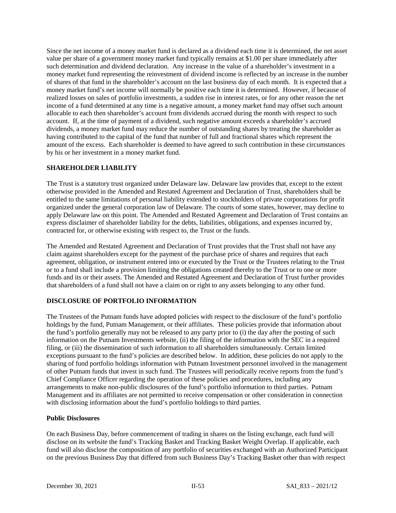Since the net income of a money market fund is declared as a dividend each time it is determined, the net asset value per share of a government money market fund typically remains at \$1.00 per share immediately after such determination and dividend declaration. Any increase in the value of a shareholder's investment in a money market fund representing the reinvestment of dividend income is reflected by an increase in the number of shares of that fund in the shareholder's account on the last business day of each month. It is expected that a money market fund's net income will normally be positive each time it is determined. However, if because of realized losses on sales of portfolio investments, a sudden rise in interest rates, or for any other reason the net income of a fund determined at any time is a negative amount, a money market fund may offset such amount allocable to each then shareholder's account from dividends accrued during the month with respect to such account. If, at the time of payment of a dividend, such negative amount exceeds a shareholder's accrued dividends, a money market fund may reduce the number of outstanding shares by treating the shareholder as having contributed to the capital of the fund that number of full and fractional shares which represent the amount of the excess. Each shareholder is deemed to have agreed to such contribution in these circumstances by his or her investment in a money market fund.

## **SHAREHOLDER LIABILITY**

The Trust is a statutory trust organized under Delaware law. Delaware law provides that, except to the extent otherwise provided in the Amended and Restated Agreement and Declaration of Trust, shareholders shall be entitled to the same limitations of personal liability extended to stockholders of private corporations for profit organized under the general corporation law of Delaware. The courts of some states, however, may decline to apply Delaware law on this point. The Amended and Restated Agreement and Declaration of Trust contains an express disclaimer of shareholder liability for the debts, liabilities, obligations, and expenses incurred by, contracted for, or otherwise existing with respect to, the Trust or the funds.

The Amended and Restated Agreement and Declaration of Trust provides that the Trust shall not have any claim against shareholders except for the payment of the purchase price of shares and requires that each agreement, obligation, or instrument entered into or executed by the Trust or the Trustees relating to the Trust or to a fund shall include a provision limiting the obligations created thereby to the Trust or to one or more funds and its or their assets. The Amended and Restated Agreement and Declaration of Trust further provides that shareholders of a fund shall not have a claim on or right to any assets belonging to any other fund.

## **DISCLOSURE OF PORTFOLIO INFORMATION**

The Trustees of the Putnam funds have adopted policies with respect to the disclosure of the fund's portfolio holdings by the fund, Putnam Management, or their affiliates. These policies provide that information about the fund's portfolio generally may not be released to any party prior to (i) the day after the posting of such information on the Putnam Investments website, (ii) the filing of the information with the SEC in a required filing, or (iii) the dissemination of such information to all shareholders simultaneously. Certain limited exceptions pursuant to the fund's policies are described below. In addition, these policies do not apply to the sharing of fund portfolio holdings information with Putnam Investment personnel involved in the management of other Putnam funds that invest in such fund. The Trustees will periodically receive reports from the fund's Chief Compliance Officer regarding the operation of these policies and procedures, including any arrangements to make non-public disclosures of the fund's portfolio information to third parties. Putnam Management and its affiliates are not permitted to receive compensation or other consideration in connection with disclosing information about the fund's portfolio holdings to third parties.

### **Public Disclosures**

On each Business Day, before commencement of trading in shares on the listing exchange, each fund will disclose on its website the fund's Tracking Basket and Tracking Basket Weight Overlap. If applicable, each fund will also disclose the composition of any portfolio of securities exchanged with an Authorized Participant on the previous Business Day that differed from such Business Day's Tracking Basket other than with respect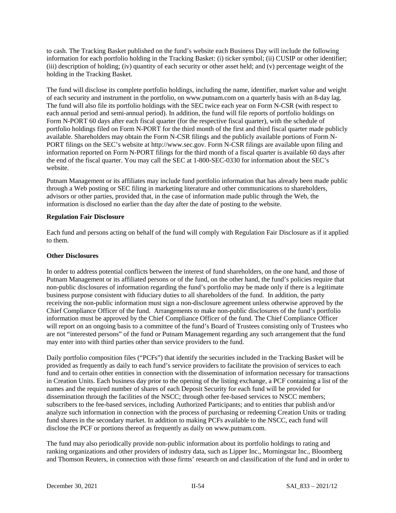to cash. The Tracking Basket published on the fund's website each Business Day will include the following information for each portfolio holding in the Tracking Basket: (i) ticker symbol; (ii) CUSIP or other identifier; (iii) description of holding; (iv) quantity of each security or other asset held; and (v) percentage weight of the holding in the Tracking Basket.

The fund will disclose its complete portfolio holdings, including the name, identifier, market value and weight of each security and instrument in the portfolio, on www.putnam.com on a quarterly basis with an 8-day lag. The fund will also file its portfolio holdings with the SEC twice each year on Form N-CSR (with respect to each annual period and semi-annual period). In addition, the fund will file reports of portfolio holdings on Form N-PORT 60 days after each fiscal quarter (for the respective fiscal quarter), with the schedule of portfolio holdings filed on Form N-PORT for the third month of the first and third fiscal quarter made publicly available. Shareholders may obtain the Form N-CSR filings and the publicly available portions of Form N-PORT filings on the SEC's website at [http://www.sec.gov.](http://www.sec.gov/) Form N-CSR filings are available upon filing and information reported on Form N-PORT filings for the third month of a fiscal quarter is available 60 days after the end of the fiscal quarter. You may call the SEC at 1-800-SEC-0330 for information about the SEC's website.

Putnam Management or its affiliates may include fund portfolio information that has already been made public through a Web posting or SEC filing in marketing literature and other communications to shareholders, advisors or other parties, provided that, in the case of information made public through the Web, the information is disclosed no earlier than the day after the date of posting to the website.

### **Regulation Fair Disclosure**

Each fund and persons acting on behalf of the fund will comply with Regulation Fair Disclosure as if it applied to them.

## **Other Disclosures**

In order to address potential conflicts between the interest of fund shareholders, on the one hand, and those of Putnam Management or its affiliated persons or of the fund, on the other hand, the fund's policies require that non-public disclosures of information regarding the fund's portfolio may be made only if there is a legitimate business purpose consistent with fiduciary duties to all shareholders of the fund. In addition, the party receiving the non-public information must sign a non-disclosure agreement unless otherwise approved by the Chief Compliance Officer of the fund. Arrangements to make non-public disclosures of the fund's portfolio information must be approved by the Chief Compliance Officer of the fund. The Chief Compliance Officer will report on an ongoing basis to a committee of the fund's Board of Trustees consisting only of Trustees who are not "interested persons" of the fund or Putnam Management regarding any such arrangement that the fund may enter into with third parties other than service providers to the fund.

Daily portfolio composition files ("PCFs") that identify the securities included in the Tracking Basket will be provided as frequently as daily to each fund's service providers to facilitate the provision of services to each fund and to certain other entities in connection with the dissemination of information necessary for transactions in Creation Units. Each business day prior to the opening of the listing exchange, a PCF containing a list of the names and the required number of shares of each Deposit Security for each fund will be provided for dissemination through the facilities of the NSCC; through other fee-based services to NSCC members; subscribers to the fee-based services, including Authorized Participants; and to entities that publish and/or analyze such information in connection with the process of purchasing or redeeming Creation Units or trading fund shares in the secondary market. In addition to making PCFs available to the NSCC, each fund will disclose the PCF or portions thereof as frequently as daily on [www.putnam.com.](http://www.putnam.com/)

The fund may also periodically provide non-public information about its portfolio holdings to rating and ranking organizations and other providers of industry data, such as Lipper Inc., Morningstar Inc., Bloomberg and Thomson Reuters, in connection with those firms' research on and classification of the fund and in order to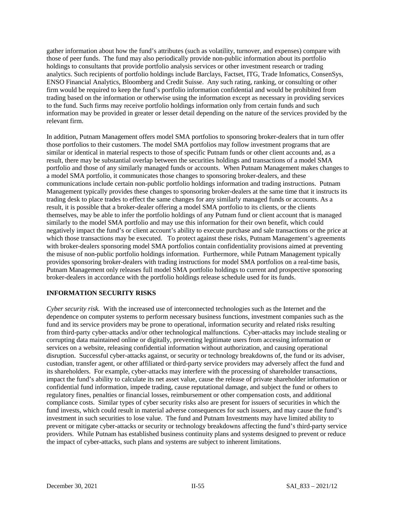gather information about how the fund's attributes (such as volatility, turnover, and expenses) compare with those of peer funds. The fund may also periodically provide non-public information about its portfolio holdings to consultants that provide portfolio analysis services or other investment research or trading analytics. Such recipients of portfolio holdings include Barclays, Factset, ITG, Trade Infomatics, ConsenSys, ENSO Financial Analytics, Bloomberg and Credit Suisse. Any such rating, ranking, or consulting or other firm would be required to keep the fund's portfolio information confidential and would be prohibited from trading based on the information or otherwise using the information except as necessary in providing services to the fund. Such firms may receive portfolio holdings information only from certain funds and such information may be provided in greater or lesser detail depending on the nature of the services provided by the relevant firm.

In addition, Putnam Management offers model SMA portfolios to sponsoring broker-dealers that in turn offer those portfolios to their customers. The model SMA portfolios may follow investment programs that are similar or identical in material respects to those of specific Putnam funds or other client accounts and, as a result, there may be substantial overlap between the securities holdings and transactions of a model SMA portfolio and those of any similarly managed funds or accounts. When Putnam Management makes changes to a model SMA portfolio, it communicates those changes to sponsoring broker-dealers, and these communications include certain non-public portfolio holdings information and trading instructions. Putnam Management typically provides these changes to sponsoring broker-dealers at the same time that it instructs its trading desk to place trades to effect the same changes for any similarly managed funds or accounts. As a result, it is possible that a broker-dealer offering a model SMA portfolio to its clients, or the clients themselves, may be able to infer the portfolio holdings of any Putnam fund or client account that is managed similarly to the model SMA portfolio and may use this information for their own benefit, which could negatively impact the fund's or client account's ability to execute purchase and sale transactions or the price at which those transactions may be executed. To protect against these risks, Putnam Management's agreements with broker-dealers sponsoring model SMA portfolios contain confidentiality provisions aimed at preventing the misuse of non-public portfolio holdings information. Furthermore, while Putnam Management typically provides sponsoring broker-dealers with trading instructions for model SMA portfolios on a real-time basis, Putnam Management only releases full model SMA portfolio holdings to current and prospective sponsoring broker-dealers in accordance with the portfolio holdings release schedule used for its funds.

## **INFORMATION SECURITY RISKS**

*Cyber security risk.* With the increased use of interconnected technologies such as the Internet and the dependence on computer systems to perform necessary business functions, investment companies such as the fund and its service providers may be prone to operational, information security and related risks resulting from third-party cyber-attacks and/or other technological malfunctions. Cyber-attacks may include stealing or corrupting data maintained online or digitally, preventing legitimate users from accessing information or services on a website, releasing confidential information without authorization, and causing operational disruption. Successful cyber-attacks against, or security or technology breakdowns of, the fund or its adviser, custodian, transfer agent, or other affiliated or third-party service providers may adversely affect the fund and its shareholders. For example, cyber-attacks may interfere with the processing of shareholder transactions, impact the fund's ability to calculate its net asset value, cause the release of private shareholder information or confidential fund information, impede trading, cause reputational damage, and subject the fund or others to regulatory fines, penalties or financial losses, reimbursement or other compensation costs, and additional compliance costs. Similar types of cyber security risks also are present for issuers of securities in which the fund invests, which could result in material adverse consequences for such issuers, and may cause the fund's investment in such securities to lose value. The fund and Putnam Investments may have limited ability to prevent or mitigate cyber-attacks or security or technology breakdowns affecting the fund's third-party service providers. While Putnam has established business continuity plans and systems designed to prevent or reduce the impact of cyber-attacks, such plans and systems are subject to inherent limitations.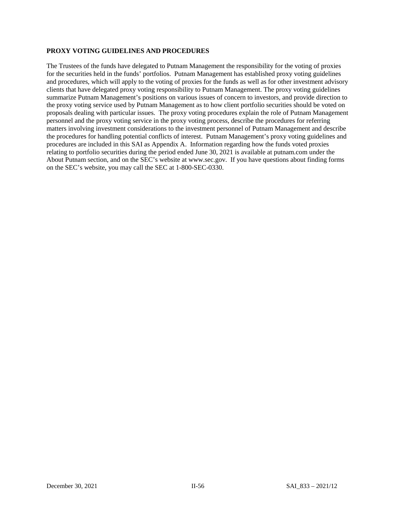### **PROXY VOTING GUIDELINES AND PROCEDURES**

The Trustees of the funds have delegated to Putnam Management the responsibility for the voting of proxies for the securities held in the funds' portfolios. Putnam Management has established proxy voting guidelines and procedures, which will apply to the voting of proxies for the funds as well as for other investment advisory clients that have delegated proxy voting responsibility to Putnam Management. The proxy voting guidelines summarize Putnam Management's positions on various issues of concern to investors, and provide direction to the proxy voting service used by Putnam Management as to how client portfolio securities should be voted on proposals dealing with particular issues. The proxy voting procedures explain the role of Putnam Management personnel and the proxy voting service in the proxy voting process, describe the procedures for referring matters involving investment considerations to the investment personnel of Putnam Management and describe the procedures for handling potential conflicts of interest. Putnam Management's proxy voting guidelines and procedures are included in this SAI as Appendix A. Information regarding how the funds voted proxies relating to portfolio securities during the period ended June 30, 2021 is available at putnam.com under the About Putnam section, and on the SEC's website at www.sec.gov. If you have questions about finding forms on the SEC's website, you may call the SEC at 1-800-SEC-0330.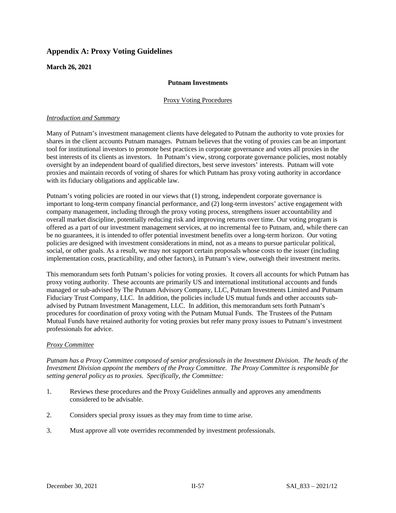# **Appendix A: Proxy Voting Guidelines**

**March 26, 2021**

## **Putnam Investments**

### Proxy Voting Procedures

### *Introduction and Summary*

Many of Putnam's investment management clients have delegated to Putnam the authority to vote proxies for shares in the client accounts Putnam manages. Putnam believes that the voting of proxies can be an important tool for institutional investors to promote best practices in corporate governance and votes all proxies in the best interests of its clients as investors. In Putnam's view, strong corporate governance policies, most notably oversight by an independent board of qualified directors, best serve investors' interests. Putnam will vote proxies and maintain records of voting of shares for which Putnam has proxy voting authority in accordance with its fiduciary obligations and applicable law.

Putnam's voting policies are rooted in our views that (1) strong, independent corporate governance is important to long-term company financial performance, and (2) long-term investors' active engagement with company management, including through the proxy voting process, strengthens issuer accountability and overall market discipline, potentially reducing risk and improving returns over time. Our voting program is offered as a part of our investment management services, at no incremental fee to Putnam, and, while there can be no guarantees, it is intended to offer potential investment benefits over a long-term horizon. Our voting policies are designed with investment considerations in mind, not as a means to pursue particular political, social, or other goals. As a result, we may not support certain proposals whose costs to the issuer (including implementation costs, practicability, and other factors), in Putnam's view, outweigh their investment merits.

This memorandum sets forth Putnam's policies for voting proxies. It covers all accounts for which Putnam has proxy voting authority. These accounts are primarily US and international institutional accounts and funds managed or sub-advised by The Putnam Advisory Company, LLC, Putnam Investments Limited and Putnam Fiduciary Trust Company, LLC. In addition, the policies include US mutual funds and other accounts subadvised by Putnam Investment Management, LLC. In addition, this memorandum sets forth Putnam's procedures for coordination of proxy voting with the Putnam Mutual Funds. The Trustees of the Putnam Mutual Funds have retained authority for voting proxies but refer many proxy issues to Putnam's investment professionals for advice.

#### *Proxy Committee*

*Putnam has a Proxy Committee composed of senior professionals in the Investment Division. The heads of the Investment Division appoint the members of the Proxy Committee. The Proxy Committee is responsible for setting general policy as to proxies. Specifically, the Committee:* 

- 1. Reviews these procedures and the Proxy Guidelines annually and approves any amendments considered to be advisable.
- 2. Considers special proxy issues as they may from time to time arise.
- 3. Must approve all vote overrides recommended by investment professionals.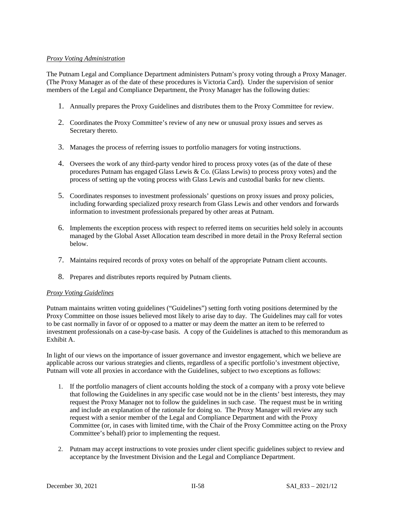## *Proxy Voting Administration*

The Putnam Legal and Compliance Department administers Putnam's proxy voting through a Proxy Manager. (The Proxy Manager as of the date of these procedures is Victoria Card). Under the supervision of senior members of the Legal and Compliance Department, the Proxy Manager has the following duties:

- 1. Annually prepares the Proxy Guidelines and distributes them to the Proxy Committee for review.
- 2. Coordinates the Proxy Committee's review of any new or unusual proxy issues and serves as Secretary thereto.
- 3. Manages the process of referring issues to portfolio managers for voting instructions.
- 4. Oversees the work of any third-party vendor hired to process proxy votes (as of the date of these procedures Putnam has engaged Glass Lewis & Co. (Glass Lewis) to process proxy votes) and the process of setting up the voting process with Glass Lewis and custodial banks for new clients.
- 5. Coordinates responses to investment professionals' questions on proxy issues and proxy policies, including forwarding specialized proxy research from Glass Lewis and other vendors and forwards information to investment professionals prepared by other areas at Putnam.
- 6. Implements the exception process with respect to referred items on securities held solely in accounts managed by the Global Asset Allocation team described in more detail in the Proxy Referral section below.
- 7. Maintains required records of proxy votes on behalf of the appropriate Putnam client accounts.
- 8. Prepares and distributes reports required by Putnam clients.

## *Proxy Voting Guidelines*

Putnam maintains written voting guidelines ("Guidelines") setting forth voting positions determined by the Proxy Committee on those issues believed most likely to arise day to day. The Guidelines may call for votes to be cast normally in favor of or opposed to a matter or may deem the matter an item to be referred to investment professionals on a case-by-case basis. A copy of the Guidelines is attached to this memorandum as Exhibit A.

In light of our views on the importance of issuer governance and investor engagement, which we believe are applicable across our various strategies and clients, regardless of a specific portfolio's investment objective, Putnam will vote all proxies in accordance with the Guidelines, subject to two exceptions as follows:

- 1. If the portfolio managers of client accounts holding the stock of a company with a proxy vote believe that following the Guidelines in any specific case would not be in the clients' best interests, they may request the Proxy Manager not to follow the guidelines in such case. The request must be in writing and include an explanation of the rationale for doing so. The Proxy Manager will review any such request with a senior member of the Legal and Compliance Department and with the Proxy Committee (or, in cases with limited time, with the Chair of the Proxy Committee acting on the Proxy Committee's behalf) prior to implementing the request.
- 2. Putnam may accept instructions to vote proxies under client specific guidelines subject to review and acceptance by the Investment Division and the Legal and Compliance Department.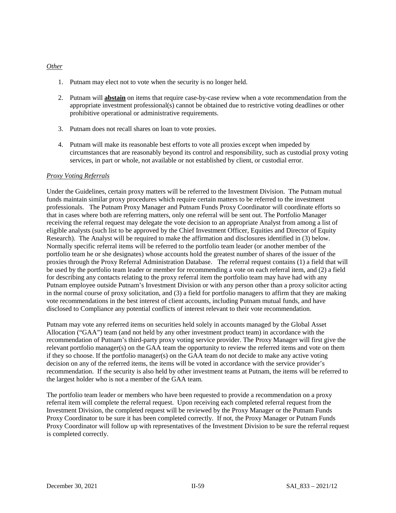### *Other*

- 1. Putnam may elect not to vote when the security is no longer held.
- 2. Putnam will **abstain** on items that require case-by-case review when a vote recommendation from the appropriate investment professional(s) cannot be obtained due to restrictive voting deadlines or other prohibitive operational or administrative requirements.
- 3. Putnam does not recall shares on loan to vote proxies.
- 4. Putnam will make its reasonable best efforts to vote all proxies except when impeded by circumstances that are reasonably beyond its control and responsibility, such as custodial proxy voting services, in part or whole, not available or not established by client, or custodial error.

### *Proxy Voting Referrals*

Under the Guidelines, certain proxy matters will be referred to the Investment Division. The Putnam mutual funds maintain similar proxy procedures which require certain matters to be referred to the investment professionals. The Putnam Proxy Manager and Putnam Funds Proxy Coordinator will coordinate efforts so that in cases where both are referring matters, only one referral will be sent out. The Portfolio Manager receiving the referral request may delegate the vote decision to an appropriate Analyst from among a list of eligible analysts (such list to be approved by the Chief Investment Officer, Equities and Director of Equity Research). The Analyst will be required to make the affirmation and disclosures identified in (3) below. Normally specific referral items will be referred to the portfolio team leader (or another member of the portfolio team he or she designates) whose accounts hold the greatest number of shares of the issuer of the proxies through the Proxy Referral Administration Database. The referral request contains (1) a field that will be used by the portfolio team leader or member for recommending a vote on each referral item, and (2) a field for describing any contacts relating to the proxy referral item the portfolio team may have had with any Putnam employee outside Putnam's Investment Division or with any person other than a proxy solicitor acting in the normal course of proxy solicitation, and (3) a field for portfolio managers to affirm that they are making vote recommendations in the best interest of client accounts, including Putnam mutual funds, and have disclosed to Compliance any potential conflicts of interest relevant to their vote recommendation.

Putnam may vote any referred items on securities held solely in accounts managed by the Global Asset Allocation ("GAA") team (and not held by any other investment product team) in accordance with the recommendation of Putnam's third-party proxy voting service provider. The Proxy Manager will first give the relevant portfolio manager(s) on the GAA team the opportunity to review the referred items and vote on them if they so choose. If the portfolio manager(s) on the GAA team do not decide to make any active voting decision on any of the referred items, the items will be voted in accordance with the service provider's recommendation. If the security is also held by other investment teams at Putnam, the items will be referred to the largest holder who is not a member of the GAA team.

The portfolio team leader or members who have been requested to provide a recommendation on a proxy referral item will complete the referral request. Upon receiving each completed referral request from the Investment Division, the completed request will be reviewed by the Proxy Manager or the Putnam Funds Proxy Coordinator to be sure it has been completed correctly. If not, the Proxy Manager or Putnam Funds Proxy Coordinator will follow up with representatives of the Investment Division to be sure the referral request is completed correctly.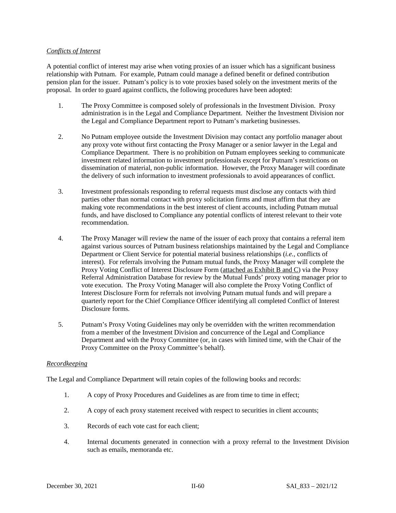### *Conflicts of Interest*

A potential conflict of interest may arise when voting proxies of an issuer which has a significant business relationship with Putnam. For example, Putnam could manage a defined benefit or defined contribution pension plan for the issuer. Putnam's policy is to vote proxies based solely on the investment merits of the proposal. In order to guard against conflicts, the following procedures have been adopted:

- 1. The Proxy Committee is composed solely of professionals in the Investment Division. Proxy administration is in the Legal and Compliance Department. Neither the Investment Division nor the Legal and Compliance Department report to Putnam's marketing businesses.
- 2. No Putnam employee outside the Investment Division may contact any portfolio manager about any proxy vote without first contacting the Proxy Manager or a senior lawyer in the Legal and Compliance Department. There is no prohibition on Putnam employees seeking to communicate investment related information to investment professionals except for Putnam's restrictions on dissemination of material, non-public information. However, the Proxy Manager will coordinate the delivery of such information to investment professionals to avoid appearances of conflict.
- 3. Investment professionals responding to referral requests must disclose any contacts with third parties other than normal contact with proxy solicitation firms and must affirm that they are making vote recommendations in the best interest of client accounts, including Putnam mutual funds, and have disclosed to Compliance any potential conflicts of interest relevant to their vote recommendation.
- 4. The Proxy Manager will review the name of the issuer of each proxy that contains a referral item against various sources of Putnam business relationships maintained by the Legal and Compliance Department or Client Service for potential material business relationships (*i.e.,* conflicts of interest). For referrals involving the Putnam mutual funds, the Proxy Manager will complete the Proxy Voting Conflict of Interest Disclosure Form (attached as Exhibit B and C) via the Proxy Referral Administration Database for review by the Mutual Funds' proxy voting manager prior to vote execution. The Proxy Voting Manager will also complete the Proxy Voting Conflict of Interest Disclosure Form for referrals not involving Putnam mutual funds and will prepare a quarterly report for the Chief Compliance Officer identifying all completed Conflict of Interest Disclosure forms.
- 5. Putnam's Proxy Voting Guidelines may only be overridden with the written recommendation from a member of the Investment Division and concurrence of the Legal and Compliance Department and with the Proxy Committee (or, in cases with limited time, with the Chair of the Proxy Committee on the Proxy Committee's behalf).

#### *Recordkeeping*

The Legal and Compliance Department will retain copies of the following books and records:

- 1. A copy of Proxy Procedures and Guidelines as are from time to time in effect;
- 2. A copy of each proxy statement received with respect to securities in client accounts;
- 3. Records of each vote cast for each client;
- 4. Internal documents generated in connection with a proxy referral to the Investment Division such as emails, memoranda etc.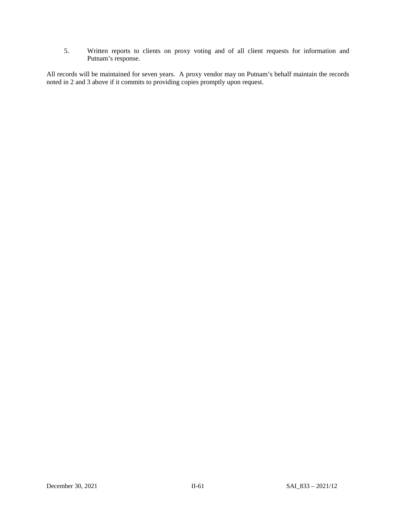5. Written reports to clients on proxy voting and of all client requests for information and Putnam's response.

All records will be maintained for seven years. A proxy vendor may on Putnam's behalf maintain the records noted in 2 and 3 above if it commits to providing copies promptly upon request.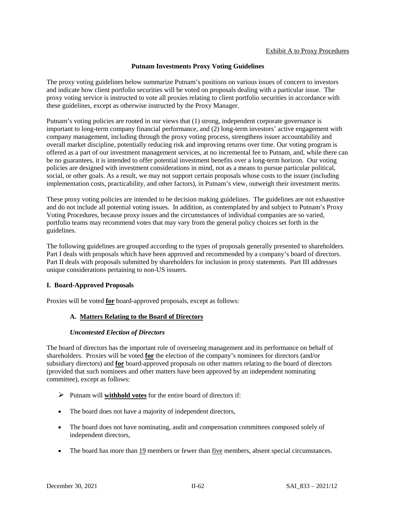# **Putnam Investments Proxy Voting Guidelines**

The proxy voting guidelines below summarize Putnam's positions on various issues of concern to investors and indicate how client portfolio securities will be voted on proposals dealing with a particular issue. The proxy voting service is instructed to vote all proxies relating to client portfolio securities in accordance with these guidelines, except as otherwise instructed by the Proxy Manager.

Putnam's voting policies are rooted in our views that (1) strong, independent corporate governance is important to long-term company financial performance, and (2) long-term investors' active engagement with company management, including through the proxy voting process, strengthens issuer accountability and overall market discipline, potentially reducing risk and improving returns over time. Our voting program is offered as a part of our investment management services, at no incremental fee to Putnam, and, while there can be no guarantees, it is intended to offer potential investment benefits over a long-term horizon. Our voting policies are designed with investment considerations in mind, not as a means to pursue particular political, social, or other goals. As a result, we may not support certain proposals whose costs to the issuer (including implementation costs, practicability, and other factors), in Putnam's view, outweigh their investment merits.

These proxy voting policies are intended to be decision making guidelines. The guidelines are not exhaustive and do not include all potential voting issues. In addition, as contemplated by and subject to Putnam's Proxy Voting Procedures, because proxy issues and the circumstances of individual companies are so varied, portfolio teams may recommend votes that may vary from the general policy choices set forth in the guidelines.

The following guidelines are grouped according to the types of proposals generally presented to shareholders. Part I deals with proposals which have been approved and recommended by a company's board of directors. Part II deals with proposals submitted by shareholders for inclusion in proxy statements. Part III addresses unique considerations pertaining to non-US issuers.

# **I. Board-Approved Proposals**

Proxies will be voted **for** board-approved proposals, except as follows:

# **A. Matters Relating to the Board of Directors**

# *Uncontested Election of Directors*

The board of directors has the important role of overseeing management and its performance on behalf of shareholders. Proxies will be voted **for** the election of the company's nominees for directors (and/or subsidiary directors) and **for** board-approved proposals on other matters relating to the board of directors (provided that such nominees and other matters have been approved by an independent nominating committee), except as follows:

- Putnam will **withhold votes** for the entire board of directors if:
- The board does not have a majority of independent directors,
- The board does not have nominating, audit and compensation committees composed solely of independent directors,
- The board has more than 19 members or fewer than five members, absent special circumstances.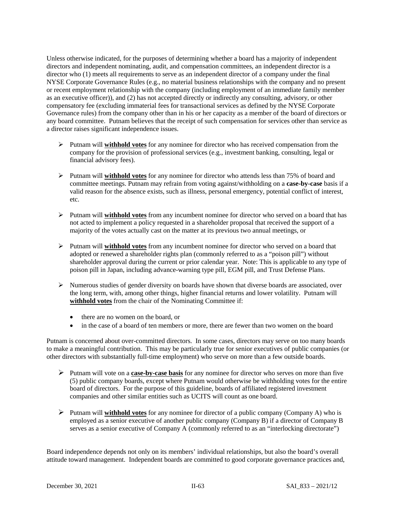Unless otherwise indicated, for the purposes of determining whether a board has a majority of independent directors and independent nominating, audit, and compensation committees, an independent director is a director who (1) meets all requirements to serve as an independent director of a company under the final NYSE Corporate Governance Rules (e.g., no material business relationships with the company and no present or recent employment relationship with the company (including employment of an immediate family member as an executive officer)), and (2) has not accepted directly or indirectly any consulting, advisory, or other compensatory fee (excluding immaterial fees for transactional services as defined by the NYSE Corporate Governance rules) from the company other than in his or her capacity as a member of the board of directors or any board committee. Putnam believes that the receipt of such compensation for services other than service as a director raises significant independence issues.

- Putnam will **withhold votes** for any nominee for director who has received compensation from the company for the provision of professional services (e.g., investment banking, consulting, legal or financial advisory fees).
- Putnam will **withhold votes** for any nominee for director who attends less than 75% of board and committee meetings. Putnam may refrain from voting against/withholding on a **case-by-case** basis if a valid reason for the absence exists, such as illness, personal emergency, potential conflict of interest, etc.
- Putnam will **withhold votes** from any incumbent nominee for director who served on a board that has not acted to implement a policy requested in a shareholder proposal that received the support of a majority of the votes actually cast on the matter at its previous two annual meetings, or
- Putnam will **withhold votes** from any incumbent nominee for director who served on a board that adopted or renewed a shareholder rights plan (commonly referred to as a "poison pill") without shareholder approval during the current or prior calendar year. Note: This is applicable to any type of poison pill in Japan, including advance-warning type pill, EGM pill, and Trust Defense Plans.
- $\triangleright$  Numerous studies of gender diversity on boards have shown that diverse boards are associated, over the long term, with, among other things, higher financial returns and lower volatility. Putnam will **withhold votes** from the chair of the Nominating Committee if:
	- there are no women on the board, or
	- in the case of a board of ten members or more, there are fewer than two women on the board

Putnam is concerned about over-committed directors. In some cases, directors may serve on too many boards to make a meaningful contribution. This may be particularly true for senior executives of public companies (or other directors with substantially full-time employment) who serve on more than a few outside boards.

- Putnam will vote on a **case-by-case basis** for any nominee for director who serves on more than five (5) public company boards, except where Putnam would otherwise be withholding votes for the entire board of directors. For the purpose of this guideline, boards of affiliated registered investment companies and other similar entities such as UCITS will count as one board.
- Putnam will **withhold votes** for any nominee for director of a public company (Company A) who is employed as a senior executive of another public company (Company B) if a director of Company B serves as a senior executive of Company A (commonly referred to as an "interlocking directorate")

Board independence depends not only on its members' individual relationships, but also the board's overall attitude toward management. Independent boards are committed to good corporate governance practices and,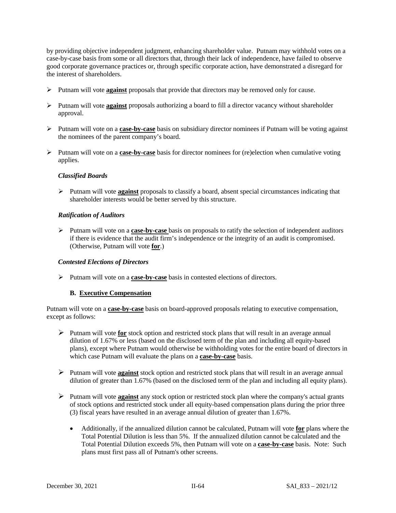by providing objective independent judgment, enhancing shareholder value. Putnam may withhold votes on a case-by-case basis from some or all directors that, through their lack of independence, have failed to observe good corporate governance practices or, through specific corporate action, have demonstrated a disregard for the interest of shareholders.

- Putnam will vote **against** proposals that provide that directors may be removed only for cause.
- Putnam will vote **against** proposals authorizing a board to fill a director vacancy without shareholder approval.
- Putnam will vote on a **case-by-case** basis on subsidiary director nominees if Putnam will be voting against the nominees of the parent company's board.
- Putnam will vote on a **case-by-case** basis for director nominees for (re)election when cumulative voting applies.

# *Classified Boards*

 Putnam will vote **against** proposals to classify a board, absent special circumstances indicating that shareholder interests would be better served by this structure.

## *Ratification of Auditors*

 Putnam will vote on a **case-by-case** basis on proposals to ratify the selection of independent auditors if there is evidence that the audit firm's independence or the integrity of an audit is compromised. (Otherwise, Putnam will vote **for**.)

## *Contested Elections of Directors*

Putnam will vote on a **case-by-case** basis in contested elections of directors.

## **B. Executive Compensation**

Putnam will vote on a **case-by-case** basis on board-approved proposals relating to executive compensation, except as follows:

- Putnam will vote **for** stock option and restricted stock plans that will result in an average annual dilution of 1.67% or less (based on the disclosed term of the plan and including all equity-based plans), except where Putnam would otherwise be withholding votes for the entire board of directors in which case Putnam will evaluate the plans on a **case-by-case** basis.
- Putnam will vote **against** stock option and restricted stock plans that will result in an average annual dilution of greater than 1.67% (based on the disclosed term of the plan and including all equity plans).
- Putnam will vote **against** any stock option or restricted stock plan where the company's actual grants of stock options and restricted stock under all equity-based compensation plans during the prior three (3) fiscal years have resulted in an average annual dilution of greater than 1.67%.
	- Additionally, if the annualized dilution cannot be calculated, Putnam will vote **for** plans where the Total Potential Dilution is less than 5%. If the annualized dilution cannot be calculated and the Total Potential Dilution exceeds 5%, then Putnam will vote on a **case-by-case** basis. Note: Such plans must first pass all of Putnam's other screens.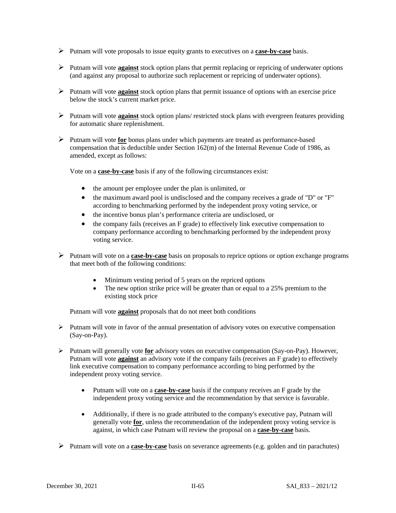- Putnam will vote proposals to issue equity grants to executives on a **case-by-case** basis.
- Putnam will vote **against** stock option plans that permit replacing or repricing of underwater options (and against any proposal to authorize such replacement or repricing of underwater options).
- Putnam will vote **against** stock option plans that permit issuance of options with an exercise price below the stock's current market price.
- Putnam will vote **against** stock option plans/ restricted stock plans with evergreen features providing for automatic share replenishment.
- Putnam will vote **for** bonus plans under which payments are treated as performance-based compensation that is deductible under Section 162(m) of the Internal Revenue Code of 1986, as amended, except as follows:

Vote on a **case-by-case** basis if any of the following circumstances exist:

- the amount per employee under the plan is unlimited, or
- the maximum award pool is undisclosed and the company receives a grade of "D" or "F" according to benchmarking performed by the independent proxy voting service, or
- the incentive bonus plan's performance criteria are undisclosed, or
- the company fails (receives an F grade) to effectively link executive compensation to company performance according to benchmarking performed by the independent proxy voting service.
- Putnam will vote on a **case-by-case** basis on proposals to reprice options or option exchange programs that meet both of the following conditions:
	- Minimum vesting period of 5 years on the repriced options
	- The new option strike price will be greater than or equal to a 25% premium to the existing stock price

Putnam will vote **against** proposals that do not meet both conditions

- $\triangleright$  Putnam will vote in favor of the annual presentation of advisory votes on executive compensation (Say-on-Pay).
- Putnam will generally vote **for** advisory votes on executive compensation (Say-on-Pay). However, Putnam will vote **against** an advisory vote if the company fails (receives an F grade) to effectively link executive compensation to company performance according to bing performed by the independent proxy voting service.
	- Putnam will vote on a **case-by-case** basis if the company receives an F grade by the independent proxy voting service and the recommendation by that service is favorable.
	- Additionally, if there is no grade attributed to the company's executive pay, Putnam will generally vote **for**, unless the recommendation of the independent proxy voting service is against, in which case Putnam will review the proposal on a **case-by-case** basis.
- Putnam will vote on a **case-by-case** basis on severance agreements (e.g. golden and tin parachutes)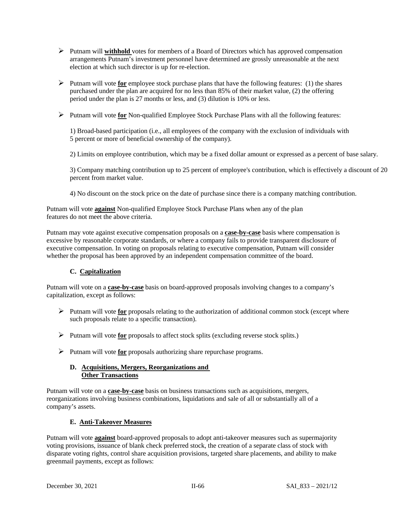- Putnam will **withhold** votes for members of a Board of Directors which has approved compensation arrangements Putnam's investment personnel have determined are grossly unreasonable at the next election at which such director is up for re-election.
- Putnam will vote **for** employee stock purchase plans that have the following features: (1) the shares purchased under the plan are acquired for no less than 85% of their market value, (2) the offering period under the plan is 27 months or less, and (3) dilution is 10% or less.
- Putnam will vote **for** Non-qualified Employee Stock Purchase Plans with all the following features:

1) Broad-based participation (i.e., all employees of the company with the exclusion of individuals with 5 percent or more of beneficial ownership of the company).

2) Limits on employee contribution, which may be a fixed dollar amount or expressed as a percent of base salary.

3) Company matching contribution up to 25 percent of employee's contribution, which is effectively a discount of 20 percent from market value.

4) No discount on the stock price on the date of purchase since there is a company matching contribution.

Putnam will vote **against** Non-qualified Employee Stock Purchase Plans when any of the plan features do not meet the above criteria.

Putnam may vote against executive compensation proposals on a **case-by-case** basis where compensation is excessive by reasonable corporate standards, or where a company fails to provide transparent disclosure of executive compensation. In voting on proposals relating to executive compensation, Putnam will consider whether the proposal has been approved by an independent compensation committee of the board.

# **C. Capitalization**

Putnam will vote on a **case-by-case** basis on board-approved proposals involving changes to a company's capitalization, except as follows:

- $\triangleright$  Putnam will vote **for** proposals relating to the authorization of additional common stock (except where such proposals relate to a specific transaction).
- Putnam will vote **for** proposals to affect stock splits (excluding reverse stock splits.)
- Putnam will vote **for** proposals authorizing share repurchase programs.

# **D. Acquisitions, Mergers, Reorganizations and Other Transactions**

Putnam will vote on a **case-by-case** basis on business transactions such as acquisitions, mergers, reorganizations involving business combinations, liquidations and sale of all or substantially all of a company's assets.

# **E. Anti-Takeover Measures**

Putnam will vote **against** board-approved proposals to adopt anti-takeover measures such as supermajority voting provisions, issuance of blank check preferred stock, the creation of a separate class of stock with disparate voting rights, control share acquisition provisions, targeted share placements, and ability to make greenmail payments, except as follows: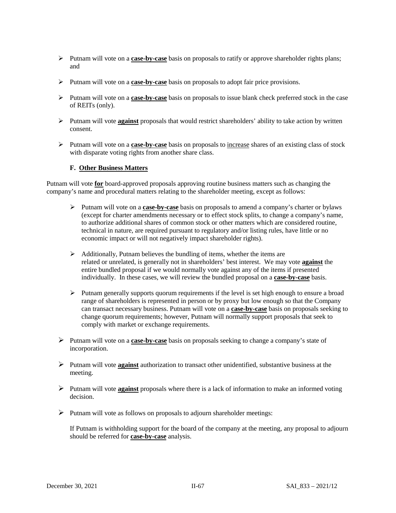- Putnam will vote on a **case-by-case** basis on proposals to ratify or approve shareholder rights plans; and
- Putnam will vote on a **case-by-case** basis on proposals to adopt fair price provisions.
- Putnam will vote on a **case-by-case** basis on proposals to issue blank check preferred stock in the case of REITs (only).
- Putnam will vote **against** proposals that would restrict shareholders' ability to take action by written consent.
- Putnam will vote on a **case-by-case** basis on proposals to increase shares of an existing class of stock with disparate voting rights from another share class.

# **F. Other Business Matters**

Putnam will vote **for** board-approved proposals approving routine business matters such as changing the company's name and procedural matters relating to the shareholder meeting, except as follows:

- Putnam will vote on a **case-by-case** basis on proposals to amend a company's charter or bylaws (except for charter amendments necessary or to effect stock splits, to change a company's name, to authorize additional shares of common stock or other matters which are considered routine, technical in nature, are required pursuant to regulatory and/or listing rules, have little or no economic impact or will not negatively impact shareholder rights).
- $\triangleright$  Additionally, Putnam believes the bundling of items, whether the items are related or unrelated, is generally not in shareholders' best interest. We may vote **against** the entire bundled proposal if we would normally vote against any of the items if presented individually. In these cases, we will review the bundled proposal on a **case-by-case** basis.
- $\triangleright$  Putnam generally supports quorum requirements if the level is set high enough to ensure a broad range of shareholders is represented in person or by proxy but low enough so that the Company can transact necessary business. Putnam will vote on a **case-by-case** basis on proposals seeking to change quorum requirements; however, Putnam will normally support proposals that seek to comply with market or exchange requirements.
- Putnam will vote on a **case-by-case** basis on proposals seeking to change a company's state of incorporation.
- Putnam will vote **against** authorization to transact other unidentified, substantive business at the meeting.
- Putnam will vote **against** proposals where there is a lack of information to make an informed voting decision.
- $\triangleright$  Putnam will vote as follows on proposals to adjourn shareholder meetings:

If Putnam is withholding support for the board of the company at the meeting, any proposal to adjourn should be referred for **case-by-case** analysis.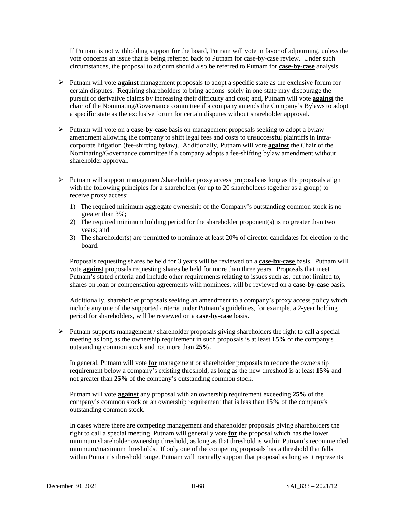If Putnam is not withholding support for the board, Putnam will vote in favor of adjourning, unless the vote concerns an issue that is being referred back to Putnam for case-by-case review. Under such circumstances, the proposal to adjourn should also be referred to Putnam for **case-by-case** analysis.

- Putnam will vote **against** management proposals to adopt a specific state as the exclusive forum for certain disputes. Requiring shareholders to bring actions solely in one state may discourage the pursuit of derivative claims by increasing their difficulty and cost; and, Putnam will vote **against** the chair of the Nominating/Governance committee if a company amends the Company's Bylaws to adopt a specific state as the exclusive forum for certain disputes without shareholder approval.
- Putnam will vote on a **case-by-case** basis on management proposals seeking to adopt a bylaw amendment allowing the company to shift legal fees and costs to unsuccessful plaintiffs in intracorporate litigation (fee-shifting bylaw). Additionally, Putnam will vote **against** the Chair of the Nominating/Governance committee if a company adopts a fee-shifting bylaw amendment without shareholder approval.
- $\triangleright$  Putnam will support management/shareholder proxy access proposals as long as the proposals align with the following principles for a shareholder (or up to 20 shareholders together as a group) to receive proxy access:
	- 1) The required minimum aggregate ownership of the Company's outstanding common stock is no greater than 3%;
	- 2) The required minimum holding period for the shareholder proponent(s) is no greater than two years; and
	- 3) The shareholder(s) are permitted to nominate at least 20% of director candidates for election to the board.

Proposals requesting shares be held for 3 years will be reviewed on a **case-by-case** basis. Putnam will vote **agains**t proposals requesting shares be held for more than three years. Proposals that meet Putnam's stated criteria and include other requirements relating to issues such as, but not limited to, shares on loan or compensation agreements with nominees, will be reviewed on a **case-by-case** basis.

Additionally, shareholder proposals seeking an amendment to a company's proxy access policy which include any one of the supported criteria under Putnam's guidelines, for example, a 2-year holding period for shareholders, will be reviewed on a **case-by-case** basis.

 $\triangleright$  Putnam supports management / shareholder proposals giving shareholders the right to call a special meeting as long as the ownership requirement in such proposals is at least **15%** of the company's outstanding common stock and not more than **25%**.

In general, Putnam will vote **for** management or shareholder proposals to reduce the ownership requirement below a company's existing threshold, as long as the new threshold is at least **15%** and not greater than **25%** of the company's outstanding common stock.

Putnam will vote **against** any proposal with an ownership requirement exceeding **25%** of the company's common stock or an ownership requirement that is less than **15%** of the company's outstanding common stock.

In cases where there are competing management and shareholder proposals giving shareholders the right to call a special meeting, Putnam will generally vote **for** the proposal which has the lower minimum shareholder ownership threshold, as long as that threshold is within Putnam's recommended minimum/maximum thresholds. If only one of the competing proposals has a threshold that falls within Putnam's threshold range, Putnam will normally support that proposal as long as it represents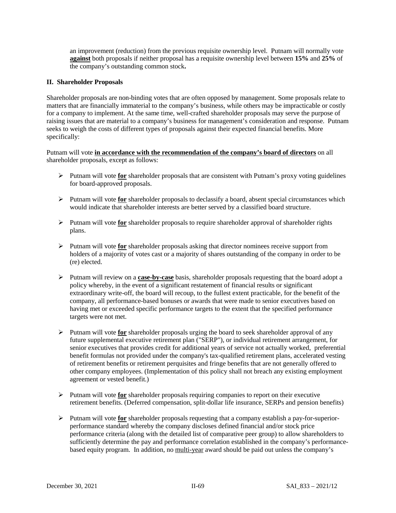an improvement (reduction) from the previous requisite ownership level. Putnam will normally vote **against** both proposals if neither proposal has a requisite ownership level between **15%** and **25%** of the company's outstanding common stock**.**

# **II. Shareholder Proposals**

Shareholder proposals are non-binding votes that are often opposed by management. Some proposals relate to matters that are financially immaterial to the company's business, while others may be impracticable or costly for a company to implement. At the same time, well-crafted shareholder proposals may serve the purpose of raising issues that are material to a company's business for management's consideration and response. Putnam seeks to weigh the costs of different types of proposals against their expected financial benefits. More specifically:

Putnam will vote **in accordance with the recommendation of the company's board of directors** on all shareholder proposals, except as follows:

- Putnam will vote **for** shareholder proposals that are consistent with Putnam's proxy voting guidelines for board-approved proposals.
- Putnam will vote **for** shareholder proposals to declassify a board, absent special circumstances which would indicate that shareholder interests are better served by a classified board structure.
- Putnam will vote **for** shareholder proposals to require shareholder approval of shareholder rights plans.
- Putnam will vote **for** shareholder proposals asking that director nominees receive support from holders of a majority of votes cast or a majority of shares outstanding of the company in order to be (re) elected.
- Putnam will review on a **case-by-case** basis, shareholder proposals requesting that the board adopt a policy whereby, in the event of a significant restatement of financial results or significant extraordinary write-off, the board will recoup, to the fullest extent practicable, for the benefit of the company, all performance-based bonuses or awards that were made to senior executives based on having met or exceeded specific performance targets to the extent that the specified performance targets were not met.
- Putnam will vote **for** shareholder proposals urging the board to seek shareholder approval of any future supplemental executive retirement plan ("SERP"), or individual retirement arrangement, for senior executives that provides credit for additional years of service not actually worked, preferential benefit formulas not provided under the company's tax-qualified retirement plans, accelerated vesting of retirement benefits or retirement perquisites and fringe benefits that are not generally offered to other company employees. (Implementation of this policy shall not breach any existing employment agreement or vested benefit.)
- Putnam will vote **for** shareholder proposals requiring companies to report on their executive retirement benefits. (Deferred compensation, split-dollar life insurance, SERPs and pension benefits)
- Putnam will vote **for** shareholder proposals requesting that a company establish a pay-for-superiorperformance standard whereby the company discloses defined financial and/or stock price performance criteria (along with the detailed list of comparative peer group) to allow shareholders to sufficiently determine the pay and performance correlation established in the company's performancebased equity program. In addition, no multi-year award should be paid out unless the company's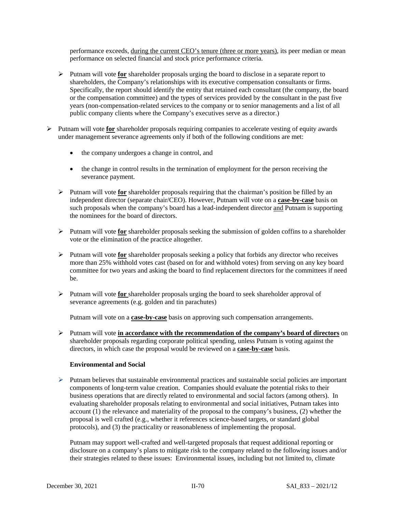performance exceeds, during the current CEO's tenure (three or more years), its peer median or mean performance on selected financial and stock price performance criteria.

- Putnam will vote **for** shareholder proposals urging the board to disclose in a separate report to shareholders, the Company's relationships with its executive compensation consultants or firms. Specifically, the report should identify the entity that retained each consultant (the company, the board or the compensation committee) and the types of services provided by the consultant in the past five years (non-compensation-related services to the company or to senior managements and a list of all public company clients where the Company's executives serve as a director.)
- Putnam will vote **for** shareholder proposals requiring companies to accelerate vesting of equity awards under management severance agreements only if both of the following conditions are met:
	- the company undergoes a change in control, and
	- the change in control results in the termination of employment for the person receiving the severance payment.
	- Putnam will vote **for** shareholder proposals requiring that the chairman's position be filled by an independent director (separate chair/CEO). However, Putnam will vote on a **case-by-case** basis on such proposals when the company's board has a lead-independent director and Putnam is supporting the nominees for the board of directors.
	- Putnam will vote **for** shareholder proposals seeking the submission of golden coffins to a shareholder vote or the elimination of the practice altogether.
	- Putnam will vote **for** shareholder proposals seeking a policy that forbids any director who receives more than 25% withhold votes cast (based on for and withhold votes) from serving on any key board committee for two years and asking the board to find replacement directors for the committees if need be.
	- Putnam will vote **for** shareholder proposals urging the board to seek shareholder approval of severance agreements (e.g. golden and tin parachutes)

Putnam will vote on a **case-by-case** basis on approving such compensation arrangements.

 Putnam will vote **in accordance with the recommendation of the company's board of directors** on shareholder proposals regarding corporate political spending, unless Putnam is voting against the directors, in which case the proposal would be reviewed on a **case-by-case** basis.

## **Environmental and Social**

 $\triangleright$  Putnam believes that sustainable environmental practices and sustainable social policies are important components of long-term value creation. Companies should evaluate the potential risks to their business operations that are directly related to environmental and social factors (among others). In evaluating shareholder proposals relating to environmental and social initiatives, Putnam takes into account (1) the relevance and materiality of the proposal to the company's business, (2) whether the proposal is well crafted (e.g., whether it references science-based targets, or standard global protocols), and (3) the practicality or reasonableness of implementing the proposal.

Putnam may support well-crafted and well-targeted proposals that request additional reporting or disclosure on a company's plans to mitigate risk to the company related to the following issues and/or their strategies related to these issues: Environmental issues, including but not limited to, climate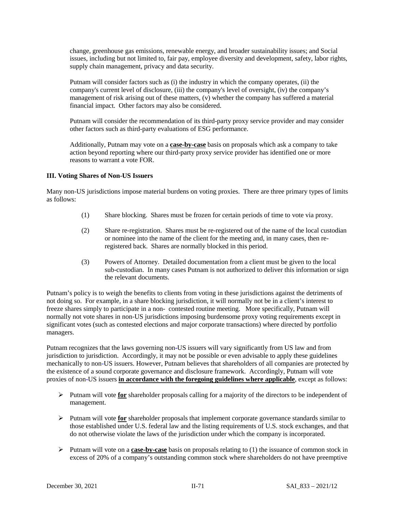change, greenhouse gas emissions, renewable energy, and broader sustainability issues; and Social issues, including but not limited to, fair pay, employee diversity and development, safety, labor rights, supply chain management*,* privacy and data security.

Putnam will consider factors such as (i) the industry in which the company operates, (ii) the company's current level of disclosure, (iii) the company's level of oversight, (iv) the company's management of risk arising out of these matters, (v) whether the company has suffered a material financial impact. Other factors may also be considered.

Putnam will consider the recommendation of its third-party proxy service provider and may consider other factors such as third-party evaluations of ESG performance.

Additionally, Putnam may vote on a **case-by-case** basis on proposals which ask a company to take action beyond reporting where our third-party proxy service provider has identified one or more reasons to warrant a vote FOR.

# **III. Voting Shares of Non-US Issuers**

Many non-US jurisdictions impose material burdens on voting proxies. There are three primary types of limits as follows:

- (1) Share blocking. Shares must be frozen for certain periods of time to vote via proxy.
- (2) Share re-registration. Shares must be re-registered out of the name of the local custodian or nominee into the name of the client for the meeting and, in many cases, then reregistered back. Shares are normally blocked in this period.
- (3) Powers of Attorney. Detailed documentation from a client must be given to the local sub-custodian. In many cases Putnam is not authorized to deliver this information or sign the relevant documents.

Putnam's policy is to weigh the benefits to clients from voting in these jurisdictions against the detriments of not doing so. For example, in a share blocking jurisdiction, it will normally not be in a client's interest to freeze shares simply to participate in a non- contested routine meeting. More specifically, Putnam will normally not vote shares in non-US jurisdictions imposing burdensome proxy voting requirements except in significant votes (such as contested elections and major corporate transactions) where directed by portfolio managers.

Putnam recognizes that the laws governing non**-**US issuers will vary significantly from US law and from jurisdiction to jurisdiction. Accordingly, it may not be possible or even advisable to apply these guidelines mechanically to non-US issuers. However, Putnam believes that shareholders of all companies are protected by the existence of a sound corporate governance and disclosure framework. Accordingly, Putnam will vote proxies of non**-**US issuers **in accordance with the foregoing guidelines where applicable**, except as follows:

- Putnam will vote **for** shareholder proposals calling for a majority of the directors to be independent of management.
- Putnam will vote **for** shareholder proposals that implement corporate governance standards similar to those established under U.S. federal law and the listing requirements of U.S. stock exchanges, and that do not otherwise violate the laws of the jurisdiction under which the company is incorporated.
- $\triangleright$  Putnam will vote on a **case-by-case** basis on proposals relating to (1) the issuance of common stock in excess of 20% of a company's outstanding common stock where shareholders do not have preemptive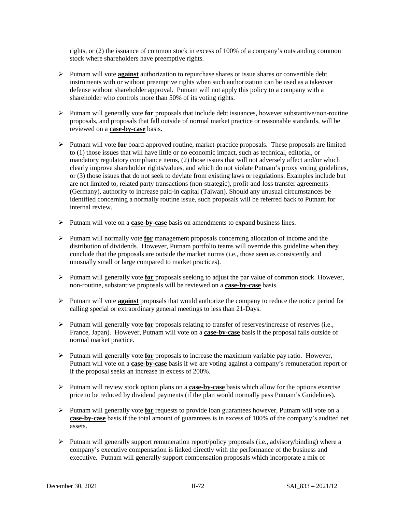rights, or (2) the issuance of common stock in excess of 100% of a company's outstanding common stock where shareholders have preemptive rights.

- Putnam will vote **against** authorization to repurchase shares or issue shares or convertible debt instruments with or without preemptive rights when such authorization can be used as a takeover defense without shareholder approval. Putnam will not apply this policy to a company with a shareholder who controls more than 50% of its voting rights.
- Putnam will generally vote **for** proposals that include debt issuances, however substantive/non-routine proposals, and proposals that fall outside of normal market practice or reasonable standards, will be reviewed on a **case-by-case** basis.
- Putnam will vote **for** board-approved routine, market-practice proposals. These proposals are limited to (1) those issues that will have little or no economic impact, such as technical, editorial, or mandatory regulatory compliance items, (2) those issues that will not adversely affect and/or which clearly improve shareholder rights/values, and which do not violate Putnam's proxy voting guidelines, or (3) those issues that do not seek to deviate from existing laws or regulations. Examples include but are not limited to, related party transactions (non-strategic), profit-and-loss transfer agreements (Germany), authority to increase paid-in capital (Taiwan). Should any unusual circumstances be identified concerning a normally routine issue, such proposals will be referred back to Putnam for internal review.
- Putnam will vote on a **case-by-case** basis on amendments to expand business lines.
- Putnam will normally vote **for** management proposals concerning allocation of income and the distribution of dividends. However, Putnam portfolio teams will override this guideline when they conclude that the proposals are outside the market norms (i.e., those seen as consistently and unusually small or large compared to market practices).
- Putnam will generally vote **for** proposals seeking to adjust the par value of common stock. However, non-routine, substantive proposals will be reviewed on a **case-by-case** basis.
- Putnam will vote **against** proposals that would authorize the company to reduce the notice period for calling special or extraordinary general meetings to less than 21-Days.
- Putnam will generally vote **for** proposals relating to transfer of reserves/increase of reserves (i.e., France, Japan). However, Putnam will vote on a **case-by-case** basis if the proposal falls outside of normal market practice.
- Putnam will generally vote **for** proposals to increase the maximum variable pay ratio. However, Putnam will vote on a **case-by-case** basis if we are voting against a company's remuneration report or if the proposal seeks an increase in excess of 200%.
- Putnam will review stock option plans on a **case-by-case** basis which allow for the options exercise price to be reduced by dividend payments (if the plan would normally pass Putnam's Guidelines).
- Putnam will generally vote **for** requests to provide loan guarantees however, Putnam will vote on a **case-by-case** basis if the total amount of guarantees is in excess of 100% of the company's audited net assets.
- Putnam will generally support remuneration report/policy proposals (i.e., advisory/binding) where a company's executive compensation is linked directly with the performance of the business and executive. Putnam will generally support compensation proposals which incorporate a mix of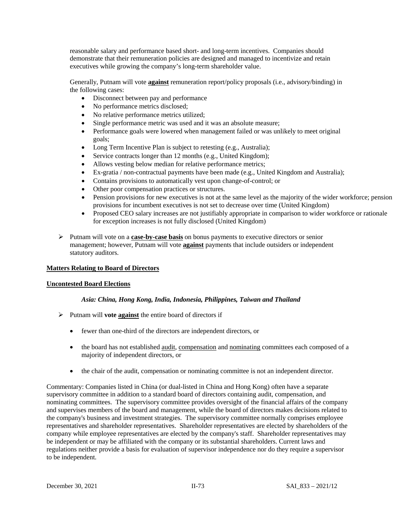reasonable salary and performance based short- and long-term incentives. Companies should demonstrate that their remuneration policies are designed and managed to incentivize and retain executives while growing the company's long-term shareholder value.

Generally, Putnam will vote **against** remuneration report/policy proposals (i.e., advisory/binding) in the following cases:

- Disconnect between pay and performance
- No performance metrics disclosed;
- No relative performance metrics utilized;
- Single performance metric was used and it was an absolute measure;
- Performance goals were lowered when management failed or was unlikely to meet original goals;
- Long Term Incentive Plan is subject to retesting (e.g., Australia);
- Service contracts longer than 12 months (e.g., United Kingdom);
- Allows vesting below median for relative performance metrics;
- Ex-gratia / non-contractual payments have been made (e.g., United Kingdom and Australia);
- Contains provisions to automatically vest upon change-of-control; or
- Other poor compensation practices or structures.
- Pension provisions for new executives is not at the same level as the majority of the wider workforce; pension provisions for incumbent executives is not set to decrease over time (United Kingdom)
- Proposed CEO salary increases are not justifiably appropriate in comparison to wider workforce or rationale for exception increases is not fully disclosed (United Kingdom)
- Putnam will vote on a **case-by-case basis** on bonus payments to executive directors or senior management; however, Putnam will vote **against** payments that include outsiders or independent statutory auditors.

## **Matters Relating to Board of Directors**

## **Uncontested Board Elections**

## *Asia: China, Hong Kong, India, Indonesia, Philippines, Taiwan and Thailand*

- $\triangleright$  Putnam will **vote against** the entire board of directors if
	- fewer than one-third of the directors are independent directors, or
	- the board has not established audit, compensation and nominating committees each composed of a majority of independent directors, or
	- the chair of the audit, compensation or nominating committee is not an independent director.

Commentary: Companies listed in China (or dual-listed in China and Hong Kong) often have a separate supervisory committee in addition to a standard board of directors containing audit, compensation, and nominating committees. The supervisory committee provides oversight of the financial affairs of the company and supervises members of the board and management, while the board of directors makes decisions related to the company's business and investment strategies. The supervisory committee normally comprises employee representatives and shareholder representatives. Shareholder representatives are elected by shareholders of the company while employee representatives are elected by the company's staff. Shareholder representatives may be independent or may be affiliated with the company or its substantial shareholders. Current laws and regulations neither provide a basis for evaluation of supervisor independence nor do they require a supervisor to be independent.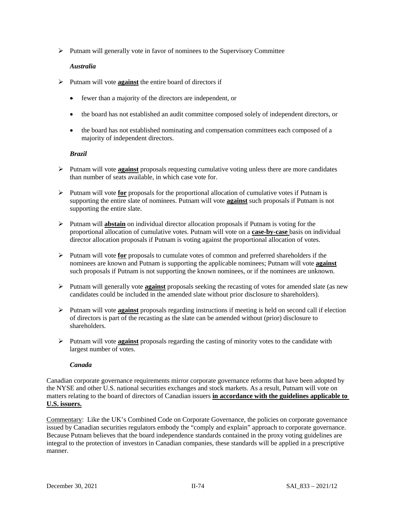$\triangleright$  Putnam will generally vote in favor of nominees to the Supervisory Committee

# *Australia*

- Putnam will vote **against** the entire board of directors if
	- fewer than a majority of the directors are independent, or
	- the board has not established an audit committee composed solely of independent directors, or
	- the board has not established nominating and compensation committees each composed of a majority of independent directors.

# *Brazil*

- $\triangleright$  Putnam will vote **against** proposals requesting cumulative voting unless there are more candidates than number of seats available, in which case vote for.
- Putnam will vote **for** proposals for the proportional allocation of cumulative votes if Putnam is supporting the entire slate of nominees. Putnam will vote **against** such proposals if Putnam is not supporting the entire slate.
- Putnam will **abstain** on individual director allocation proposals if Putnam is voting for the proportional allocation of cumulative votes. Putnam will vote on a **case-by-case** basis on individual director allocation proposals if Putnam is voting against the proportional allocation of votes.
- Putnam will vote **for** proposals to cumulate votes of common and preferred shareholders if the nominees are known and Putnam is supporting the applicable nominees; Putnam will vote **against** such proposals if Putnam is not supporting the known nominees, or if the nominees are unknown.
- Putnam will generally vote **against** proposals seeking the recasting of votes for amended slate (as new candidates could be included in the amended slate without prior disclosure to shareholders).
- Putnam will vote **against** proposals regarding instructions if meeting is held on second call if election of directors is part of the recasting as the slate can be amended without (prior) disclosure to shareholders.
- Putnam will vote **against** proposals regarding the casting of minority votes to the candidate with largest number of votes.

## *Canada*

Canadian corporate governance requirements mirror corporate governance reforms that have been adopted by the NYSE and other U.S. national securities exchanges and stock markets. As a result, Putnam will vote on matters relating to the board of directors of Canadian issuers **in accordance with the guidelines applicable to U.S. issuers.**

Commentary: Like the UK's Combined Code on Corporate Governance, the policies on corporate governance issued by Canadian securities regulators embody the "comply and explain" approach to corporate governance. Because Putnam believes that the board independence standards contained in the proxy voting guidelines are integral to the protection of investors in Canadian companies, these standards will be applied in a prescriptive manner.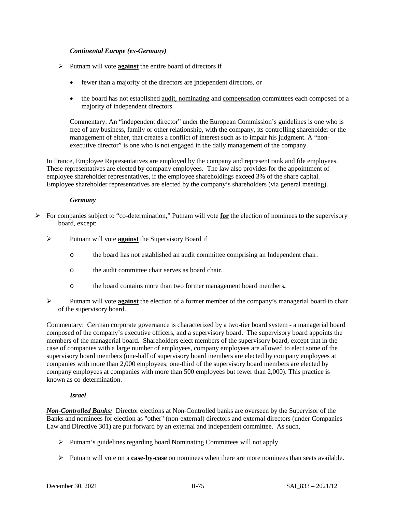# *Continental Europe (ex-Germany)*

- Putnam will vote **against** the entire board of directors if
	- fewer than a majority of the directors are independent directors, or
	- the board has not established audit, nominating and compensation committees each composed of a majority of independent directors.

Commentary: An "independent director" under the European Commission's guidelines is one who is free of any business, family or other relationship, with the company, its controlling shareholder or the management of either, that creates a conflict of interest such as to impair his judgment. A "nonexecutive director" is one who is not engaged in the daily management of the company.

In France, Employee Representatives are employed by the company and represent rank and file employees. These representatives are elected by company employees. The law also provides for the appointment of employee shareholder representatives, if the employee shareholdings exceed 3% of the share capital. Employee shareholder representatives are elected by the company's shareholders (via general meeting).

# *Germany*

- $\triangleright$  For companies subject to "co-determination," Putnam will vote **for** the election of nominees to the supervisory board, except:
	- Putnam will vote **against** the Supervisory Board if
		- o the board has not established an audit committee comprising an Independent chair.
		- o the audit committee chair serves as board chair.
		- o the board contains more than two former management board members**.**
	- Putnam will vote **against** the election of a former member of the company's managerial board to chair of the supervisory board.

Commentary: German corporate governance is characterized by a two-tier board system - a managerial board composed of the company's executive officers, and a supervisory board. The supervisory board appoints the members of the managerial board. Shareholders elect members of the supervisory board, except that in the case of companies with a large number of employees, company employees are allowed to elect some of the supervisory board members (one-half of supervisory board members are elected by company employees at companies with more than 2,000 employees; one-third of the supervisory board members are elected by company employees at companies with more than 500 employees but fewer than 2,000). This practice is known as co-determination.

## *Israel*

*Non-Controlled Banks:* Director elections at Non-Controlled banks are overseen by the Supervisor of the Banks and nominees for election as "other" (non-external) directors and external directors (under Companies Law and Directive 301) are put forward by an external and independent committee. As such,

- $\triangleright$  Putnam's guidelines regarding board Nominating Committees will not apply
- Putnam will vote on a **case-by-case** on nominees when there are more nominees than seats available.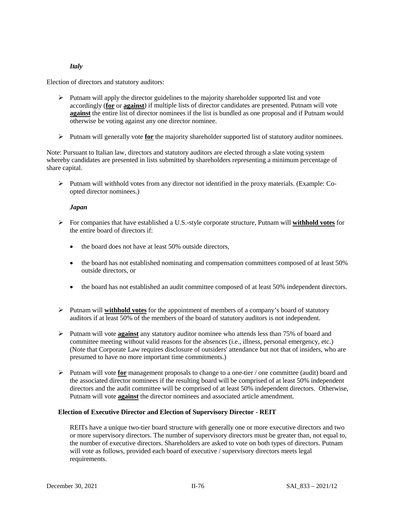# *Italy*

Election of directors and statutory auditors:

- $\triangleright$  Putnam will apply the director guidelines to the majority shareholder supported list and vote accordingly (**for** or **against**) if multiple lists of director candidates are presented. Putnam will vote **against** the entire list of director nominees if the list is bundled as one proposal and if Putnam would otherwise be voting against any one director nominee.
- Putnam will generally vote **for** the majority shareholder supported list of statutory auditor nominees.

Note: Pursuant to Italian law, directors and statutory auditors are elected through a slate voting system whereby candidates are presented in lists submitted by shareholders representing a minimum percentage of share capital.

 $\triangleright$  Putnam will withhold votes from any director not identified in the proxy materials. (Example: Coopted director nominees.)

## *Japan*

- For companies that have established a U.S.-style corporate structure, Putnam will **withhold votes** for the entire board of directors if:
	- the board does not have at least 50% outside directors,
	- the board has not established nominating and compensation committees composed of at least 50% outside directors, or
	- the board has not established an audit committee composed of at least 50% independent directors.
- Putnam will **withhold votes** for the appointment of members of a company's board of statutory auditors if at least 50% of the members of the board of statutory auditors is not independent.
- Putnam will vote **against** any statutory auditor nominee who attends less than 75% of board and committee meeting without valid reasons for the absences (i.e., illness, personal emergency, etc.) (Note that Corporate Law requires disclosure of outsiders' attendance but not that of insiders, who are presumed to have no more important time commitments.)
- Putnam will vote **for** management proposals to change to a one-tier / one committee (audit) board and the associated director nominees if the resulting board will be comprised of at least 50% independent directors and the audit committee will be comprised of at least 50% independent directors. Otherwise, Putnam will vote **against** the director nominees and associated article amendment.

## **Election of Executive Director and Election of Supervisory Director - REIT**

REITs have a unique two-tier board structure with generally one or more executive directors and two or more supervisory directors. The number of supervisory directors must be greater than, not equal to, the number of executive directors. Shareholders are asked to vote on both types of directors. Putnam will vote as follows, provided each board of executive / supervisory directors meets legal requirements.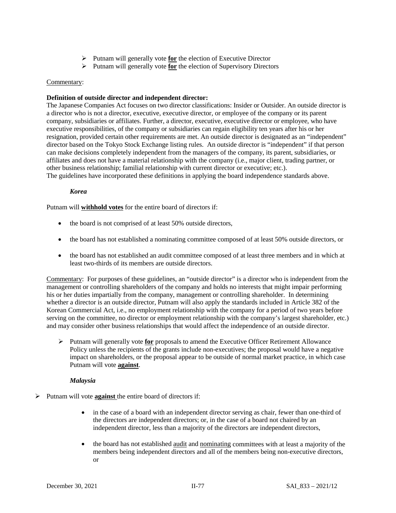- Putnam will generally vote **for** the election of Executive Director
- Putnam will generally vote **for** the election of Supervisory Directors

## Commentary:

# **Definition of outside director and independent director:**

The Japanese Companies Act focuses on two director classifications: Insider or Outsider. An outside director is a director who is not a director, executive, executive director, or employee of the company or its parent company, subsidiaries or affiliates. Further, a director, executive, executive director or employee, who have executive responsibilities, of the company or subsidiaries can regain eligibility ten years after his or her resignation, provided certain other requirements are met. An outside director is designated as an "independent" director based on the Tokyo Stock Exchange listing rules. An outside director is "independent" if that person can make decisions completely independent from the managers of the company, its parent, subsidiaries, or affiliates and does not have a material relationship with the company (i.e., major client, trading partner, or other business relationship; familial relationship with current director or executive; etc.). The guidelines have incorporated these definitions in applying the board independence standards above.

## *Korea*

Putnam will **withhold votes** for the entire board of directors if:

- the board is not comprised of at least 50% outside directors,
- the board has not established a nominating committee composed of at least 50% outside directors, or
- the board has not established an audit committee composed of at least three members and in which at least two-thirds of its members are outside directors.

Commentary: For purposes of these guidelines, an "outside director" is a director who is independent from the management or controlling shareholders of the company and holds no interests that might impair performing his or her duties impartially from the company, management or controlling shareholder. In determining whether a director is an outside director, Putnam will also apply the standards included in Article 382 of the Korean Commercial Act*,* i.e., no employment relationship with the company for a period of two years before serving on the committee, no director or employment relationship with the company's largest shareholder, etc.) and may consider other business relationships that would affect the independence of an outside director.

 Putnam will generally vote **for** proposals to amend the Executive Officer Retirement Allowance Policy unless the recipients of the grants include non-executives; the proposal would have a negative impact on shareholders, or the proposal appear to be outside of normal market practice, in which case Putnam will vote **against**.

## *Malaysia*

- Putnam will vote **against** the entire board of directors if:
	- in the case of a board with an independent director serving as chair, fewer than one-third of the directors are independent directors; or, in the case of a board not chaired by an independent director, less than a majority of the directors are independent directors,
	- the board has not established audit and nominating committees with at least a majority of the members being independent directors and all of the members being non-executive directors, or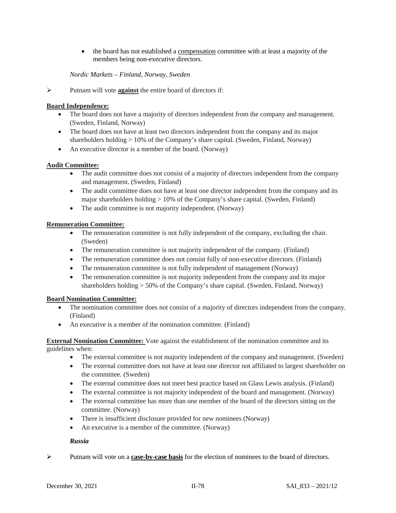• the board has not established a compensation committee with at least a majority of the members being non-executive directors.

# *Nordic Markets – Finland, Norway, Sweden*

Putnam will vote **against** the entire board of directors if:

# **Board Independence:**

- The board does not have a majority of directors independent from the company and management. (Sweden, Finland, Norway)
- The board does not have at least two directors independent from the company and its major shareholders holding > 10% of the Company's share capital. (Sweden, Finland, Norway)
- An executive director is a member of the board. (Norway)

# **Audit Committee:**

- The audit committee does not consist of a majority of directors independent from the company and management. (Sweden, Finland)
- The audit committee does not have at least one director independent from the company and its major shareholders holding > 10% of the Company's share capital. (Sweden, Finland)
- The audit committee is not majority independent. (Norway)

# **Remuneration Committee:**

- The remuneration committee is not fully independent of the company, excluding the chair. (Sweden)
- The remuneration committee is not majority independent of the company. (Finland)
- The remuneration committee does not consist fully of non-executive directors. (Finland)
- The remuneration committee is not fully independent of management (Norway)
- The remuneration committee is not majority independent from the company and its major shareholders holding > 50% of the Company's share capital. (Sweden, Finland, Norway)

## **Board Nomination Committee:**

- The nomination committee does not consist of a majority of directors independent from the company. (Finland)
- An executive is a member of the nomination committee. (Finland)

**External Nomination Committee:** Vote against the establishment of the nomination committee and its guidelines when:

- The external committee is not majority independent of the company and management. (Sweden)
- The external committee does not have at least one director not affiliated to largest shareholder on the committee. (Sweden)
- The external committee does not meet best practice based on Glass Lewis analysis. (Finland)
- The external committee is not majority independent of the board and management. (Norway)
- The external committee has more than one member of the board of the directors sitting on the committee. (Norway)
- There is insufficient disclosure provided for new nominees (Norway)
- An executive is a member of the committee. (Norway)

## *Russia*

Putnam will vote on a **case-by-case basis** for the election of nominees to the board of directors.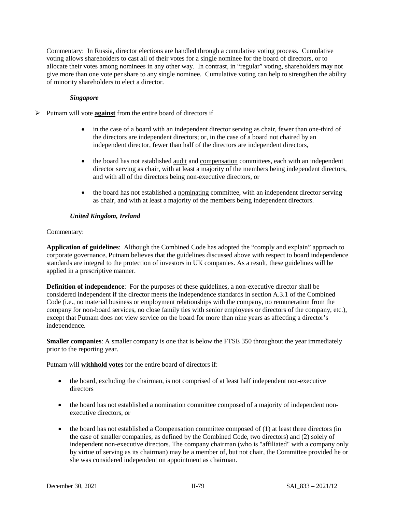Commentary: In Russia, director elections are handled through a cumulative voting process. Cumulative voting allows shareholders to cast all of their votes for a single nominee for the board of directors, or to allocate their votes among nominees in any other way. In contrast, in "regular" voting, shareholders may not give more than one vote per share to any single nominee. Cumulative voting can help to strengthen the ability of minority shareholders to elect a director.

## *Singapore*

- Putnam will vote **against** from the entire board of directors if
	- in the case of a board with an independent director serving as chair, fewer than one-third of the directors are independent directors; or, in the case of a board not chaired by an independent director, fewer than half of the directors are independent directors,
	- the board has not established <u>audit</u> and compensation committees, each with an independent director serving as chair, with at least a majority of the members being independent directors, and with all of the directors being non-executive directors, or
	- the board has not established a nominating committee, with an independent director serving as chair, and with at least a majority of the members being independent directors.

# *United Kingdom, Ireland*

# Commentary:

**Application of guidelines**: Although the Combined Code has adopted the "comply and explain" approach to corporate governance, Putnam believes that the guidelines discussed above with respect to board independence standards are integral to the protection of investors in UK companies. As a result, these guidelines will be applied in a prescriptive manner.

**Definition of independence**: For the purposes of these guidelines, a non-executive director shall be considered independent if the director meets the independence standards in section A.3.1 of the Combined Code (i.e., no material business or employment relationships with the company, no remuneration from the company for non-board services, no close family ties with senior employees or directors of the company, etc.), except that Putnam does not view service on the board for more than nine years as affecting a director's independence.

**Smaller companies**: A smaller company is one that is below the FTSE 350 throughout the year immediately prior to the reporting year.

Putnam will **withhold votes** for the entire board of directors if:

- the board, excluding the chairman, is not comprised of at least half independent non-executive directors
- the board has not established a nomination committee composed of a majority of independent nonexecutive directors, or
- the board has not established a Compensation committee composed of (1) at least three directors (in the case of smaller companies, as defined by the Combined Code, two directors) and (2) solely of independent non-executive directors. The company chairman (who is "affiliated" with a company only by virtue of serving as its chairman) may be a member of, but not chair, the Committee provided he or she was considered independent on appointment as chairman.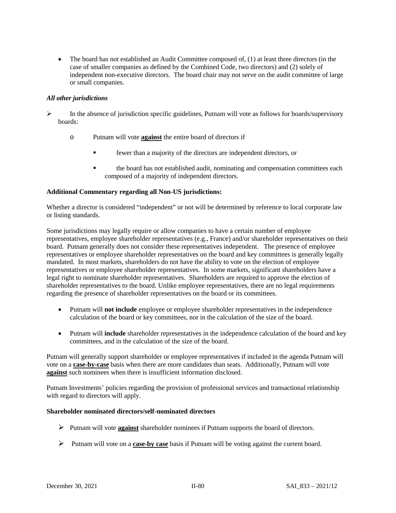• The board has not established an Audit Committee composed of, (1) at least three directors (in the case of smaller companies as defined by the Combined Code, two directors) and (2) solely of independent non-executive directors.The board chair may not serve on the audit committee of large or small companies.

# *All other jurisdictions*

- In the absence of jurisdiction specific guidelines, Putnam will vote as follows for boards/supervisory boards:
	- o Putnam will vote **against** the entire board of directors if
		- fewer than a majority of the directors are independent directors, or
		- the board has not established audit, nominating and compensation committees each composed of a majority of independent directors.

# **Additional Commentary regarding all Non-US jurisdictions:**

Whether a director is considered "independent" or not will be determined by reference to local corporate law or listing standards.

Some jurisdictions may legally require or allow companies to have a certain number of employee representatives, employee shareholder representatives (e.g., France) and/or shareholder representatives on their board. Putnam generally does not consider these representatives independent. The presence of employee representatives or employee shareholder representatives on the board and key committees is generally legally mandated. In most markets, shareholders do not have the ability to vote on the election of employee representatives or employee shareholder representatives. In some markets, significant shareholders have a legal right to nominate shareholder representatives. Shareholders are required to approve the election of shareholder representatives to the board. Unlike employee representatives, there are no legal requirements regarding the presence of shareholder representatives on the board or its committees.

- Putnam will **not include** employee or employee shareholder representatives in the independence calculation of the board or key committees, nor in the calculation of the size of the board.
- Putnam will **include** shareholder representatives in the independence calculation of the board and key committees, and in the calculation of the size of the board.

Putnam will generally support shareholder or employee representatives if included in the agenda Putnam will vote on a **case-by-case** basis when there are more candidates than seats. Additionally, Putnam will vote **against** such nominees when there is insufficient information disclosed.

Putnam Investments' policies regarding the provision of professional services and transactional relationship with regard to directors will apply.

# **Shareholder nominated directors/self-nominated directors**

- Putnam will vote **against** shareholder nominees if Putnam supports the board of directors.
- Putnam will vote on a **case-by case** basis if Putnam will be voting against the current board.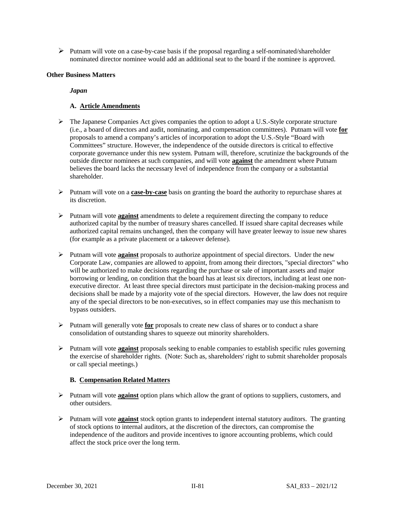$\triangleright$  Putnam will vote on a case-by-case basis if the proposal regarding a self-nominated/shareholder nominated director nominee would add an additional seat to the board if the nominee is approved.

# **Other Business Matters**

*Japan*

# **A. Article Amendments**

- The Japanese Companies Act gives companies the option to adopt a U.S.-Style corporate structure (i.e., a board of directors and audit, nominating, and compensation committees). Putnam will vote **for** proposals to amend a company's articles of incorporation to adopt the U.S.-Style "Board with Committees" structure. However, the independence of the outside directors is critical to effective corporate governance under this new system. Putnam will, therefore, scrutinize the backgrounds of the outside director nominees at such companies, and will vote **against** the amendment where Putnam believes the board lacks the necessary level of independence from the company or a substantial shareholder.
- Putnam will vote on a **case-by-case** basis on granting the board the authority to repurchase shares at its discretion.
- Putnam will vote **against** amendments to delete a requirement directing the company to reduce authorized capital by the number of treasury shares cancelled. If issued share capital decreases while authorized capital remains unchanged, then the company will have greater leeway to issue new shares (for example as a private placement or a takeover defense).
- Putnam will vote **against** proposals to authorize appointment of special directors. Under the new Corporate Law, companies are allowed to appoint, from among their directors, "special directors" who will be authorized to make decisions regarding the purchase or sale of important assets and major borrowing or lending, on condition that the board has at least six directors, including at least one nonexecutive director. At least three special directors must participate in the decision-making process and decisions shall be made by a majority vote of the special directors. However, the law does not require any of the special directors to be non-executives, so in effect companies may use this mechanism to bypass outsiders.
- Putnam will generally vote **for** proposals to create new class of shares or to conduct a share consolidation of outstanding shares to squeeze out minority shareholders.
- Putnam will vote **against** proposals seeking to enable companies to establish specific rules governing the exercise of shareholder rights. (Note: Such as, shareholders' right to submit shareholder proposals or call special meetings.)

# **B. Compensation Related Matters**

- Putnam will vote **against** option plans which allow the grant of options to suppliers, customers, and other outsiders.
- Putnam will vote **against** stock option grants to independent internal statutory auditors. The granting of stock options to internal auditors, at the discretion of the directors, can compromise the independence of the auditors and provide incentives to ignore accounting problems, which could affect the stock price over the long term.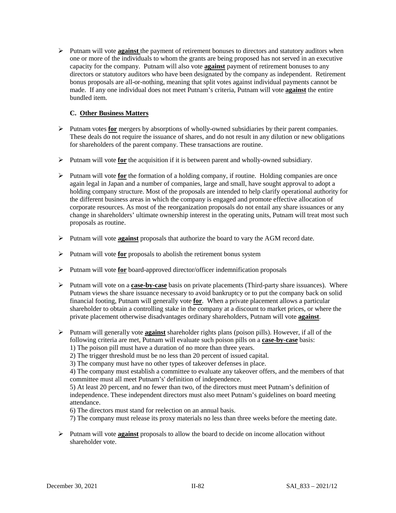Putnam will vote **against** the payment of retirement bonuses to directors and statutory auditors when one or more of the individuals to whom the grants are being proposed has not served in an executive capacity for the company. Putnam will also vote **against** payment of retirement bonuses to any directors or statutory auditors who have been designated by the company as independent. Retirement bonus proposals are all-or-nothing, meaning that split votes against individual payments cannot be made. If any one individual does not meet Putnam's criteria, Putnam will vote **against** the entire bundled item.

# **C. Other Business Matters**

- Putnam votes **for** mergers by absorptions of wholly-owned subsidiaries by their parent companies. These deals do not require the issuance of shares, and do not result in any dilution or new obligations for shareholders of the parent company. These transactions are routine.
- Putnam will vote **for** the acquisition if it is between parent and wholly-owned subsidiary.
- $\triangleright$  Putnam will vote **for** the formation of a holding company, if routine. Holding companies are once again legal in Japan and a number of companies, large and small, have sought approval to adopt a holding company structure. Most of the proposals are intended to help clarify operational authority for the different business areas in which the company is engaged and promote effective allocation of corporate resources. As most of the reorganization proposals do not entail any share issuances or any change in shareholders' ultimate ownership interest in the operating units, Putnam will treat most such proposals as routine.
- Putnam will vote **against** proposals that authorize the board to vary the AGM record date.
- Putnam will vote **for** proposals to abolish the retirement bonus system
- Putnam will vote **for** board-approved director/officer indemnification proposals
- Putnam will vote on a **case-by-case** basis on private placements (Third-party share issuances). Where Putnam views the share issuance necessary to avoid bankruptcy or to put the company back on solid financial footing, Putnam will generally vote **for**. When a private placement allows a particular shareholder to obtain a controlling stake in the company at a discount to market prices, or where the private placement otherwise disadvantages ordinary shareholders, Putnam will vote **against**.
- Putnam will generally vote **against** shareholder rights plans (poison pills). However, if all of the following criteria are met, Putnam will evaluate such poison pills on a **case-by-case** basis: 1) The poison pill must have a duration of no more than three years.
	-

2) The trigger threshold must be no less than 20 percent of issued capital.

3) The company must have no other types of takeover defenses in place.

4) The company must establish a committee to evaluate any takeover offers, and the members of that committee must all meet Putnam's' definition of independence.

5) At least 20 percent, and no fewer than two, of the directors must meet Putnam's definition of independence. These independent directors must also meet Putnam's guidelines on board meeting attendance.

6) The directors must stand for reelection on an annual basis.

7) The company must release its proxy materials no less than three weeks before the meeting date.

 Putnam will vote **against** proposals to allow the board to decide on income allocation without shareholder vote.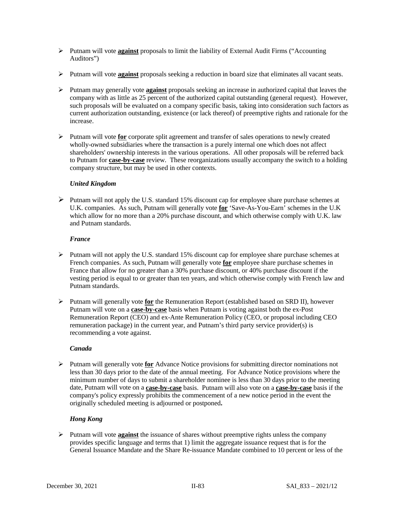- Putnam will vote **against** proposals to limit the liability of External Audit Firms ("Accounting Auditors")
- Putnam will vote **against** proposals seeking a reduction in board size that eliminates all vacant seats.
- Putnam may generally vote **against** proposals seeking an increase in authorized capital that leaves the company with as little as 25 percent of the authorized capital outstanding (general request). However, such proposals will be evaluated on a company specific basis, taking into consideration such factors as current authorization outstanding, existence (or lack thereof) of preemptive rights and rationale for the increase.
- Putnam will vote **for** corporate split agreement and transfer of sales operations to newly created wholly-owned subsidiaries where the transaction is a purely internal one which does not affect shareholders' ownership interests in the various operations. All other proposals will be referred back to Putnam for **case-by-case** review. These reorganizations usually accompany the switch to a holding company structure, but may be used in other contexts.

# *United Kingdom*

 $\triangleright$  Putnam will not apply the U.S. standard 15% discount cap for employee share purchase schemes at U.K. companies. As such, Putnam will generally vote **for** 'Save-As-You-Earn' schemes in the U.K which allow for no more than a 20% purchase discount, and which otherwise comply with U.K. law and Putnam standards.

# *France*

- $\triangleright$  Putnam will not apply the U.S. standard 15% discount cap for employee share purchase schemes at French companies. As such, Putnam will generally vote **for** employee share purchase schemes in France that allow for no greater than a 30% purchase discount, or 40% purchase discount if the vesting period is equal to or greater than ten years, and which otherwise comply with French law and Putnam standards.
- $\triangleright$  Putnam will generally vote **for** the Remuneration Report (established based on SRD II), however Putnam will vote on a **case-by-case** basis when Putnam is voting against both the ex-Post Remuneration Report (CEO) and ex-Ante Remuneration Policy (CEO, or proposal including CEO remuneration package) in the current year, and Putnam's third party service provider(s) is recommending a vote against.

# *Canada*

 Putnam will generally vote **for** Advance Notice provisions for submitting director nominations not less than 30 days prior to the date of the annual meeting. For Advance Notice provisions where the minimum number of days to submit a shareholder nominee is less than 30 days prior to the meeting date, Putnam will vote on a **case-by-case** basis. Putnam will also vote on a **case-by-case** basis if the company's policy expressly prohibits the commencement of a new notice period in the event the originally scheduled meeting is adjourned or postponed**.**

# *Hong Kong*

 $\triangleright$  Putnam will vote **against** the issuance of shares without preemptive rights unless the company provides specific language and terms that 1) limit the aggregate issuance request that is for the General Issuance Mandate and the Share Re-issuance Mandate combined to 10 percent or less of the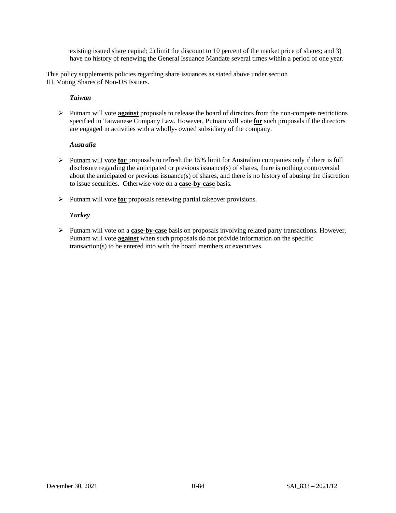existing issued share capital; 2) limit the discount to 10 percent of the market price of shares; and 3) have no history of renewing the General Issuance Mandate several times within a period of one year.

This policy supplements policies regarding share issuances as stated above under section III. Voting Shares of Non-US Issuers.

# *Taiwan*

 Putnam will vote **against** proposals to release the board of directors from the non-compete restrictions specified in Taiwanese Company Law. However, Putnam will vote **for** such proposals if the directors are engaged in activities with a wholly- owned subsidiary of the company.

# *Australia*

- Putnam will vote **for** proposals to refresh the 15% limit for Australian companies only if there is full disclosure regarding the anticipated or previous issuance(s) of shares, there is nothing controversial about the anticipated or previous issuance(s) of shares, and there is no history of abusing the discretion to issue securities. Otherwise vote on a **case-by-case** basis*.*
- Putnam will vote **for** proposals renewing partial takeover provisions.

# *Turkey*

 Putnam will vote on a **case-by-case** basis on proposals involving related party transactions. However, Putnam will vote **against** when such proposals do not provide information on the specific transaction(s) to be entered into with the board members or executives.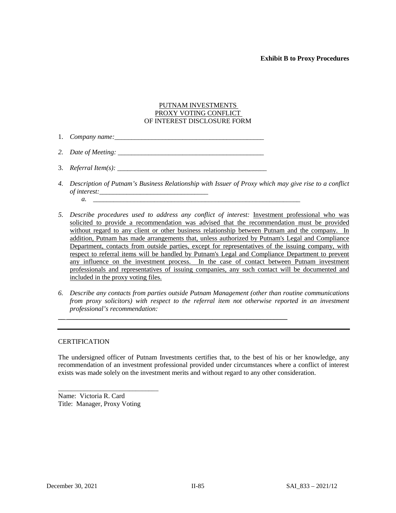# **Exhibit B to Proxy Procedures**

# PUTNAM INVESTMENTS PROXY VOTING CONFLICT OF INTEREST DISCLOSURE FORM

- 1. *Company name:\_\_\_\_\_\_\_\_\_\_\_\_\_\_\_\_\_\_\_\_\_\_\_\_\_\_\_\_\_\_\_\_\_\_\_\_\_\_\_\_\_\_\_\_*
- *2. Date of Meeting: \_\_\_\_\_\_\_\_\_\_\_\_\_\_\_\_\_\_\_\_\_\_\_\_\_\_\_\_\_\_\_\_\_\_\_\_\_\_\_\_\_\_\_*
- 3. *Referral Item(s): \_\_\_\_\_\_\_\_\_\_\_\_\_\_\_\_\_\_\_\_\_\_\_\_\_\_\_\_\_\_\_\_\_\_\_\_\_\_\_\_\_\_\_\_*
- *4. Description of Putnam's Business Relationship with Issuer of Proxy which may give rise to a conflict of interest:\_\_\_\_\_\_\_\_\_\_\_\_\_\_\_\_\_\_\_\_\_\_\_\_\_\_\_\_\_\_\_\_ a. \_\_\_\_\_\_\_\_\_\_\_\_\_\_\_\_\_\_\_\_\_\_\_\_\_\_\_\_\_\_\_\_\_\_\_\_\_\_\_\_\_\_\_\_\_\_\_\_\_\_\_\_\_\_\_\_\_\_\_\_\_*
- *5. Describe procedures used to address any conflict of interest:* Investment professional who was solicited to provide a recommendation was advised that the recommendation must be provided without regard to any client or other business relationship between Putnam and the company. In addition, Putnam has made arrangements that, unless authorized by Putnam's Legal and Compliance Department, contacts from outside parties, except for representatives of the issuing company, with respect to referral items will be handled by Putnam's Legal and Compliance Department to prevent any influence on the investment process. In the case of contact between Putnam investment professionals and representatives of issuing companies, any such contact will be documented and included in the proxy voting files.
- *6. Describe any contacts from parties outside Putnam Management (other than routine communications from proxy solicitors) with respect to the referral item not otherwise reported in an investment professional's recommendation:*

 $\overline{\phantom{a}}$  , and the contribution of the contribution of the contribution of the contribution of the contribution of the contribution of the contribution of the contribution of the contribution of the contribution of the

## **CERTIFICATION**

The undersigned officer of Putnam Investments certifies that, to the best of his or her knowledge, any recommendation of an investment professional provided under circumstances where a conflict of interest exists was made solely on the investment merits and without regard to any other consideration.

Name: Victoria R. Card Title: Manager, Proxy Voting

\_\_\_\_\_\_\_\_\_\_\_\_\_\_\_\_\_\_\_\_\_\_\_\_\_\_\_\_\_\_\_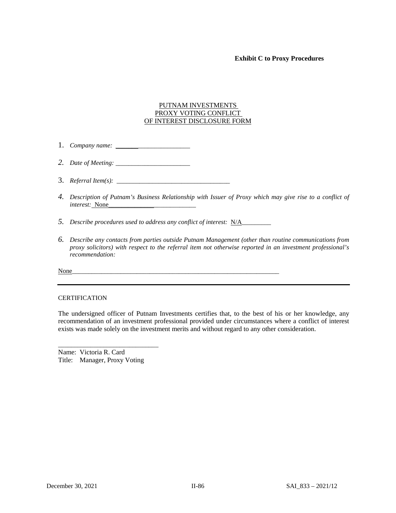## **Exhibit C to Proxy Procedures**

## PUTNAM INVESTMENTS PROXY VOTING CONFLICT OF INTEREST DISCLOSURE FORM

- 1. *Company name:* \_\_\_\_\_\_\_*\_\_\_\_\_\_\_\_\_\_\_\_\_\_\_\_*
- *2. Date of Meeting: \_\_\_\_\_\_\_\_\_\_\_\_\_\_\_\_\_\_\_\_\_\_\_*
- 3. *Referral Item(s):* \_\_\_\_\_\_\_\_\_\_\_\_\_\_\_\_\_\_\_\_\_\_\_\_\_\_\_\_\_\_\_\_\_\_\_
- *4. Description of Putnam's Business Relationship with Issuer of Proxy which may give rise to a conflict of interest:* None\_\_\_\_\_\_\_\_\_\_\_\_\_\_*\_\_\_\_\_\_\_\_\_\_\_\_\_*
- *5. Describe procedures used to address any conflict of interest:* N/A\_\_\_\_\_\_\_\_\_
- *6. Describe any contacts from parties outside Putnam Management (other than routine communications from proxy solicitors) with respect to the referral item not otherwise reported in an investment professional's recommendation:*

None

#### **CERTIFICATION**

The undersigned officer of Putnam Investments certifies that, to the best of his or her knowledge, any recommendation of an investment professional provided under circumstances where a conflict of interest exists was made solely on the investment merits and without regard to any other consideration.

Name: Victoria R. Card Title: Manager, Proxy Voting

\_\_\_\_\_\_\_\_\_\_\_\_\_\_\_\_\_\_\_\_\_\_\_\_\_\_\_\_\_\_\_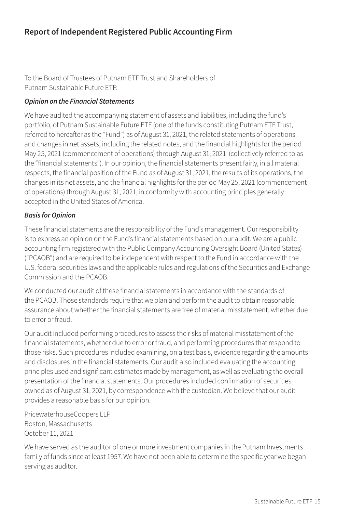# **Report of Independent Registered Public Accounting Firm**

To the Board of Trustees of Putnam ETF Trust and Shareholders of Putnam Sustainable Future ETF:

#### *Opinion on the Financial Statements*

We have audited the accompanying statement of assets and liabilities, including the fund's portfolio, of Putnam Sustainable Future ETF (one of the funds constituting Putnam ETF Trust, referred to hereafter as the "Fund") as of August 31, 2021, the related statements of operations and changes in net assets, including the related notes, and the financial highlights for the period May 25, 2021 (commencement of operations) through August 31, 2021 (collectively referred to as the "financial statements"). In our opinion, the financial statements present fairly, in all material respects, the financial position of the Fund as of August 31, 2021, the results of its operations, the changes in its net assets, and the financial highlights for the period May 25, 2021 (commencement of operations) through August 31, 2021, in conformity with accounting principles generally accepted in the United States of America.

#### *Basis for Opinion*

These financial statements are the responsibility of the Fund's management. Our responsibility is to express an opinion on the Fund's financial statements based on our audit. We are a public accounting firm registered with the Public Company Accounting Oversight Board (United States) ("PCAOB") and are required to be independent with respect to the Fund in accordance with the U.S. federal securities laws and the applicable rules and regulations of the Securities and Exchange Commission and the PCAOB.

We conducted our audit of these financial statements in accordance with the standards of the PCAOB. Those standards require that we plan and perform the audit to obtain reasonable assurance about whether the financial statements are free of material misstatement, whether due to error or fraud.

Our audit included performing procedures to assess the risks of material misstatement of the financial statements, whether due to error or fraud, and performing procedures that respond to those risks. Such procedures included examining, on a test basis, evidence regarding the amounts and disclosures in the financial statements. Our audit also included evaluating the accounting principles used and significant estimates made by management, as well as evaluating the overall presentation of the financial statements. Our procedures included confirmation of securities owned as of August 31, 2021, by correspondence with the custodian. We believe that our audit provides a reasonable basis for our opinion.

PricewaterhouseCoopers LLP Boston, Massachusetts October 11, 2021

We have served as the auditor of one or more investment companies in the Putnam Investments family of funds since at least 1957. We have not been able to determine the specific year we began serving as auditor.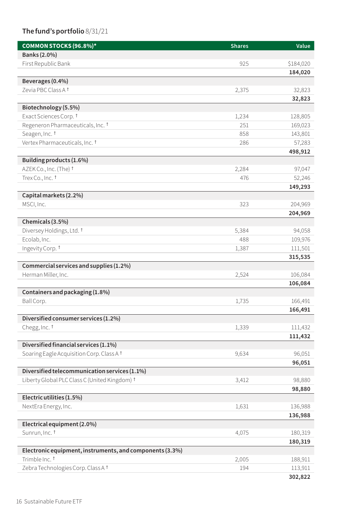# **The fund's portfolio**8/31/21

| COMMON STOCKS (96.8%)*                                   | <b>Shares</b> | Value     |
|----------------------------------------------------------|---------------|-----------|
| Banks (2.0%)                                             |               |           |
| First Republic Bank                                      | 925           | \$184,020 |
|                                                          |               | 184,020   |
| Beverages (0.4%)                                         |               |           |
| Zevia PBC Class A +                                      | 2,375         | 32,823    |
|                                                          |               | 32,823    |
| Biotechnology (5.5%)                                     |               |           |
| Exact Sciences Corp. †                                   | 1,234         | 128,805   |
| Regeneron Pharmaceuticals, Inc. 1                        | 251           | 169,023   |
| Seagen, Inc. 1                                           | 858           | 143,801   |
| Vertex Pharmaceuticals, Inc. 1                           | 286           | 57,283    |
|                                                          |               | 498,912   |
| Building products (1.6%)                                 |               |           |
| AZEK Co., Inc. (The) t                                   | 2,284         | 97,047    |
| Trex Co., Inc. <sup>t</sup>                              | 476           | 52,246    |
|                                                          |               | 149,293   |
| Capital markets (2.2%)                                   |               |           |
| MSCI, Inc.                                               | 323           | 204,969   |
|                                                          |               | 204,969   |
| Chemicals (3.5%)                                         |               |           |
| Diversey Holdings, Ltd. <sup>†</sup>                     | 5,384         | 94,058    |
| Ecolab, Inc.                                             | 488           | 109,976   |
| Ingevity Corp. †                                         | 1,387         | 111,501   |
|                                                          |               | 315,535   |
| Commercial services and supplies (1.2%)                  |               |           |
| Herman Miller, Inc.                                      | 2,524         | 106,084   |
| Containers and packaging (1.8%)                          |               | 106,084   |
| Ball Corp.                                               | 1,735         | 166,491   |
|                                                          |               | 166,491   |
| Diversified consumer services (1.2%)                     |               |           |
| Chegg, Inc. 1                                            | 1,339         | 111,432   |
|                                                          |               | 111,432   |
| Diversified financial services (1.1%)                    |               |           |
| Soaring Eagle Acquisition Corp. Class A +                | 9,634         | 96,051    |
|                                                          |               | 96,051    |
| Diversified telecommunication services (1.1%)            |               |           |
| Liberty Global PLC Class C (United Kingdom) †            | 3,412         | 98,880    |
|                                                          |               | 98,880    |
| Electric utilities (1.5%)                                |               |           |
| NextEra Energy, Inc.                                     | 1,631         | 136,988   |
|                                                          |               | 136,988   |
| Electrical equipment (2.0%)                              |               |           |
| Sunrun, Inc. †                                           | 4,075         | 180,319   |
|                                                          |               | 180,319   |
| Electronic equipment, instruments, and components (3.3%) |               |           |
| Trimble Inc. <sup>†</sup>                                | 2,005         | 188,911   |
| Zebra Technologies Corp. Class A +                       | 194           | 113,911   |
|                                                          |               | 302,822   |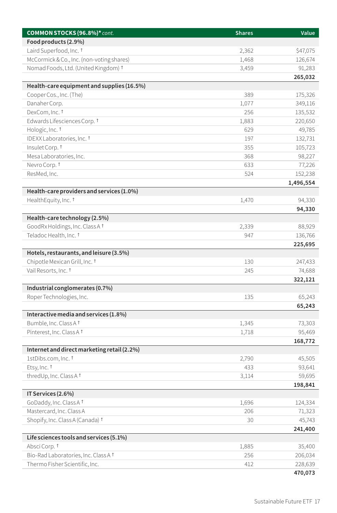| COMMON STOCKS (96.8%)* cont.                                | <b>Shares</b> | Value     |
|-------------------------------------------------------------|---------------|-----------|
| Food products (2.9%)                                        |               |           |
| Laird Superfood, Inc. <sup>t</sup>                          | 2,362         | \$47,075  |
| McCormick & Co., Inc. (non-voting shares)                   | 1,468         | 126,674   |
| Nomad Foods, Ltd. (United Kingdom) †                        | 3,459         | 91,283    |
|                                                             |               | 265,032   |
| Health-care equipment and supplies (16.5%)                  |               |           |
| Cooper Cos., Inc. (The)                                     | 389           | 175,326   |
| Danaher Corp.                                               | 1,077         | 349,116   |
| DexCom, Inc. <sup>†</sup>                                   | 256           | 135,532   |
| Edwards Lifesciences Corp. 1                                | 1,883         | 220,650   |
| Hologic, Inc. <sup>†</sup>                                  | 629           | 49,785    |
| IDEXX Laboratories, Inc. 1                                  | 197           | 132,731   |
| Insulet Corp. †                                             | 355           | 105,723   |
| Mesa Laboratories, Inc.                                     | 368           | 98,227    |
| Nevro Corp. †                                               | 633           | 77,226    |
| ResMed, Inc.                                                | 524           | 152,238   |
|                                                             |               | 1,496,554 |
| Health-care providers and services (1.0%)                   |               |           |
| HealthEquity, Inc. <sup>†</sup>                             | 1,470         | 94,330    |
|                                                             |               | 94,330    |
| Health-care technology (2.5%)                               |               |           |
| GoodRx Holdings, Inc. Class A 1                             | 2,339         | 88,929    |
| Teladoc Health, Inc. †                                      | 947           | 136,766   |
|                                                             |               | 225,695   |
| Hotels, restaurants, and leisure (3.5%)                     |               |           |
| Chipotle Mexican Grill, Inc. <sup>†</sup>                   | 130           | 247,433   |
| Vail Resorts, Inc. †                                        | 245           | 74,688    |
|                                                             |               | 322,121   |
| Industrial conglomerates (0.7%)<br>Roper Technologies, Inc. | 135           | 65,243    |
|                                                             |               | 65,243    |
| Interactive media and services (1.8%)                       |               |           |
| Bumble, Inc. Class A <sup>t</sup>                           | 1,345         | 73,303    |
| Pinterest, Inc. Class A 1                                   | 1,718         | 95,469    |
|                                                             |               | 168,772   |
| Internet and direct marketing retail (2.2%)                 |               |           |
| 1stDibs.com, Inc. <sup>†</sup>                              | 2,790         | 45,505    |
| Etsy, Inc. †                                                | 433           | 93,641    |
| thredUp, Inc. Class A +                                     | 3.114         | 59,695    |
|                                                             |               | 198,841   |
| IT Services (2.6%)                                          |               |           |
| GoDaddy, Inc. Class A <sup>t</sup>                          | 1,696         | 124,334   |
| Mastercard, Inc. Class A                                    | 206           | 71,323    |
| Shopify, Inc. Class A (Canada) 1                            | 30            | 45,743    |
|                                                             |               | 241,400   |
| Life sciences tools and services (5.1%)                     |               |           |
| Absci Corp. †                                               | 1,885         | 35,400    |
| Bio-Rad Laboratories, Inc. Class A 1                        | 256           | 206,034   |
| Thermo Fisher Scientific, Inc.                              | 412           | 228,639   |
|                                                             |               | 470,073   |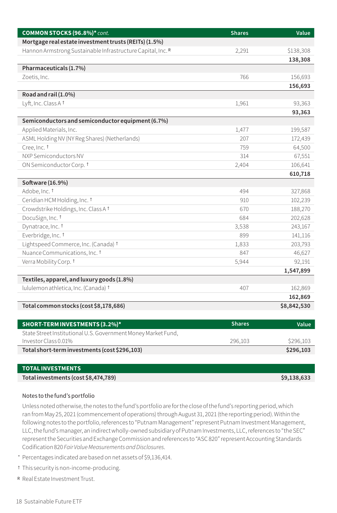| COMMON STOCKS (96.8%)* cont.                                | <b>Shares</b> | Value       |
|-------------------------------------------------------------|---------------|-------------|
| Mortgage real estate investment trusts (REITs) (1.5%)       |               |             |
| Hannon Armstrong Sustainable Infrastructure Capital, Inc. R | 2,291         | \$138,308   |
|                                                             |               | 138,308     |
| Pharmaceuticals (1.7%)                                      |               |             |
| Zoetis, Inc.                                                | 766           | 156,693     |
|                                                             |               | 156,693     |
| Road and rail (1.0%)                                        |               |             |
| Lyft, Inc. Class A <sup>t</sup>                             | 1,961         | 93,363      |
|                                                             |               | 93,363      |
| Semiconductors and semiconductor equipment (6.7%)           |               |             |
| Applied Materials, Inc.                                     | 1,477         | 199,587     |
| ASML Holding NV (NY Reg Shares) (Netherlands)               | 207           | 172,439     |
| Cree, Inc. 1                                                | 759           | 64,500      |
| NXP Semiconductors NV                                       | 314           | 67,551      |
| ON Semiconductor Corp. 1                                    | 2,404         | 106,641     |
|                                                             |               | 610,718     |
| Software (16.9%)                                            |               |             |
| Adobe, Inc. <sup>†</sup>                                    | 494           | 327,868     |
| Ceridian HCM Holding, Inc. 1                                | 910           | 102,239     |
| Crowdstrike Holdings, Inc. Class A <sup>t</sup>             | 670           | 188,270     |
| DocuSign, Inc. †                                            | 684           | 202,628     |
| Dynatrace, Inc. <sup>t</sup>                                | 3,538         | 243,167     |
| Everbridge, Inc. <sup>†</sup>                               | 899           | 141,116     |
| Lightspeed Commerce, Inc. (Canada) 1                        | 1,833         | 203,793     |
| Nuance Communications, Inc. 1                               | 847           | 46,627      |
| Verra Mobility Corp. †                                      | 5,944         | 92,191      |
|                                                             |               | 1,547,899   |
| Textiles, apparel, and luxury goods (1.8%)                  |               |             |
| lululemon athletica, Inc. (Canada) †                        | 407           | 162,869     |
|                                                             |               | 162,869     |
| Total common stocks (cost \$8,178,686)                      |               | \$8,842,530 |

| <b>SHORT-TERM INVESTMENTS (3.2%)*</b>                         | <b>Shares</b> | Value     |
|---------------------------------------------------------------|---------------|-----------|
| State Street Institutional U.S. Government Money Market Fund, |               |           |
| Investor Class 0.01%                                          | 296.103       | \$296,103 |
| Total short-term investments (cost \$296,103)                 |               | \$296,103 |

| <b>TOTAL INVESTMENTS</b>             |             |
|--------------------------------------|-------------|
| Total investments (cost \$8,474,789) | \$9,138,633 |

#### Notes to the fund's portfolio

Unless noted otherwise, the notes to the fund's portfolio are for the close of the fund's reporting period, which ran from May 25, 2021 (commencement of operations) through August 31, 2021 (the reporting period). Within the following notes to the portfolio, references to "Putnam Management" represent Putnam Investment Management, LLC, the fund's manager, an indirect wholly-owned subsidiary of Putnam Investments, LLC, references to "the SEC" represent the Securities and Exchange Commission and references to "ASC 820" represent Accounting Standards Codification 820 *Fair Value Measurements and Disclosures*.

- \* Percentages indicated are based on net assets of \$9,136,414.
- † This security is non-income-producing.
- <sup>R</sup> Real Estate Investment Trust.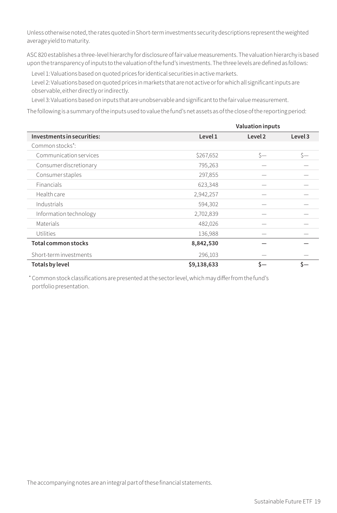Unless otherwise noted, the rates quoted in Short-term investments security descriptions represent the weighted average yield to maturity.

ASC 820 establishes a three-level hierarchy for disclosure of fair value measurements. The valuation hierarchy is based upon the transparency of inputs to the valuation of the fund's investments. The three levels are defined as follows:

Level 1: Valuations based on quoted prices for identical securities in active markets.

Level 2: Valuations based on quoted prices in markets that are not active or for which all significant inputs are observable, either directly or indirectly.

Level 3: Valuations based on inputs that are unobservable and significant to the fair value measurement.

The following is a summary of the inputs used to value the fund's net assets as of the close of the reporting period:

|                               |             | <b>Valuation inputs</b> |         |
|-------------------------------|-------------|-------------------------|---------|
| Investments in securities:    | Level 1     | Level <sub>2</sub>      | Level 3 |
| Common stocks*:               |             |                         |         |
| <b>Communication services</b> | \$267,652   | Ś—                      | Ś—      |
| Consumer discretionary        | 795,263     |                         |         |
| Consumer staples              | 297,855     |                         |         |
| Financials                    | 623,348     |                         |         |
| Health care                   | 2,942,257   |                         |         |
| Industrials                   | 594,302     |                         |         |
| Information technology        | 2,702,839   |                         |         |
| Materials                     | 482,026     |                         |         |
| Utilities                     | 136,988     |                         |         |
| Total common stocks           | 8,842,530   |                         |         |
| Short-term investments        | 296,103     |                         |         |
| Totals by level               | \$9,138,633 |                         |         |

\* Common stock classifications are presented at the sector level, which may differ from the fund's portfolio presentation.

The accompanying notes are an integral part of these financial statements.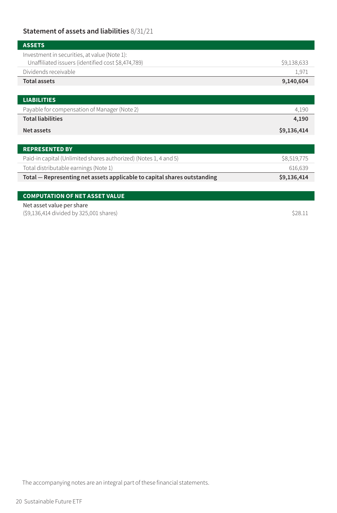# **Statement of assets and liabilities** 8/31/21

| <b>ASSETS</b>                                                                                      |             |
|----------------------------------------------------------------------------------------------------|-------------|
| Investment in securities, at value (Note 1):<br>Unaffiliated issuers (identified cost \$8,474,789) | \$9,138,633 |
| Dividends receivable                                                                               | 1,971       |
| <b>Total assets</b>                                                                                | 9,140,604   |
|                                                                                                    |             |
| <b>LIABILITIES</b>                                                                                 |             |
| Payable for compensation of Manager (Note 2)                                                       | 4,190       |
| <b>Total liabilities</b>                                                                           | 4,190       |
| Net assets                                                                                         | \$9,136,414 |

| <b>REPRESENTED BY</b>                                                    |             |
|--------------------------------------------------------------------------|-------------|
| Paid-in capital (Unlimited shares authorized) (Notes 1, 4 and 5)         | \$8,519,775 |
| Total distributable earnings (Note 1)                                    | 616.639     |
| Total – Representing net assets applicable to capital shares outstanding | \$9,136,414 |
|                                                                          |             |

|--|

Net asset value per share

 $(59,136,414 \text{ divided by } 325,001 \text{ shares})$  \$28.11

The accompanying notes are an integral part of these financial statements.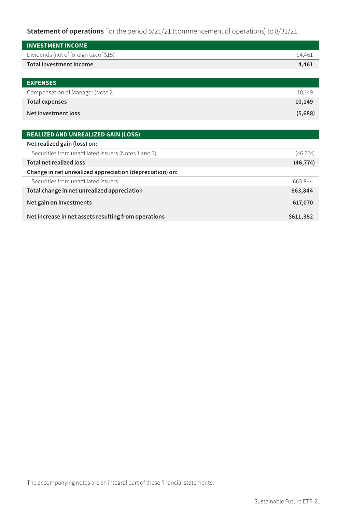**Statement of operations** For the period 5/25/21 (commencement of operations) to 8/31/21

| <b>INVESTMENT INCOME</b>                                 |           |
|----------------------------------------------------------|-----------|
| Dividends (net of foreign tax of \$15)                   | \$4,461   |
| Total investment income                                  | 4,461     |
|                                                          |           |
| <b>EXPENSES</b>                                          |           |
| Compensation of Manager (Note 2)                         | 10,149    |
| <b>Total expenses</b>                                    | 10,149    |
| Net investment loss                                      | (5,688)   |
|                                                          |           |
| <b>REALIZED AND UNREALIZED GAIN (LOSS)</b>               |           |
| Net realized gain (loss) on:                             |           |
| Securities from unaffiliated issuers (Notes 1 and 3)     | (46, 774) |
| <b>Total net realized loss</b>                           | (46, 774) |
| Change in net unrealized appreciation (depreciation) on: |           |
| Securities from unaffiliated issuers                     | 663,844   |
| Total change in net unrealized appreciation              | 663,844   |
| Net gain on investments                                  | 617,070   |
| Net increase in net assets resulting from operations     | \$611,382 |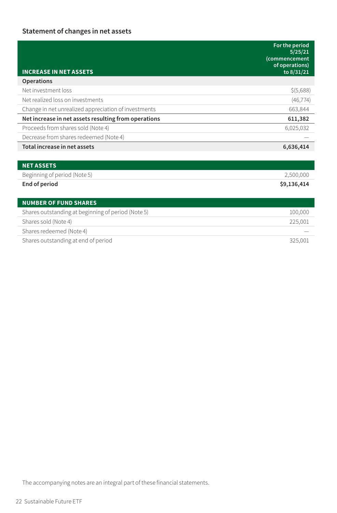# **Statement of changes in net assets**

| <b>INCREASE IN NET ASSETS</b>                        | For the period<br>5/25/21<br><i>(commencement</i><br>of operations)<br>to 8/31/21 |
|------------------------------------------------------|-----------------------------------------------------------------------------------|
| <b>Operations</b>                                    |                                                                                   |
| Net investment loss                                  | \$ (5,688)                                                                        |
| Net realized loss on investments                     | (46, 774)                                                                         |
| Change in net unrealized appreciation of investments | 663,844                                                                           |
| Net increase in net assets resulting from operations | 611,382                                                                           |
| Proceeds from shares sold (Note 4)                   | 6,025,032                                                                         |
| Decrease from shares redeemed (Note 4)               |                                                                                   |
| Total increase in net assets                         | 6,636,414                                                                         |
|                                                      |                                                                                   |
| <b>NET ASSETS</b>                                    |                                                                                   |
| Beginning of period (Note 5)                         | 2,500,000                                                                         |
| End of period                                        | \$9,136,414                                                                       |
| <b>NUMBER OF FUND SHARES</b>                         |                                                                                   |
| Shares outstanding at beginning of period (Note 5)   | 100,000                                                                           |
| Shares sold (Note 4)                                 | 225,001                                                                           |
| Shares redeemed (Note 4)                             |                                                                                   |
| Shares outstanding at end of period                  | 325,001                                                                           |

The accompanying notes are an integral part of these financial statements.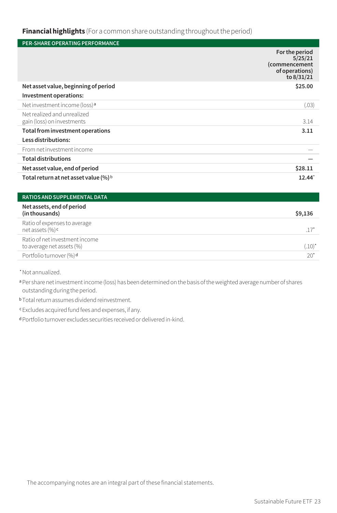# **Financial highlights** (For a common share outstanding throughout the period)

| <b>PER-SHARE OPERATING PERFORMANCE</b>                    |                                                                            |
|-----------------------------------------------------------|----------------------------------------------------------------------------|
|                                                           | For the period<br>5/25/21<br>(commencement<br>of operations)<br>to 8/31/21 |
| Net asset value, beginning of period                      | \$25.00                                                                    |
| Investment operations:                                    |                                                                            |
| Net investment income (loss) <sup>a</sup>                 | (.03)                                                                      |
| Net realized and unrealized<br>gain (loss) on investments | 3.14                                                                       |
| Total from investment operations                          | 3.11                                                                       |
| Less distributions:                                       |                                                                            |
| From net investment income                                |                                                                            |
| <b>Total distributions</b>                                |                                                                            |
| Net asset value, end of period                            | \$28.11                                                                    |
| Total return at net asset value (%) <sup>b</sup>          | $12.44^*$                                                                  |

| <b>RATIOS AND SUPPLEMENTAL DATA</b>                         |           |
|-------------------------------------------------------------|-----------|
| Net assets, end of period<br>(in thousands)                 | \$9,136   |
| Ratio of expenses to average<br>net assets (%) <sup>c</sup> | $.17*$    |
| Ratio of net investment income<br>to average net assets (%) | $(.10)^*$ |
| Portfolio turnover (%) <sup>d</sup>                         | $20*$     |

\*Not annualized.

a Per share net investment income (loss) has been determined on the basis of the weighted average number of shares outstanding during the period.

<sup>b</sup> Total return assumes dividend reinvestment.

<sup>c</sup>Excludes acquired fund fees and expenses, if any.

d Portfolio turnover excludes securities received or delivered in-kind.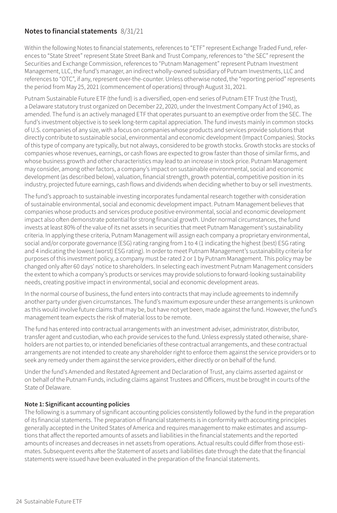## **Notes to financial statements** 8/31/21

Within the following Notes to financial statements, references to "ETF" represent Exchange Traded Fund, references to "State Street" represent State Street Bank and Trust Company, references to "the SEC" represent the Securities and Exchange Commission, references to "Putnam Management" represent Putnam Investment Management, LLC, the fund's manager, an indirect wholly-owned subsidiary of Putnam Investments, LLC and references to "OTC", if any, represent over-the-counter. Unless otherwise noted, the "reporting period" represents the period from May 25, 2021 (commencement of operations) through August 31, 2021.

Putnam Sustainable Future ETF (the fund) is a diversified, open-end series of Putnam ETF Trust (the Trust), a Delaware statutory trust organized on December 22, 2020, under the Investment Company Act of 1940, as amended. The fund is an actively managed ETF that operates pursuant to an exemptive order from the SEC. The fund's investment objective is to seek long-term capital appreciation. The fund invests mainly in common stocks of U.S. companies of any size, with a focus on companies whose products and services provide solutions that directly contribute to sustainable social, environmental and economic development (Impact Companies). Stocks of this type of company are typically, but not always, considered to be growth stocks. Growth stocks are stocks of companies whose revenues, earnings, or cash flows are expected to grow faster than those of similar firms, and whose business growth and other characteristics may lead to an increase in stock price. Putnam Management may consider, among other factors, a company's impact on sustainable environmental, social and economic development (as described below), valuation, financial strength, growth potential, competitive position in its industry, projected future earnings, cash flows and dividends when deciding whether to buy or sell investments.

The fund's approach to sustainable investing incorporates fundamental research together with consideration of sustainable environmental, social and economic development impact. Putnam Management believes that companies whose products and services produce positive environmental, social and economic development impact also often demonstrate potential for strong financial growth. Under normal circumstances, the fund invests at least 80% of the value of its net assets in securities that meet Putnam Management's sustainability criteria. In applying these criteria, Putnam Management will assign each company a proprietary environmental, social and/or corporate governance (ESG) rating ranging from 1 to 4 (1 indicating the highest (best) ESG rating and 4 indicating the lowest (worst) ESG rating). In order to meet Putnam Management's sustainability criteria for purposes of this investment policy, a company must be rated 2 or 1 by Putnam Management. This policy may be changed only after 60 days' notice to shareholders. In selecting each investment Putnam Management considers the extent to which a company's products or services may provide solutions to forward-looking sustainability needs, creating positive impact in environmental, social and economic development areas.

In the normal course of business, the fund enters into contracts that may include agreements to indemnify another party under given circumstances. The fund's maximum exposure under these arrangements is unknown as this would involve future claims that may be, but have not yet been, made against the fund. However, the fund's management team expects the risk of material loss to be remote.

The fund has entered into contractual arrangements with an investment adviser, administrator, distributor, transfer agent and custodian, who each provide services to the fund. Unless expressly stated otherwise, shareholders are not parties to, or intended beneficiaries of these contractual arrangements, and these contractual arrangements are not intended to create any shareholder right to enforce them against the service providers or to seek any remedy under them against the service providers, either directly or on behalf of the fund.

Under the fund's Amended and Restated Agreement and Declaration of Trust, any claims asserted against or on behalf of the Putnam Funds, including claims against Trustees and Officers, must be brought in courts of the State of Delaware.

#### **Note 1: Significant accounting policies**

The following is a summary of significant accounting policies consistently followed by the fund in the preparation of its financial statements. The preparation of financial statements is in conformity with accounting principles generally accepted in the United States of America and requires management to make estimates and assumptions that affect the reported amounts of assets and liabilities in the financial statements and the reported amounts of increases and decreases in net assets from operations. Actual results could differ from those estimates. Subsequent events after the Statement of assets and liabilities date through the date that the financial statements were issued have been evaluated in the preparation of the financial statements.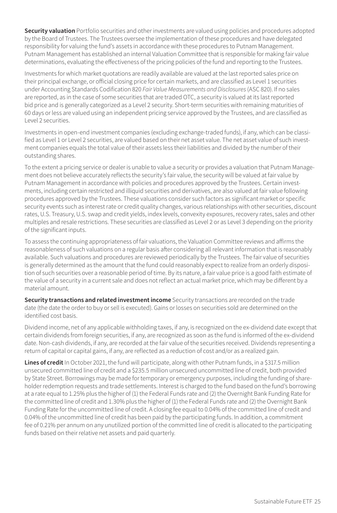**Security valuation** Portfolio securities and other investments are valued using policies and procedures adopted by the Board of Trustees. The Trustees oversee the implementation of these procedures and have delegated responsibility for valuing the fund's assets in accordance with these procedures to Putnam Management. Putnam Management has established an internal Valuation Committee that is responsible for making fair value determinations, evaluating the effectiveness of the pricing policies of the fund and reporting to the Trustees.

Investments for which market quotations are readily available are valued at the last reported sales price on their principal exchange, or official closing price for certain markets, and are classified as Level 1 securities under Accounting Standards Codification 820 *Fair Value Measurements and Disclosures* (ASC 820). If no sales are reported, as in the case of some securities that are traded OTC, a security is valued at its last reported bid price and is generally categorized as a Level 2 security. Short-term securities with remaining maturities of 60 days or less are valued using an independent pricing service approved by the Trustees, and are classified as Level 2 securities.

Investments in open-end investment companies (excluding exchange-traded funds), if any, which can be classified as Level 1 or Level 2 securities, are valued based on their net asset value. The net asset value of such investment companies equals the total value of their assets less their liabilities and divided by the number of their outstanding shares.

To the extent a pricing service or dealer is unable to value a security or provides a valuation that Putnam Management does not believe accurately reflects the security's fair value, the security will be valued at fair value by Putnam Management in accordance with policies and procedures approved by the Trustees. Certain investments, including certain restricted and illiquid securities and derivatives, are also valued at fair value following procedures approved by the Trustees. These valuations consider such factors as significant market or specific security events such as interest rate or credit quality changes, various relationships with other securities, discount rates, U.S. Treasury, U.S. swap and credit yields, index levels, convexity exposures, recovery rates, sales and other multiples and resale restrictions. These securities are classified as Level 2 or as Level 3 depending on the priority of the significant inputs.

To assess the continuing appropriateness of fair valuations, the Valuation Committee reviews and affirms the reasonableness of such valuations on a regular basis after considering all relevant information that is reasonably available. Such valuations and procedures are reviewed periodically by the Trustees. The fair value of securities is generally determined as the amount that the fund could reasonably expect to realize from an orderly disposition of such securities over a reasonable period of time. By its nature, a fair value price is a good faith estimate of the value of a security in a current sale and does not reflect an actual market price, which may be different by a material amount.

**Security transactions and related investment income** Security transactions are recorded on the trade date (the date the order to buy or sell is executed). Gains or losses on securities sold are determined on the identified cost basis.

Dividend income, net of any applicable withholding taxes, if any, is recognized on the ex-dividend date except that certain dividends from foreign securities, if any, are recognized as soon as the fund is informed of the ex-dividend date. Non-cash dividends, if any, are recorded at the fair value of the securities received. Dividends representing a return of capital or capital gains, if any, are reflected as a reduction of cost and/or as a realized gain.

Lines of credit In October 2021, the fund will participate, along with other Putnam funds, in a \$317.5 million unsecured committed line of credit and a \$235.5 million unsecured uncommitted line of credit, both provided by State Street. Borrowings may be made for temporary or emergency purposes, including the funding of shareholder redemption requests and trade settlements. Interest is charged to the fund based on the fund's borrowing at a rate equal to 1.25% plus the higher of (1) the Federal Funds rate and (2) the Overnight Bank Funding Rate for the committed line of credit and 1.30% plus the higher of (1) the Federal Funds rate and (2) the Overnight Bank Funding Rate for the uncommitted line of credit. A closing fee equal to 0.04% of the committed line of credit and 0.04% of the uncommitted line of credit has been paid by the participating funds. In addition, a commitment fee of 0.21% per annum on any unutilized portion of the committed line of credit is allocated to the participating funds based on their relative net assets and paid quarterly.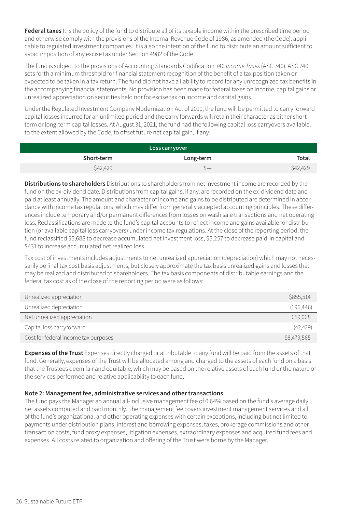**Federal taxes** It is the policy of the fund to distribute all of its taxable income within the prescribed time period and otherwise comply with the provisions of the Internal Revenue Code of 1986, as amended (the Code), applicable to regulated investment companies. It is also the intention of the fund to distribute an amount sufficient to avoid imposition of any excise tax under Section 4982 of the Code.

The fund is subject to the provisions of Accounting Standards Codification 740 *Income Taxes* (ASC 740). ASC 740 sets forth a minimum threshold for financial statement recognition of the benefit of a tax position taken or expected to be taken in a tax return. The fund did not have a liability to record for any unrecognized tax benefits in the accompanying financial statements. No provision has been made for federal taxes on income, capital gains or unrealized appreciation on securities held nor for excise tax on income and capital gains.

Under the Regulated Investment Company Modernization Act of 2010, the fund will be permitted to carry forward capital losses incurred for an unlimited period and the carry forwards will retain their character as either shortterm or long-term capital losses. At August 31, 2021, the fund had the following capital loss carryovers available, to the extent allowed by the Code, to offset future net capital gain, if any:

| Loss carryover |           |          |  |
|----------------|-----------|----------|--|
| Short-term     | Long-term | Total    |  |
| \$42,429       | 5-        | \$42,429 |  |

**Distributions to shareholders** Distributions to shareholders from net investment income are recorded by the fund on the ex-dividend date. Distributions from capital gains, if any, are recorded on the ex-dividend date and paid at least annually. The amount and character of income and gains to be distributed are determined in accordance with income tax regulations, which may differ from generally accepted accounting principles. These differences include temporary and/or permanent differences from losses on wash sale transactions and net operating loss. Reclassifications are made to the fund's capital accounts to reflect income and gains available for distribution (or available capital loss carryovers) under income tax regulations. At the close of the reporting period, the fund reclassified \$5,688 to decrease accumulated net investment loss, \$5,257 to decrease paid-in capital and \$431 to increase accumulated net realized loss.

Tax cost of investments includes adjustments to net unrealized appreciation (depreciation) which may not necessarily be final tax cost basis adjustments, but closely approximate the tax basis unrealized gains and losses that may be realized and distributed to shareholders. The tax basis components of distributable earnings and the federal tax cost as of the close of the reporting period were as follows:

| Unrealized appreciation              | \$855.514   |
|--------------------------------------|-------------|
| Unrealized depreciation              | (196, 446)  |
| Net unrealized appreciation          | 659.068     |
| Capital loss carryforward            | (42, 429)   |
| Cost for federal income tax purposes | \$8,479,565 |

**Expenses of the Trust** Expenses directly charged or attributable to any fund will be paid from the assets of that fund. Generally, expenses of the Trust will be allocated among and charged to the assets of each fund on a basis that the Trustees deem fair and equitable, which may be based on the relative assets of each fund or the nature of the services performed and relative applicability to each fund.

# **Note 2: Management fee, administrative services and other transactions**

The fund pays the Manager an annual all-inclusive management fee of 0.64% based on the fund's average daily net assets computed and paid monthly. The management fee covers investment management services and all of the fund's organizational and other operating expenses with certain exceptions, including but not limited to: payments under distribution plans, interest and borrowing expenses, taxes, brokerage commissions and other transaction costs, fund proxy expenses, litigation expenses, extraordinary expenses and acquired fund fees and expenses. All costs related to organization and offering of the Trust were borne by the Manager.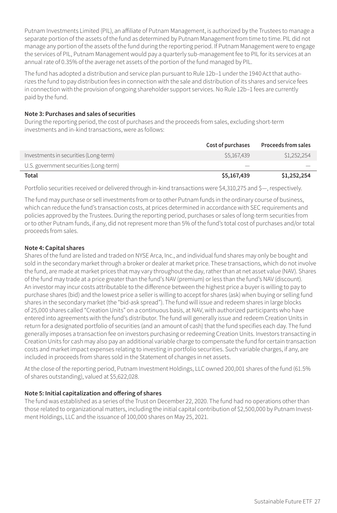Putnam Investments Limited (PIL), an affiliate of Putnam Management, is authorized by the Trustees to manage a separate portion of the assets of the fund as determined by Putnam Management from time to time. PIL did not manage any portion of the assets of the fund during the reporting period. If Putnam Management were to engage the services of PIL, Putnam Management would pay a quarterly sub-management fee to PIL for its services at an annual rate of 0.35% of the average net assets of the portion of the fund managed by PIL.

The fund has adopted a distribution and service plan pursuant to Rule 12b–1 under the 1940 Act that authorizes the fund to pay distribution fees in connection with the sale and distribution of its shares and service fees in connection with the provision of ongoing shareholder support services. No Rule 12b–1 fees are currently paid by the fund.

# **Note 3: Purchases and sales of securities**

During the reporting period, the cost of purchases and the proceeds from sales, excluding short-term investments and in-kind transactions, were as follows:

|                                        | Cost of purchases | <b>Proceeds from sales</b> |
|----------------------------------------|-------------------|----------------------------|
| Investments in securities (Long-term)  | \$5,167,439       | \$1,252,254                |
| U.S. government securities (Long-term) |                   |                            |
| Total                                  | \$5,167,439       | \$1,252,254                |

Portfolio securities received or delivered through in-kind transactions were \$4,310,275 and \$—, respectively.

The fund may purchase or sell investments from or to other Putnam funds in the ordinary course of business, which can reduce the fund's transaction costs, at prices determined in accordance with SEC requirements and policies approved by the Trustees. During the reporting period, purchases or sales of long-term securities from or to other Putnam funds, if any, did not represent more than 5% of the fund's total cost of purchases and/or total proceeds from sales.

# **Note 4: Capital shares**

Shares of the fund are listed and traded on NYSE Arca, Inc., and individual fund shares may only be bought and sold in the secondary market through a broker or dealer at market price. These transactions, which do not involve the fund, are made at market prices that may vary throughout the day, rather than at net asset value (NAV). Shares of the fund may trade at a price greater than the fund's NAV (premium) or less than the fund's NAV (discount). An investor may incur costs attributable to the difference between the highest price a buyer is willing to pay to purchase shares (bid) and the lowest price a seller is willing to accept for shares (ask) when buying or selling fund shares in the secondary market (the "bid-ask spread"). The fund will issue and redeem shares in large blocks of 25,000 shares called "Creation Units" on a continuous basis, at NAV, with authorized participants who have entered into agreements with the fund's distributor. The fund will generally issue and redeem Creation Units in return for a designated portfolio of securities (and an amount of cash) that the fund specifies each day. The fund generally imposes a transaction fee on investors purchasing or redeeming Creation Units. Investors transacting in Creation Units for cash may also pay an additional variable charge to compensate the fund for certain transaction costs and market impact expenses relating to investing in portfolio securities. Such variable charges, if any, are included in proceeds from shares sold in the Statement of changes in net assets.

At the close of the reporting period, Putnam Investment Holdings, LLC owned 200,001 shares of the fund (61.5% of shares outstanding), valued at \$5,622,028.

# **Note 5: Initial capitalization and offering of shares**

The fund was established as a series of the Trust on December 22, 2020. The fund had no operations other than those related to organizational matters, including the initial capital contribution of \$2,500,000 by Putnam Investment Holdings, LLC and the issuance of 100,000 shares on May 25, 2021.